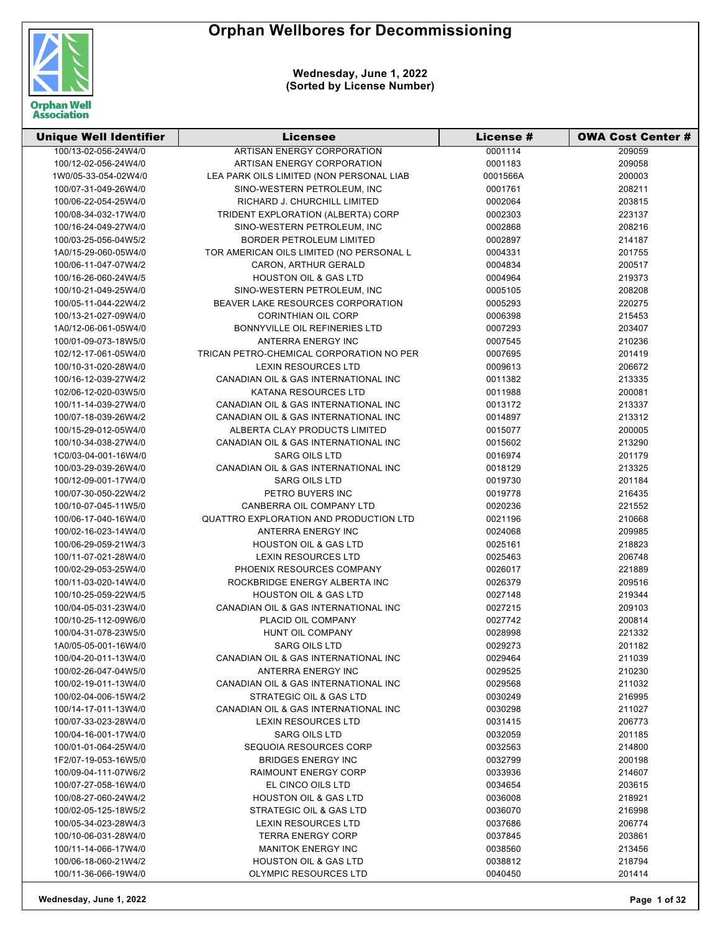

| <b>Unique Well Identifier</b> | Licensee                                 | <b>License #</b> | <b>OWA Cost Center #</b> |
|-------------------------------|------------------------------------------|------------------|--------------------------|
| 100/13-02-056-24W4/0          | ARTISAN ENERGY CORPORATION               | 0001114          | 209059                   |
| 100/12-02-056-24W4/0          | ARTISAN ENERGY CORPORATION               | 0001183          | 209058                   |
| 1W0/05-33-054-02W4/0          | LEA PARK OILS LIMITED (NON PERSONAL LIAB | 0001566A         | 200003                   |
| 100/07-31-049-26W4/0          | SINO-WESTERN PETROLEUM, INC              | 0001761          | 208211                   |
| 100/06-22-054-25W4/0          | RICHARD J. CHURCHILL LIMITED             | 0002064          | 203815                   |
| 100/08-34-032-17W4/0          | TRIDENT EXPLORATION (ALBERTA) CORP       | 0002303          | 223137                   |
| 100/16-24-049-27W4/0          | SINO-WESTERN PETROLEUM, INC              | 0002868          | 208216                   |
| 100/03-25-056-04W5/2          | BORDER PETROLEUM LIMITED                 | 0002897          | 214187                   |
| 1A0/15-29-060-05W4/0          | TOR AMERICAN OILS LIMITED (NO PERSONAL L | 0004331          | 201755                   |
| 100/06-11-047-07W4/2          | CARON, ARTHUR GERALD                     | 0004834          | 200517                   |
| 100/16-26-060-24W4/5          | <b>HOUSTON OIL &amp; GAS LTD</b>         | 0004964          | 219373                   |
| 100/10-21-049-25W4/0          | SINO-WESTERN PETROLEUM, INC              | 0005105          | 208208                   |
| 100/05-11-044-22W4/2          | BEAVER LAKE RESOURCES CORPORATION        | 0005293          | 220275                   |
| 100/13-21-027-09W4/0          | <b>CORINTHIAN OIL CORP</b>               | 0006398          | 215453                   |
| 1A0/12-06-061-05W4/0          | BONNYVILLE OIL REFINERIES LTD            | 0007293          | 203407                   |
| 100/01-09-073-18W5/0          | ANTERRA ENERGY INC                       | 0007545          | 210236                   |
| 102/12-17-061-05W4/0          | TRICAN PETRO-CHEMICAL CORPORATION NO PER | 0007695          | 201419                   |
| 100/10-31-020-28W4/0          | LEXIN RESOURCES LTD                      | 0009613          | 206672                   |
| 100/16-12-039-27W4/2          | CANADIAN OIL & GAS INTERNATIONAL INC     | 0011382          | 213335                   |
| 102/06-12-020-03W5/0          | <b>KATANA RESOURCES LTD</b>              | 0011988          | 200081                   |
| 100/11-14-039-27W4/0          | CANADIAN OIL & GAS INTERNATIONAL INC     | 0013172          | 213337                   |
| 100/07-18-039-26W4/2          | CANADIAN OIL & GAS INTERNATIONAL INC     | 0014897          | 213312                   |
| 100/15-29-012-05W4/0          | ALBERTA CLAY PRODUCTS LIMITED            | 0015077          | 200005                   |
| 100/10-34-038-27W4/0          | CANADIAN OIL & GAS INTERNATIONAL INC     | 0015602          | 213290                   |
| 1C0/03-04-001-16W4/0          | <b>SARG OILS LTD</b>                     | 0016974          | 201179                   |
| 100/03-29-039-26W4/0          | CANADIAN OIL & GAS INTERNATIONAL INC     | 0018129          | 213325                   |
| 100/12-09-001-17W4/0          | <b>SARG OILS LTD</b>                     | 0019730          | 201184                   |
| 100/07-30-050-22W4/2          | PETRO BUYERS INC                         | 0019778          | 216435                   |
| 100/10-07-045-11W5/0          | CANBERRA OIL COMPANY LTD                 | 0020236          | 221552                   |
| 100/06-17-040-16W4/0          | QUATTRO EXPLORATION AND PRODUCTION LTD   | 0021196          | 210668                   |
| 100/02-16-023-14W4/0          | ANTERRA ENERGY INC                       | 0024068          | 209985                   |
| 100/06-29-059-21W4/3          | <b>HOUSTON OIL &amp; GAS LTD</b>         | 0025161          | 218823                   |
| 100/11-07-021-28W4/0          | <b>LEXIN RESOURCES LTD</b>               | 0025463          | 206748                   |
| 100/02-29-053-25W4/0          | PHOENIX RESOURCES COMPANY                | 0026017          | 221889                   |
| 100/11-03-020-14W4/0          | ROCKBRIDGE ENERGY ALBERTA INC            | 0026379          | 209516                   |
| 100/10-25-059-22W4/5          | <b>HOUSTON OIL &amp; GAS LTD</b>         | 0027148          | 219344                   |
| 100/04-05-031-23W4/0          | CANADIAN OIL & GAS INTERNATIONAL INC     | 0027215          | 209103                   |
| 100/10-25-112-09W6/0          | PLACID OIL COMPANY                       | 0027742          | 200814                   |
| 100/04-31-078-23W5/0          | HUNT OIL COMPANY                         | 0028998          | 221332                   |
| 1A0/05-05-001-16W4/0          | <b>SARG OILS LTD</b>                     | 0029273          | 201182                   |
| 100/04-20-011-13W4/0          | CANADIAN OIL & GAS INTERNATIONAL INC     | 0029464          | 211039                   |
| 100/02-26-047-04W5/0          | ANTERRA ENERGY INC                       | 0029525          | 210230                   |
| 100/02-19-011-13W4/0          | CANADIAN OIL & GAS INTERNATIONAL INC     | 0029568          | 211032                   |
| 100/02-04-006-15W4/2          | STRATEGIC OIL & GAS LTD                  | 0030249          | 216995                   |
| 100/14-17-011-13W4/0          | CANADIAN OIL & GAS INTERNATIONAL INC     | 0030298          | 211027                   |
| 100/07-33-023-28W4/0          | <b>LEXIN RESOURCES LTD</b>               | 0031415          | 206773                   |
| 100/04-16-001-17W4/0          | <b>SARG OILS LTD</b>                     | 0032059          | 201185                   |
| 100/01-01-064-25W4/0          | SEQUOIA RESOURCES CORP                   | 0032563          | 214800                   |
| 1F2/07-19-053-16W5/0          | <b>BRIDGES ENERGY INC</b>                | 0032799          | 200198                   |
| 100/09-04-111-07W6/2          | <b>RAIMOUNT ENERGY CORP</b>              | 0033936          | 214607                   |
| 100/07-27-058-16W4/0          | EL CINCO OILS LTD                        | 0034654          | 203615                   |
| 100/08-27-060-24W4/2          | <b>HOUSTON OIL &amp; GAS LTD</b>         | 0036008          | 218921                   |
| 100/02-05-125-18W5/2          | STRATEGIC OIL & GAS LTD                  | 0036070          | 216998                   |
| 100/05-34-023-28W4/3          | <b>LEXIN RESOURCES LTD</b>               | 0037686          | 206774                   |
| 100/10-06-031-28W4/0          | <b>TERRA ENERGY CORP</b>                 | 0037845          | 203861                   |
| 100/11-14-066-17W4/0          | <b>MANITOK ENERGY INC</b>                | 0038560          | 213456                   |
| 100/06-18-060-21W4/2          | <b>HOUSTON OIL &amp; GAS LTD</b>         | 0038812          | 218794                   |
| 100/11-36-066-19W4/0          | OLYMPIC RESOURCES LTD                    | 0040450          | 201414                   |
|                               |                                          |                  |                          |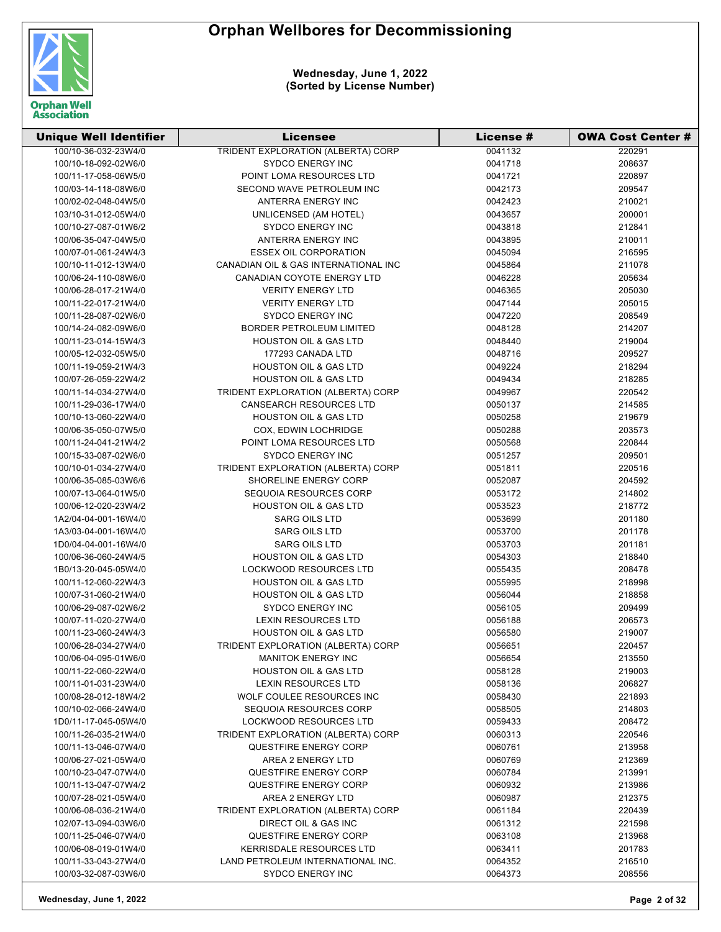

| <b>Unique Well Identifier</b> | Licensee                                  | License # | OWA Cost Center # |
|-------------------------------|-------------------------------------------|-----------|-------------------|
| 100/10-36-032-23W4/0          | <b>TRIDENT EXPLORATION (ALBERTA) CORP</b> | 0041132   | 220291            |
| 100/10-18-092-02W6/0          | <b>SYDCO ENERGY INC</b>                   | 0041718   | 208637            |
| 100/11-17-058-06W5/0          | POINT LOMA RESOURCES LTD                  | 0041721   | 220897            |
| 100/03-14-118-08W6/0          | SECOND WAVE PETROLEUM INC                 | 0042173   | 209547            |
| 100/02-02-048-04W5/0          | ANTERRA ENERGY INC                        | 0042423   | 210021            |
| 103/10-31-012-05W4/0          | UNLICENSED (AM HOTEL)                     | 0043657   | 200001            |
| 100/10-27-087-01W6/2          | <b>SYDCO ENERGY INC</b>                   | 0043818   | 212841            |
| 100/06-35-047-04W5/0          | ANTERRA ENERGY INC                        | 0043895   | 210011            |
| 100/07-01-061-24W4/3          | <b>ESSEX OIL CORPORATION</b>              | 0045094   | 216595            |
| 100/10-11-012-13W4/0          | CANADIAN OIL & GAS INTERNATIONAL INC      | 0045864   | 211078            |
| 100/06-24-110-08W6/0          | <b>CANADIAN COYOTE ENERGY LTD</b>         | 0046228   | 205634            |
| 100/06-28-017-21W4/0          | <b>VERITY ENERGY LTD</b>                  | 0046365   | 205030            |
| 100/11-22-017-21W4/0          | <b>VERITY ENERGY LTD</b>                  | 0047144   | 205015            |
| 100/11-28-087-02W6/0          | <b>SYDCO ENERGY INC</b>                   | 0047220   | 208549            |
| 100/14-24-082-09W6/0          | <b>BORDER PETROLEUM LIMITED</b>           | 0048128   | 214207            |
| 100/11-23-014-15W4/3          | <b>HOUSTON OIL &amp; GAS LTD</b>          | 0048440   | 219004            |
| 100/05-12-032-05W5/0          | 177293 CANADA LTD                         | 0048716   | 209527            |
| 100/11-19-059-21W4/3          | <b>HOUSTON OIL &amp; GAS LTD</b>          | 0049224   | 218294            |
| 100/07-26-059-22W4/2          | <b>HOUSTON OIL &amp; GAS LTD</b>          | 0049434   | 218285            |
| 100/11-14-034-27W4/0          | TRIDENT EXPLORATION (ALBERTA) CORP        | 0049967   | 220542            |
| 100/11-29-036-17W4/0          | <b>CANSEARCH RESOURCES LTD</b>            | 0050137   | 214585            |
| 100/10-13-060-22W4/0          | <b>HOUSTON OIL &amp; GAS LTD</b>          | 0050258   | 219679            |
| 100/06-35-050-07W5/0          | COX, EDWIN LOCHRIDGE                      | 0050288   | 203573            |
| 100/11-24-041-21W4/2          | POINT LOMA RESOURCES LTD                  | 0050568   | 220844            |
| 100/15-33-087-02W6/0          | <b>SYDCO ENERGY INC</b>                   | 0051257   | 209501            |
| 100/10-01-034-27W4/0          | TRIDENT EXPLORATION (ALBERTA) CORP        | 0051811   | 220516            |
| 100/06-35-085-03W6/6          | SHORELINE ENERGY CORP                     | 0052087   | 204592            |
| 100/07-13-064-01W5/0          | SEQUOIA RESOURCES CORP                    | 0053172   | 214802            |
| 100/06-12-020-23W4/2          | <b>HOUSTON OIL &amp; GAS LTD</b>          | 0053523   | 218772            |
| 1A2/04-04-001-16W4/0          | <b>SARG OILS LTD</b>                      | 0053699   | 201180            |
| 1A3/03-04-001-16W4/0          | <b>SARG OILS LTD</b>                      | 0053700   | 201178            |
| 1D0/04-04-001-16W4/0          | <b>SARG OILS LTD</b>                      | 0053703   | 201181            |
| 100/06-36-060-24W4/5          | <b>HOUSTON OIL &amp; GAS LTD</b>          | 0054303   | 218840            |
| 1B0/13-20-045-05W4/0          | <b>LOCKWOOD RESOURCES LTD</b>             | 0055435   | 208478            |
| 100/11-12-060-22W4/3          | <b>HOUSTON OIL &amp; GAS LTD</b>          | 0055995   | 218998            |
| 100/07-31-060-21W4/0          | <b>HOUSTON OIL &amp; GAS LTD</b>          | 0056044   | 218858            |
| 100/06-29-087-02W6/2          | <b>SYDCO ENERGY INC</b>                   | 0056105   | 209499            |
| 100/07-11-020-27W4/0          | <b>LEXIN RESOURCES LTD</b>                | 0056188   | 206573            |
| 100/11-23-060-24W4/3          | HOUSTON OIL & GAS LTD                     | 0056580   | 219007            |
| 100/06-28-034-27W4/0          | TRIDENT EXPLORATION (ALBERTA) CORP        | 0056651   | 220457            |
| 100/06-04-095-01W6/0          | <b>MANITOK ENERGY INC</b>                 | 0056654   | 213550            |
| 100/11-22-060-22W4/0          | <b>HOUSTON OIL &amp; GAS LTD</b>          | 0058128   | 219003            |
| 100/11-01-031-23W4/0          | <b>LEXIN RESOURCES LTD</b>                | 0058136   | 206827            |
| 100/08-28-012-18W4/2          | WOLF COULEE RESOURCES INC                 | 0058430   | 221893            |
| 100/10-02-066-24W4/0          | SEQUOIA RESOURCES CORP                    | 0058505   | 214803            |
| 1D0/11-17-045-05W4/0          | <b>LOCKWOOD RESOURCES LTD</b>             | 0059433   | 208472            |
| 100/11-26-035-21W4/0          | TRIDENT EXPLORATION (ALBERTA) CORP        | 0060313   | 220546            |
| 100/11-13-046-07W4/0          | QUESTFIRE ENERGY CORP                     | 0060761   | 213958            |
| 100/06-27-021-05W4/0          | AREA 2 ENERGY LTD                         | 0060769   | 212369            |
| 100/10-23-047-07W4/0          | <b>QUESTFIRE ENERGY CORP</b>              | 0060784   | 213991            |
| 100/11-13-047-07W4/2          | <b>QUESTFIRE ENERGY CORP</b>              | 0060932   | 213986            |
| 100/07-28-021-05W4/0          | AREA 2 ENERGY LTD                         | 0060987   | 212375            |
| 100/06-08-036-21W4/0          | TRIDENT EXPLORATION (ALBERTA) CORP        | 0061184   | 220439            |
| 102/07-13-094-03W6/0          | DIRECT OIL & GAS INC                      | 0061312   | 221598            |
| 100/11-25-046-07W4/0          | <b>QUESTFIRE ENERGY CORP</b>              | 0063108   | 213968            |
| 100/06-08-019-01W4/0          | <b>KERRISDALE RESOURCES LTD</b>           | 0063411   | 201783            |
| 100/11-33-043-27W4/0          | LAND PETROLEUM INTERNATIONAL INC.         | 0064352   | 216510            |
| 100/03-32-087-03W6/0          | <b>SYDCO ENERGY INC</b>                   | 0064373   | 208556            |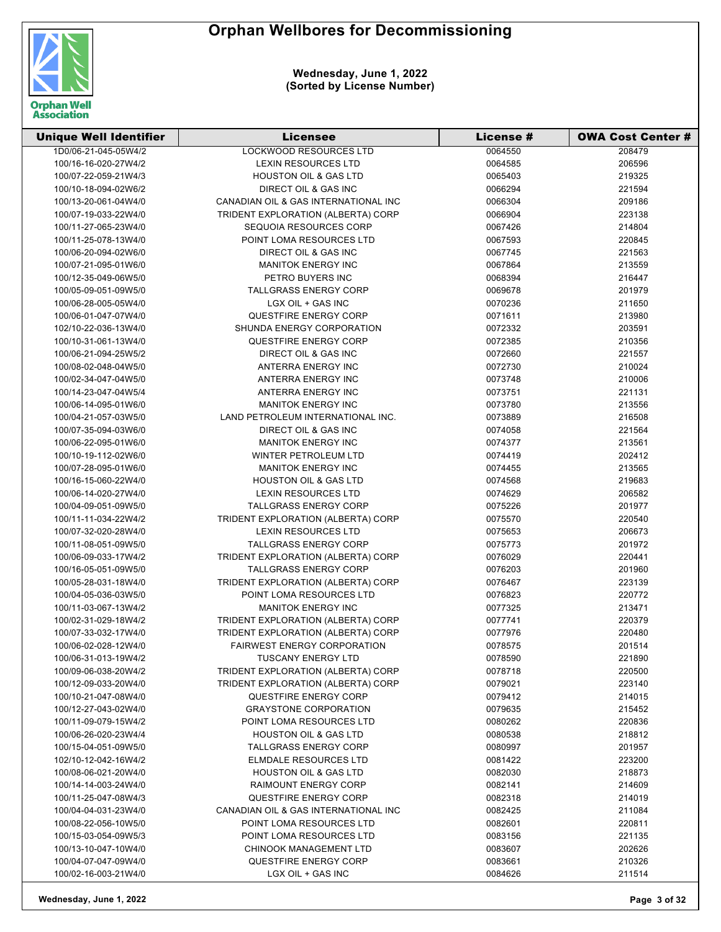

| <b>Unique Well Identifier</b> | <b>Licensee</b>                      | License # | <b>OWA Cost Center #</b> |
|-------------------------------|--------------------------------------|-----------|--------------------------|
| 1D0/06-21-045-05W4/2          | <b>LOCKWOOD RESOURCES LTD</b>        | 0064550   | 208479                   |
| 100/16-16-020-27W4/2          | <b>LEXIN RESOURCES LTD</b>           | 0064585   | 206596                   |
| 100/07-22-059-21W4/3          | <b>HOUSTON OIL &amp; GAS LTD</b>     | 0065403   | 219325                   |
| 100/10-18-094-02W6/2          | DIRECT OIL & GAS INC                 | 0066294   | 221594                   |
| 100/13-20-061-04W4/0          | CANADIAN OIL & GAS INTERNATIONAL INC | 0066304   | 209186                   |
| 100/07-19-033-22W4/0          | TRIDENT EXPLORATION (ALBERTA) CORP   | 0066904   | 223138                   |
| 100/11-27-065-23W4/0          | SEQUOIA RESOURCES CORP               | 0067426   | 214804                   |
| 100/11-25-078-13W4/0          | POINT LOMA RESOURCES LTD             | 0067593   | 220845                   |
| 100/06-20-094-02W6/0          | DIRECT OIL & GAS INC                 | 0067745   | 221563                   |
| 100/07-21-095-01W6/0          | <b>MANITOK ENERGY INC</b>            | 0067864   | 213559                   |
| 100/12-35-049-06W5/0          | PETRO BUYERS INC                     | 0068394   | 216447                   |
| 100/05-09-051-09W5/0          | <b>TALLGRASS ENERGY CORP</b>         | 0069678   | 201979                   |
| 100/06-28-005-05W4/0          | LGX OIL + GAS INC                    | 0070236   | 211650                   |
| 100/06-01-047-07W4/0          | QUESTFIRE ENERGY CORP                | 0071611   | 213980                   |
| 102/10-22-036-13W4/0          | SHUNDA ENERGY CORPORATION            | 0072332   | 203591                   |
| 100/10-31-061-13W4/0          | QUESTFIRE ENERGY CORP                | 0072385   | 210356                   |
| 100/06-21-094-25W5/2          | DIRECT OIL & GAS INC                 | 0072660   | 221557                   |
| 100/08-02-048-04W5/0          | ANTERRA ENERGY INC                   | 0072730   | 210024                   |
| 100/02-34-047-04W5/0          | ANTERRA ENERGY INC                   | 0073748   | 210006                   |
| 100/14-23-047-04W5/4          | ANTERRA ENERGY INC                   | 0073751   | 221131                   |
| 100/06-14-095-01W6/0          | <b>MANITOK ENERGY INC</b>            | 0073780   | 213556                   |
| 100/04-21-057-03W5/0          | LAND PETROLEUM INTERNATIONAL INC.    | 0073889   | 216508                   |
| 100/07-35-094-03W6/0          | DIRECT OIL & GAS INC                 | 0074058   | 221564                   |
| 100/06-22-095-01W6/0          | <b>MANITOK ENERGY INC</b>            | 0074377   | 213561                   |
| 100/10-19-112-02W6/0          | WINTER PETROLEUM LTD                 | 0074419   | 202412                   |
| 100/07-28-095-01W6/0          | <b>MANITOK ENERGY INC</b>            | 0074455   |                          |
| 100/16-15-060-22W4/0          | <b>HOUSTON OIL &amp; GAS LTD</b>     | 0074568   | 213565<br>219683         |
| 100/06-14-020-27W4/0          | <b>LEXIN RESOURCES LTD</b>           | 0074629   | 206582                   |
| 100/04-09-051-09W5/0          | <b>TALLGRASS ENERGY CORP</b>         | 0075226   |                          |
|                               | TRIDENT EXPLORATION (ALBERTA) CORP   |           | 201977                   |
| 100/11-11-034-22W4/2          |                                      | 0075570   | 220540                   |
| 100/07-32-020-28W4/0          | <b>LEXIN RESOURCES LTD</b>           | 0075653   | 206673                   |
| 100/11-08-051-09W5/0          | <b>TALLGRASS ENERGY CORP</b>         | 0075773   | 201972                   |
| 100/06-09-033-17W4/2          | TRIDENT EXPLORATION (ALBERTA) CORP   | 0076029   | 220441                   |
| 100/16-05-051-09W5/0          | <b>TALLGRASS ENERGY CORP</b>         | 0076203   | 201960                   |
| 100/05-28-031-18W4/0          | TRIDENT EXPLORATION (ALBERTA) CORP   | 0076467   | 223139                   |
| 100/04-05-036-03W5/0          | POINT LOMA RESOURCES LTD             | 0076823   | 220772                   |
| 100/11-03-067-13W4/2          | <b>MANITOK ENERGY INC</b>            | 0077325   | 213471                   |
| 100/02-31-029-18W4/2          | TRIDENT EXPLORATION (ALBERTA) CORP   | 0077741   | 220379                   |
| 100/07-33-032-17W4/0          | TRIDENT EXPLORATION (ALBERTA) CORP   | 0077976   | 220480                   |
| 100/06-02-028-12W4/0          | <b>FAIRWEST ENERGY CORPORATION</b>   | 0078575   | 201514                   |
| 100/06-31-013-19W4/2          | <b>TUSCANY ENERGY LTD</b>            | 0078590   | 221890                   |
| 100/09-06-038-20W4/2          | TRIDENT EXPLORATION (ALBERTA) CORP   | 0078718   | 220500                   |
| 100/12-09-033-20W4/0          | TRIDENT EXPLORATION (ALBERTA) CORP   | 0079021   | 223140                   |
| 100/10-21-047-08W4/0          | QUESTFIRE ENERGY CORP                | 0079412   | 214015                   |
| 100/12-27-043-02W4/0          | <b>GRAYSTONE CORPORATION</b>         | 0079635   | 215452                   |
| 100/11-09-079-15W4/2          | POINT LOMA RESOURCES LTD             | 0080262   | 220836                   |
| 100/06-26-020-23W4/4          | <b>HOUSTON OIL &amp; GAS LTD</b>     | 0080538   | 218812                   |
| 100/15-04-051-09W5/0          | <b>TALLGRASS ENERGY CORP</b>         | 0080997   | 201957                   |
| 102/10-12-042-16W4/2          | ELMDALE RESOURCES LTD                | 0081422   | 223200                   |
| 100/08-06-021-20W4/0          | <b>HOUSTON OIL &amp; GAS LTD</b>     | 0082030   | 218873                   |
| 100/14-14-003-24W4/0          | <b>RAIMOUNT ENERGY CORP</b>          | 0082141   | 214609                   |
| 100/11-25-047-08W4/3          | QUESTFIRE ENERGY CORP                | 0082318   | 214019                   |
| 100/04-04-031-23W4/0          | CANADIAN OIL & GAS INTERNATIONAL INC | 0082425   | 211084                   |
| 100/08-22-056-10W5/0          | POINT LOMA RESOURCES LTD             | 0082601   | 220811                   |
| 100/15-03-054-09W5/3          | POINT LOMA RESOURCES LTD             | 0083156   | 221135                   |
| 100/13-10-047-10W4/0          | <b>CHINOOK MANAGEMENT LTD</b>        | 0083607   | 202626                   |
| 100/04-07-047-09W4/0          | QUESTFIRE ENERGY CORP                | 0083661   | 210326                   |
| 100/02-16-003-21W4/0          | LGX OIL + GAS INC                    | 0084626   | 211514                   |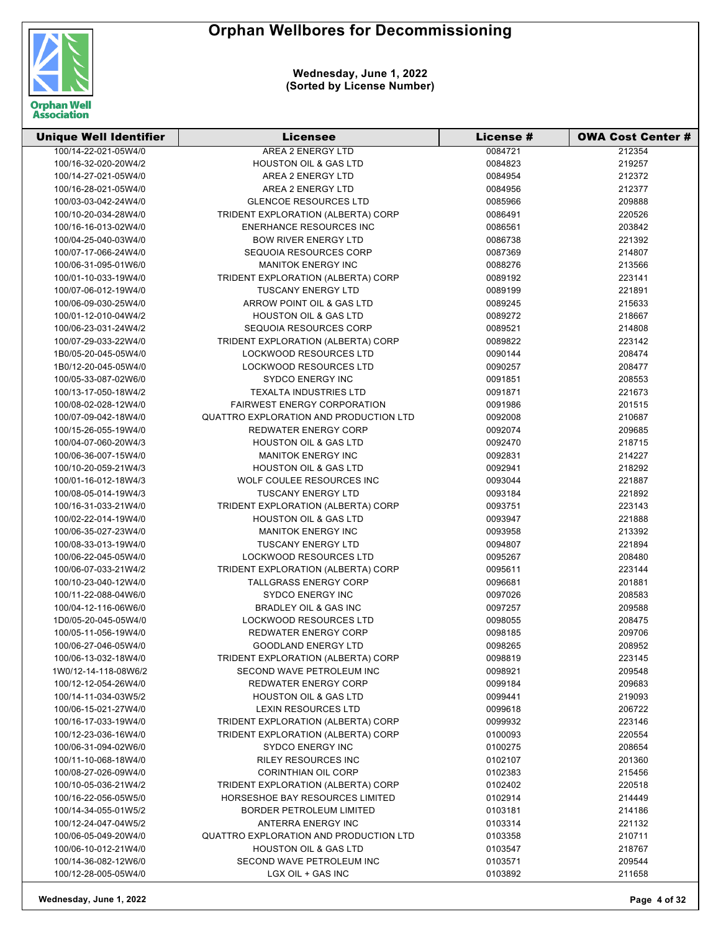

| <b>Unique Well Identifier</b> | <b>Licensee</b>                                                              | License # | <b>OWA Cost Center #</b> |
|-------------------------------|------------------------------------------------------------------------------|-----------|--------------------------|
| 100/14-22-021-05W4/0          | <b>AREA 2 ENERGY LTD</b>                                                     | 0084721   | 212354                   |
| 100/16-32-020-20W4/2          | <b>HOUSTON OIL &amp; GAS LTD</b>                                             | 0084823   | 219257                   |
| 100/14-27-021-05W4/0          | AREA 2 ENERGY LTD                                                            | 0084954   | 212372                   |
| 100/16-28-021-05W4/0          | AREA 2 ENERGY LTD                                                            | 0084956   | 212377                   |
| 100/03-03-042-24W4/0          | <b>GLENCOE RESOURCES LTD</b>                                                 | 0085966   | 209888                   |
| 100/10-20-034-28W4/0          | TRIDENT EXPLORATION (ALBERTA) CORP                                           | 0086491   | 220526                   |
| 100/16-16-013-02W4/0          | <b>ENERHANCE RESOURCES INC</b>                                               | 0086561   | 203842                   |
| 100/04-25-040-03W4/0          | <b>BOW RIVER ENERGY LTD</b>                                                  | 0086738   | 221392                   |
| 100/07-17-066-24W4/0          | SEQUOIA RESOURCES CORP                                                       | 0087369   | 214807                   |
| 100/06-31-095-01W6/0          | <b>MANITOK ENERGY INC</b>                                                    | 0088276   | 213566                   |
| 100/01-10-033-19W4/0          | TRIDENT EXPLORATION (ALBERTA) CORP                                           | 0089192   | 223141                   |
| 100/07-06-012-19W4/0          | <b>TUSCANY ENERGY LTD</b>                                                    | 0089199   | 221891                   |
| 100/06-09-030-25W4/0          | ARROW POINT OIL & GAS LTD                                                    | 0089245   | 215633                   |
| 100/01-12-010-04W4/2          | <b>HOUSTON OIL &amp; GAS LTD</b>                                             | 0089272   | 218667                   |
| 100/06-23-031-24W4/2          | SEQUOIA RESOURCES CORP                                                       | 0089521   | 214808                   |
| 100/07-29-033-22W4/0          | TRIDENT EXPLORATION (ALBERTA) CORP                                           | 0089822   | 223142                   |
| 1B0/05-20-045-05W4/0          | <b>LOCKWOOD RESOURCES LTD</b>                                                | 0090144   | 208474                   |
| 1B0/12-20-045-05W4/0          | <b>LOCKWOOD RESOURCES LTD</b>                                                | 0090257   | 208477                   |
| 100/05-33-087-02W6/0          | <b>SYDCO ENERGY INC</b>                                                      | 0091851   | 208553                   |
| 100/13-17-050-18W4/2          | <b>TEXALTA INDUSTRIES LTD</b>                                                | 0091871   | 221673                   |
| 100/08-02-028-12W4/0          | <b>FAIRWEST ENERGY CORPORATION</b>                                           | 0091986   | 201515                   |
| 100/07-09-042-18W4/0          | QUATTRO EXPLORATION AND PRODUCTION LTD                                       | 0092008   | 210687                   |
| 100/15-26-055-19W4/0          | <b>REDWATER ENERGY CORP</b>                                                  | 0092074   | 209685                   |
| 100/04-07-060-20W4/3          | <b>HOUSTON OIL &amp; GAS LTD</b>                                             | 0092470   | 218715                   |
| 100/06-36-007-15W4/0          | <b>MANITOK ENERGY INC</b>                                                    | 0092831   | 214227                   |
| 100/10-20-059-21W4/3          | <b>HOUSTON OIL &amp; GAS LTD</b>                                             | 0092941   | 218292                   |
| 100/01-16-012-18W4/3          | WOLF COULEE RESOURCES INC                                                    | 0093044   | 221887                   |
| 100/08-05-014-19W4/3          | <b>TUSCANY ENERGY LTD</b>                                                    | 0093184   | 221892                   |
| 100/16-31-033-21W4/0          | TRIDENT EXPLORATION (ALBERTA) CORP                                           | 0093751   | 223143                   |
| 100/02-22-014-19W4/0          | <b>HOUSTON OIL &amp; GAS LTD</b>                                             | 0093947   | 221888                   |
| 100/06-35-027-23W4/0          | <b>MANITOK ENERGY INC</b>                                                    | 0093958   | 213392                   |
| 100/08-33-013-19W4/0          | <b>TUSCANY ENERGY LTD</b>                                                    | 0094807   | 221894                   |
| 100/06-22-045-05W4/0          | LOCKWOOD RESOURCES LTD                                                       | 0095267   | 208480                   |
| 100/06-07-033-21W4/2          | TRIDENT EXPLORATION (ALBERTA) CORP                                           | 0095611   | 223144                   |
| 100/10-23-040-12W4/0          | <b>TALLGRASS ENERGY CORP</b>                                                 | 0096681   | 201881                   |
| 100/11-22-088-04W6/0          | <b>SYDCO ENERGY INC</b>                                                      | 0097026   | 208583                   |
| 100/04-12-116-06W6/0          | BRADLEY OIL & GAS INC                                                        | 0097257   | 209588                   |
| 1D0/05-20-045-05W4/0          | <b>LOCKWOOD RESOURCES LTD</b>                                                | 0098055   | 208475                   |
| 100/05-11-056-19W4/0          | REDWATER ENERGY CORP                                                         | 0098185   | 209706                   |
| 100/06-27-046-05W4/0          | <b>GOODLAND ENERGY LTD</b>                                                   | 0098265   | 208952                   |
| 100/06-13-032-18W4/0          | TRIDENT EXPLORATION (ALBERTA) CORP                                           | 0098819   | 223145                   |
| 1W0/12-14-118-08W6/2          | SECOND WAVE PETROLEUM INC                                                    | 0098921   | 209548                   |
| 100/12-12-054-26W4/0          | <b>REDWATER ENERGY CORP</b>                                                  | 0099184   | 209683                   |
| 100/14-11-034-03W5/2          | <b>HOUSTON OIL &amp; GAS LTD</b>                                             | 0099441   | 219093                   |
| 100/06-15-021-27W4/0          | LEXIN RESOURCES LTD                                                          | 0099618   | 206722                   |
| 100/16-17-033-19W4/0          | TRIDENT EXPLORATION (ALBERTA) CORP                                           | 0099932   | 223146                   |
| 100/12-23-036-16W4/0          | TRIDENT EXPLORATION (ALBERTA) CORP                                           | 0100093   | 220554                   |
| 100/06-31-094-02W6/0          | <b>SYDCO ENERGY INC</b>                                                      | 0100275   | 208654                   |
| 100/11-10-068-18W4/0          | <b>RILEY RESOURCES INC</b>                                                   | 0102107   | 201360                   |
| 100/08-27-026-09W4/0          | <b>CORINTHIAN OIL CORP</b>                                                   | 0102383   | 215456                   |
| 100/10-05-036-21W4/2          |                                                                              |           |                          |
| 100/16-22-056-05W5/0          | TRIDENT EXPLORATION (ALBERTA) CORP<br><b>HORSESHOE BAY RESOURCES LIMITED</b> | 0102402   | 220518                   |
|                               | <b>BORDER PETROLEUM LIMITED</b>                                              | 0102914   | 214449                   |
| 100/14-34-055-01W5/2          |                                                                              | 0103181   | 214186                   |
| 100/12-24-047-04W5/2          | ANTERRA ENERGY INC                                                           | 0103314   | 221132                   |
| 100/06-05-049-20W4/0          | QUATTRO EXPLORATION AND PRODUCTION LTD                                       | 0103358   | 210711                   |
| 100/06-10-012-21W4/0          | <b>HOUSTON OIL &amp; GAS LTD</b>                                             | 0103547   | 218767                   |
| 100/14-36-082-12W6/0          | SECOND WAVE PETROLEUM INC                                                    | 0103571   | 209544                   |
| 100/12-28-005-05W4/0          | LGX OIL + GAS INC                                                            | 0103892   | 211658                   |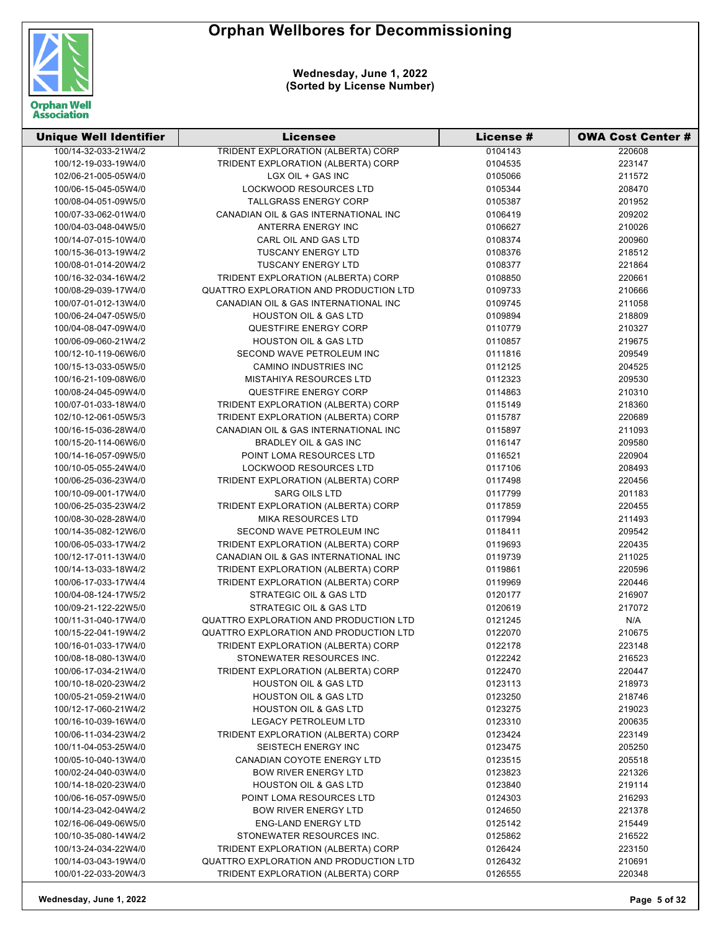

| <b>Unique Well Identifier</b> | <b>Licensee</b>                        | License # | <b>OWA Cost Center #</b> |
|-------------------------------|----------------------------------------|-----------|--------------------------|
| 100/14-32-033-21W4/2          | TRIDENT EXPLORATION (ALBERTA) CORP     | 0104143   | 220608                   |
| 100/12-19-033-19W4/0          | TRIDENT EXPLORATION (ALBERTA) CORP     | 0104535   | 223147                   |
| 102/06-21-005-05W4/0          | LGX OIL + GAS INC                      | 0105066   | 211572                   |
| 100/06-15-045-05W4/0          | <b>LOCKWOOD RESOURCES LTD</b>          | 0105344   | 208470                   |
| 100/08-04-051-09W5/0          | TALLGRASS ENERGY CORP                  | 0105387   | 201952                   |
| 100/07-33-062-01W4/0          | CANADIAN OIL & GAS INTERNATIONAL INC   | 0106419   | 209202                   |
| 100/04-03-048-04W5/0          | ANTERRA ENERGY INC                     | 0106627   | 210026                   |
| 100/14-07-015-10W4/0          | CARL OIL AND GAS LTD                   | 0108374   | 200960                   |
| 100/15-36-013-19W4/2          | <b>TUSCANY ENERGY LTD</b>              | 0108376   | 218512                   |
| 100/08-01-014-20W4/2          | <b>TUSCANY ENERGY LTD</b>              | 0108377   | 221864                   |
| 100/16-32-034-16W4/2          | TRIDENT EXPLORATION (ALBERTA) CORP     | 0108850   | 220661                   |
| 100/08-29-039-17W4/0          | QUATTRO EXPLORATION AND PRODUCTION LTD | 0109733   | 210666                   |
| 100/07-01-012-13W4/0          | CANADIAN OIL & GAS INTERNATIONAL INC   | 0109745   | 211058                   |
| 100/06-24-047-05W5/0          | <b>HOUSTON OIL &amp; GAS LTD</b>       | 0109894   | 218809                   |
| 100/04-08-047-09W4/0          | QUESTFIRE ENERGY CORP                  | 0110779   | 210327                   |
| 100/06-09-060-21W4/2          | <b>HOUSTON OIL &amp; GAS LTD</b>       | 0110857   | 219675                   |
| 100/12-10-119-06W6/0          | SECOND WAVE PETROLEUM INC              | 0111816   | 209549                   |
| 100/15-13-033-05W5/0          | <b>CAMINO INDUSTRIES INC</b>           | 0112125   | 204525                   |
| 100/16-21-109-08W6/0          | MISTAHIYA RESOURCES LTD                | 0112323   | 209530                   |
|                               |                                        |           |                          |
| 100/08-24-045-09W4/0          | QUESTFIRE ENERGY CORP                  | 0114863   | 210310                   |
| 100/07-01-033-18W4/0          | TRIDENT EXPLORATION (ALBERTA) CORP     | 0115149   | 218360                   |
| 102/10-12-061-05W5/3          | TRIDENT EXPLORATION (ALBERTA) CORP     | 0115787   | 220689                   |
| 100/16-15-036-28W4/0          | CANADIAN OIL & GAS INTERNATIONAL INC   | 0115897   | 211093                   |
| 100/15-20-114-06W6/0          | <b>BRADLEY OIL &amp; GAS INC</b>       | 0116147   | 209580                   |
| 100/14-16-057-09W5/0          | POINT LOMA RESOURCES LTD               | 0116521   | 220904                   |
| 100/10-05-055-24W4/0          | LOCKWOOD RESOURCES LTD                 | 0117106   | 208493                   |
| 100/06-25-036-23W4/0          | TRIDENT EXPLORATION (ALBERTA) CORP     | 0117498   | 220456                   |
| 100/10-09-001-17W4/0          | <b>SARG OILS LTD</b>                   | 0117799   | 201183                   |
| 100/06-25-035-23W4/2          | TRIDENT EXPLORATION (ALBERTA) CORP     | 0117859   | 220455                   |
| 100/08-30-028-28W4/0          | <b>MIKA RESOURCES LTD</b>              | 0117994   | 211493                   |
| 100/14-35-082-12W6/0          | SECOND WAVE PETROLEUM INC              | 0118411   | 209542                   |
| 100/06-05-033-17W4/2          | TRIDENT EXPLORATION (ALBERTA) CORP     | 0119693   | 220435                   |
| 100/12-17-011-13W4/0          | CANADIAN OIL & GAS INTERNATIONAL INC   | 0119739   | 211025                   |
| 100/14-13-033-18W4/2          | TRIDENT EXPLORATION (ALBERTA) CORP     | 0119861   | 220596                   |
| 100/06-17-033-17W4/4          | TRIDENT EXPLORATION (ALBERTA) CORP     | 0119969   | 220446                   |
| 100/04-08-124-17W5/2          | STRATEGIC OIL & GAS LTD                | 0120177   | 216907                   |
| 100/09-21-122-22W5/0          | STRATEGIC OIL & GAS LTD                | 0120619   | 217072                   |
| 100/11-31-040-17W4/0          | QUATTRO EXPLORATION AND PRODUCTION LTD | 0121245   | N/A                      |
| 100/15-22-041-19W4/2          | QUATTRO EXPLORATION AND PRODUCTION LTD | 0122070   | 210675                   |
| 100/16-01-033-17W4/0          | TRIDENT EXPLORATION (ALBERTA) CORP     | 0122178   | 223148                   |
| 100/08-18-080-13W4/0          | STONEWATER RESOURCES INC.              | 0122242   | 216523                   |
| 100/06-17-034-21W4/0          | TRIDENT EXPLORATION (ALBERTA) CORP     | 0122470   | 220447                   |
| 100/10-18-020-23W4/2          | <b>HOUSTON OIL &amp; GAS LTD</b>       | 0123113   | 218973                   |
| 100/05-21-059-21W4/0          | <b>HOUSTON OIL &amp; GAS LTD</b>       | 0123250   | 218746                   |
| 100/12-17-060-21W4/2          | <b>HOUSTON OIL &amp; GAS LTD</b>       | 0123275   | 219023                   |
| 100/16-10-039-16W4/0          | <b>LEGACY PETROLEUM LTD</b>            | 0123310   | 200635                   |
| 100/06-11-034-23W4/2          | TRIDENT EXPLORATION (ALBERTA) CORP     | 0123424   | 223149                   |
| 100/11-04-053-25W4/0          | <b>SEISTECH ENERGY INC</b>             | 0123475   | 205250                   |
| 100/05-10-040-13W4/0          | CANADIAN COYOTE ENERGY LTD             | 0123515   | 205518                   |
| 100/02-24-040-03W4/0          | <b>BOW RIVER ENERGY LTD</b>            | 0123823   | 221326                   |
| 100/14-18-020-23W4/0          | <b>HOUSTON OIL &amp; GAS LTD</b>       | 0123840   | 219114                   |
| 100/06-16-057-09W5/0          | POINT LOMA RESOURCES LTD               | 0124303   | 216293                   |
| 100/14-23-042-04W4/2          | <b>BOW RIVER ENERGY LTD</b>            | 0124650   | 221378                   |
| 102/16-06-049-06W5/0          | <b>ENG-LAND ENERGY LTD</b>             | 0125142   | 215449                   |
| 100/10-35-080-14W4/2          | STONEWATER RESOURCES INC.              | 0125862   | 216522                   |
| 100/13-24-034-22W4/0          | TRIDENT EXPLORATION (ALBERTA) CORP     | 0126424   | 223150                   |
| 100/14-03-043-19W4/0          | QUATTRO EXPLORATION AND PRODUCTION LTD | 0126432   | 210691                   |
| 100/01-22-033-20W4/3          | TRIDENT EXPLORATION (ALBERTA) CORP     | 0126555   | 220348                   |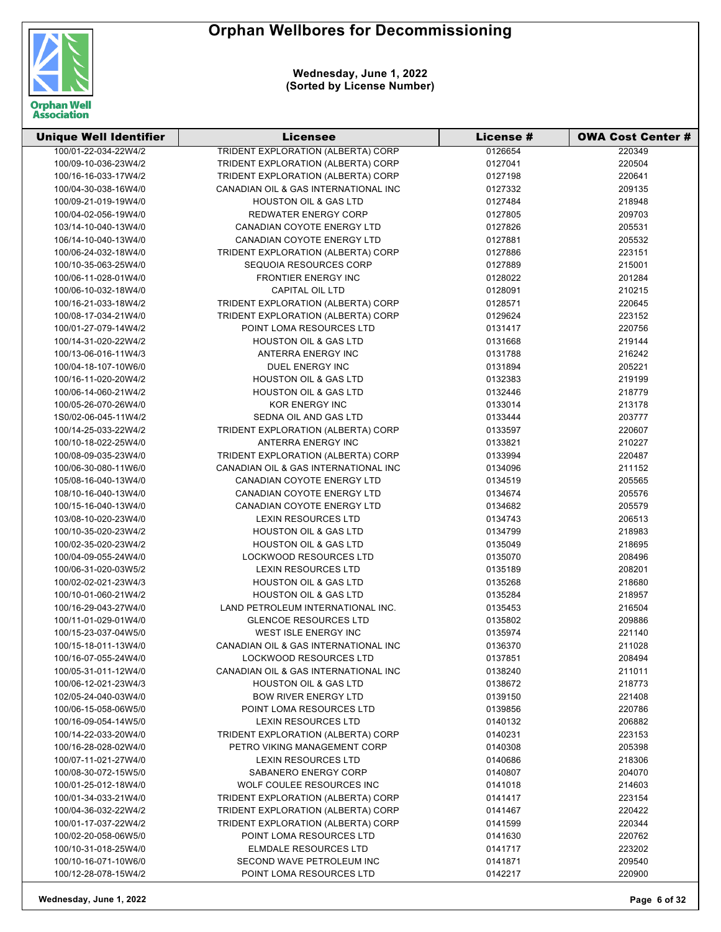

| <b>Unique Well Identifier</b> | Licensee                                  | License # | <b>OWA Cost Center #</b> |
|-------------------------------|-------------------------------------------|-----------|--------------------------|
| 100/01-22-034-22W4/2          | <b>TRIDENT EXPLORATION (ALBERTA) CORP</b> | 0126654   | 220349                   |
| 100/09-10-036-23W4/2          | TRIDENT EXPLORATION (ALBERTA) CORP        | 0127041   | 220504                   |
| 100/16-16-033-17W4/2          | TRIDENT EXPLORATION (ALBERTA) CORP        | 0127198   | 220641                   |
| 100/04-30-038-16W4/0          | CANADIAN OIL & GAS INTERNATIONAL INC      | 0127332   | 209135                   |
| 100/09-21-019-19W4/0          | <b>HOUSTON OIL &amp; GAS LTD</b>          | 0127484   | 218948                   |
| 100/04-02-056-19W4/0          | REDWATER ENERGY CORP                      | 0127805   | 209703                   |
| 103/14-10-040-13W4/0          | CANADIAN COYOTE ENERGY LTD                | 0127826   | 205531                   |
| 106/14-10-040-13W4/0          | CANADIAN COYOTE ENERGY LTD                | 0127881   | 205532                   |
| 100/06-24-032-18W4/0          | TRIDENT EXPLORATION (ALBERTA) CORP        | 0127886   | 223151                   |
| 100/10-35-063-25W4/0          | SEQUOIA RESOURCES CORP                    | 0127889   | 215001                   |
| 100/06-11-028-01W4/0          | <b>FRONTIER ENERGY INC</b>                | 0128022   | 201284                   |
| 100/06-10-032-18W4/0          | CAPITAL OIL LTD                           | 0128091   | 210215                   |
| 100/16-21-033-18W4/2          | TRIDENT EXPLORATION (ALBERTA) CORP        | 0128571   | 220645                   |
| 100/08-17-034-21W4/0          | TRIDENT EXPLORATION (ALBERTA) CORP        | 0129624   | 223152                   |
| 100/01-27-079-14W4/2          | POINT LOMA RESOURCES LTD                  | 0131417   | 220756                   |
| 100/14-31-020-22W4/2          | <b>HOUSTON OIL &amp; GAS LTD</b>          | 0131668   | 219144                   |
| 100/13-06-016-11W4/3          | ANTERRA ENERGY INC                        | 0131788   | 216242                   |
| 100/04-18-107-10W6/0          | DUEL ENERGY INC                           | 0131894   | 205221                   |
| 100/16-11-020-20W4/2          | <b>HOUSTON OIL &amp; GAS LTD</b>          | 0132383   | 219199                   |
| 100/06-14-060-21W4/2          | <b>HOUSTON OIL &amp; GAS LTD</b>          | 0132446   | 218779                   |
| 100/05-26-070-26W4/0          | <b>KOR ENERGY INC</b>                     | 0133014   | 213178                   |
| 1S0/02-06-045-11W4/2          | SEDNA OIL AND GAS LTD                     | 0133444   | 203777                   |
| 100/14-25-033-22W4/2          | TRIDENT EXPLORATION (ALBERTA) CORP        | 0133597   | 220607                   |
| 100/10-18-022-25W4/0          | ANTERRA ENERGY INC                        | 0133821   | 210227                   |
| 100/08-09-035-23W4/0          | TRIDENT EXPLORATION (ALBERTA) CORP        | 0133994   | 220487                   |
| 100/06-30-080-11W6/0          | CANADIAN OIL & GAS INTERNATIONAL INC      | 0134096   | 211152                   |
| 105/08-16-040-13W4/0          | CANADIAN COYOTE ENERGY LTD                | 0134519   | 205565                   |
| 108/10-16-040-13W4/0          | CANADIAN COYOTE ENERGY LTD                | 0134674   | 205576                   |
| 100/15-16-040-13W4/0          | CANADIAN COYOTE ENERGY LTD                | 0134682   | 205579                   |
| 103/08-10-020-23W4/0          | <b>LEXIN RESOURCES LTD</b>                | 0134743   | 206513                   |
| 100/10-35-020-23W4/2          | <b>HOUSTON OIL &amp; GAS LTD</b>          | 0134799   | 218983                   |
| 100/02-35-020-23W4/2          | <b>HOUSTON OIL &amp; GAS LTD</b>          | 0135049   | 218695                   |
| 100/04-09-055-24W4/0          | <b>LOCKWOOD RESOURCES LTD</b>             | 0135070   | 208496                   |
| 100/06-31-020-03W5/2          | <b>LEXIN RESOURCES LTD</b>                | 0135189   | 208201                   |
| 100/02-02-021-23W4/3          | <b>HOUSTON OIL &amp; GAS LTD</b>          | 0135268   | 218680                   |
| 100/10-01-060-21W4/2          | <b>HOUSTON OIL &amp; GAS LTD</b>          | 0135284   | 218957                   |
| 100/16-29-043-27W4/0          | LAND PETROLEUM INTERNATIONAL INC.         | 0135453   | 216504                   |
| 100/11-01-029-01W4/0          | <b>GLENCOE RESOURCES LTD</b>              | 0135802   | 209886                   |
| 100/15-23-037-04W5/0          | WEST ISLE ENERGY INC                      | 0135974   | 221140                   |
| 100/15-18-011-13W4/0          | CANADIAN OIL & GAS INTERNATIONAL INC      | 0136370   | 211028                   |
| 100/16-07-055-24W4/0          | <b>LOCKWOOD RESOURCES LTD</b>             | 0137851   | 208494                   |
| 100/05-31-011-12W4/0          | CANADIAN OIL & GAS INTERNATIONAL INC      | 0138240   | 211011                   |
| 100/06-12-021-23W4/3          | <b>HOUSTON OIL &amp; GAS LTD</b>          | 0138672   | 218773                   |
| 102/05-24-040-03W4/0          | <b>BOW RIVER ENERGY LTD</b>               | 0139150   | 221408                   |
| 100/06-15-058-06W5/0          | POINT LOMA RESOURCES LTD                  | 0139856   | 220786                   |
| 100/16-09-054-14W5/0          | <b>LEXIN RESOURCES LTD</b>                | 0140132   | 206882                   |
| 100/14-22-033-20W4/0          | TRIDENT EXPLORATION (ALBERTA) CORP        | 0140231   | 223153                   |
| 100/16-28-028-02W4/0          | PETRO VIKING MANAGEMENT CORP              | 0140308   | 205398                   |
| 100/07-11-021-27W4/0          | LEXIN RESOURCES LTD                       | 0140686   | 218306                   |
| 100/08-30-072-15W5/0          | SABANERO ENERGY CORP                      | 0140807   | 204070                   |
| 100/01-25-012-18W4/0          | WOLF COULEE RESOURCES INC                 | 0141018   | 214603                   |
| 100/01-34-033-21W4/0          | TRIDENT EXPLORATION (ALBERTA) CORP        | 0141417   | 223154                   |
| 100/04-36-032-22W4/2          | TRIDENT EXPLORATION (ALBERTA) CORP        | 0141467   | 220422                   |
| 100/01-17-037-22W4/2          | TRIDENT EXPLORATION (ALBERTA) CORP        | 0141599   | 220344                   |
| 100/02-20-058-06W5/0          | POINT LOMA RESOURCES LTD                  | 0141630   | 220762                   |
| 100/10-31-018-25W4/0          | ELMDALE RESOURCES LTD                     | 0141717   | 223202                   |
| 100/10-16-071-10W6/0          | SECOND WAVE PETROLEUM INC                 | 0141871   | 209540                   |
| 100/12-28-078-15W4/2          | POINT LOMA RESOURCES LTD                  | 0142217   | 220900                   |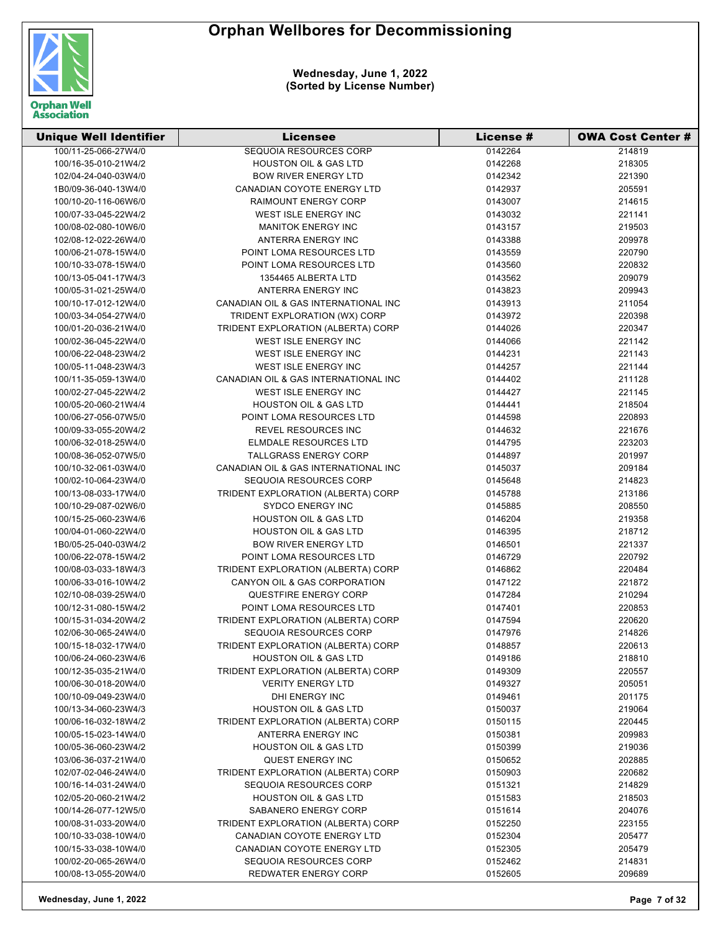

| <b>Unique Well Identifier</b>                | <b>Licensee</b>                                                        | <b>License #</b> | <b>OWA Cost Center #</b> |
|----------------------------------------------|------------------------------------------------------------------------|------------------|--------------------------|
| 100/11-25-066-27W4/0                         | SEQUOIA RESOURCES CORP                                                 | 0142264          | 214819                   |
| 100/16-35-010-21W4/2                         | <b>HOUSTON OIL &amp; GAS LTD</b>                                       | 0142268          | 218305                   |
| 102/04-24-040-03W4/0                         | <b>BOW RIVER ENERGY LTD</b>                                            | 0142342          | 221390                   |
| 1B0/09-36-040-13W4/0                         | CANADIAN COYOTE ENERGY LTD                                             | 0142937          | 205591                   |
| 100/10-20-116-06W6/0                         | <b>RAIMOUNT ENERGY CORP</b>                                            | 0143007          | 214615                   |
| 100/07-33-045-22W4/2                         | WEST ISLE ENERGY INC                                                   | 0143032          | 221141                   |
| 100/08-02-080-10W6/0                         | <b>MANITOK ENERGY INC</b>                                              | 0143157          | 219503                   |
| 102/08-12-022-26W4/0                         | ANTERRA ENERGY INC                                                     | 0143388          | 209978                   |
| 100/06-21-078-15W4/0                         | POINT LOMA RESOURCES LTD                                               | 0143559          | 220790                   |
| 100/10-33-078-15W4/0                         | POINT LOMA RESOURCES LTD                                               | 0143560          | 220832                   |
| 100/13-05-041-17W4/3                         | 1354465 ALBERTA LTD                                                    | 0143562          | 209079                   |
| 100/05-31-021-25W4/0                         | ANTERRA ENERGY INC                                                     | 0143823          | 209943                   |
| 100/10-17-012-12W4/0                         | CANADIAN OIL & GAS INTERNATIONAL INC                                   | 0143913          | 211054                   |
| 100/03-34-054-27W4/0                         | TRIDENT EXPLORATION (WX) CORP                                          | 0143972          | 220398                   |
| 100/01-20-036-21W4/0                         | TRIDENT EXPLORATION (ALBERTA) CORP                                     | 0144026          | 220347                   |
| 100/02-36-045-22W4/0                         | WEST ISLE ENERGY INC                                                   | 0144066          | 221142                   |
| 100/06-22-048-23W4/2                         | WEST ISLE ENERGY INC                                                   | 0144231          | 221143                   |
| 100/05-11-048-23W4/3                         | WEST ISLE ENERGY INC                                                   | 0144257          | 221144                   |
| 100/11-35-059-13W4/0                         | CANADIAN OIL & GAS INTERNATIONAL INC                                   | 0144402          | 211128                   |
| 100/02-27-045-22W4/2                         | WEST ISLE ENERGY INC                                                   | 0144427          | 221145                   |
| 100/05-20-060-21W4/4                         | <b>HOUSTON OIL &amp; GAS LTD</b>                                       | 0144441          | 218504                   |
| 100/06-27-056-07W5/0                         | POINT LOMA RESOURCES LTD                                               | 0144598          | 220893                   |
| 100/09-33-055-20W4/2                         | <b>REVEL RESOURCES INC</b>                                             | 0144632          | 221676                   |
| 100/06-32-018-25W4/0                         | ELMDALE RESOURCES LTD                                                  | 0144795          | 223203                   |
| 100/08-36-052-07W5/0                         | TALLGRASS ENERGY CORP                                                  | 0144897          | 201997                   |
| 100/10-32-061-03W4/0                         | CANADIAN OIL & GAS INTERNATIONAL INC                                   | 0145037          | 209184                   |
| 100/02-10-064-23W4/0                         | SEQUOIA RESOURCES CORP                                                 | 0145648          | 214823                   |
| 100/13-08-033-17W4/0                         | TRIDENT EXPLORATION (ALBERTA) CORP                                     | 0145788          | 213186                   |
| 100/10-29-087-02W6/0                         | <b>SYDCO ENERGY INC</b>                                                | 0145885          | 208550                   |
| 100/15-25-060-23W4/6                         | <b>HOUSTON OIL &amp; GAS LTD</b>                                       | 0146204          | 219358                   |
| 100/04-01-060-22W4/0                         | <b>HOUSTON OIL &amp; GAS LTD</b>                                       | 0146395          | 218712                   |
| 1B0/05-25-040-03W4/2                         | <b>BOW RIVER ENERGY LTD</b>                                            | 0146501          | 221337                   |
| 100/06-22-078-15W4/2                         | POINT LOMA RESOURCES LTD                                               | 0146729          | 220792                   |
| 100/08-03-033-18W4/3                         | TRIDENT EXPLORATION (ALBERTA) CORP                                     | 0146862          | 220484                   |
| 100/06-33-016-10W4/2                         | CANYON OIL & GAS CORPORATION                                           | 0147122          | 221872                   |
| 102/10-08-039-25W4/0                         | QUESTFIRE ENERGY CORP                                                  | 0147284          | 210294                   |
|                                              |                                                                        |                  |                          |
| 100/12-31-080-15W4/2                         | POINT LOMA RESOURCES LTD<br>TRIDENT EXPLORATION (ALBERTA) CORP         | 0147401          | 220853                   |
| 100/15-31-034-20W4/2<br>102/06-30-065-24W4/0 |                                                                        | 0147594          | 220620                   |
|                                              | SEQUOIA RESOURCES CORP                                                 | 0147976          | 214826                   |
| 100/15-18-032-17W4/0                         | TRIDENT EXPLORATION (ALBERTA) CORP<br><b>HOUSTON OIL &amp; GAS LTD</b> | 0148857          | 220613                   |
| 100/06-24-060-23W4/6                         |                                                                        | 0149186          | 218810                   |
| 100/12-35-035-21W4/0                         | TRIDENT EXPLORATION (ALBERTA) CORP                                     | 0149309          | 220557                   |
| 100/06-30-018-20W4/0                         | <b>VERITY ENERGY LTD</b>                                               | 0149327          | 205051                   |
| 100/10-09-049-23W4/0                         | <b>DHI ENERGY INC</b>                                                  | 0149461          | 201175                   |
| 100/13-34-060-23W4/3                         | <b>HOUSTON OIL &amp; GAS LTD</b>                                       | 0150037          | 219064                   |
| 100/06-16-032-18W4/2                         | TRIDENT EXPLORATION (ALBERTA) CORP                                     | 0150115          | 220445                   |
| 100/05-15-023-14W4/0                         | ANTERRA ENERGY INC                                                     | 0150381          | 209983                   |
| 100/05-36-060-23W4/2                         | <b>HOUSTON OIL &amp; GAS LTD</b>                                       | 0150399          | 219036                   |
| 103/06-36-037-21W4/0                         | <b>QUEST ENERGY INC</b>                                                | 0150652          | 202885                   |
| 102/07-02-046-24W4/0                         | TRIDENT EXPLORATION (ALBERTA) CORP                                     | 0150903          | 220682                   |
| 100/16-14-031-24W4/0                         | SEQUOIA RESOURCES CORP                                                 | 0151321          | 214829                   |
| 102/05-20-060-21W4/2                         | <b>HOUSTON OIL &amp; GAS LTD</b>                                       | 0151583          | 218503                   |
| 100/14-26-077-12W5/0                         | SABANERO ENERGY CORP                                                   | 0151614          | 204076                   |
| 100/08-31-033-20W4/0                         | TRIDENT EXPLORATION (ALBERTA) CORP                                     | 0152250          | 223155                   |
| 100/10-33-038-10W4/0                         | CANADIAN COYOTE ENERGY LTD                                             | 0152304          | 205477                   |
| 100/15-33-038-10W4/0                         | CANADIAN COYOTE ENERGY LTD                                             | 0152305          | 205479                   |
| 100/02-20-065-26W4/0                         | SEQUOIA RESOURCES CORP                                                 | 0152462          | 214831                   |
| 100/08-13-055-20W4/0                         | REDWATER ENERGY CORP                                                   | 0152605          | 209689                   |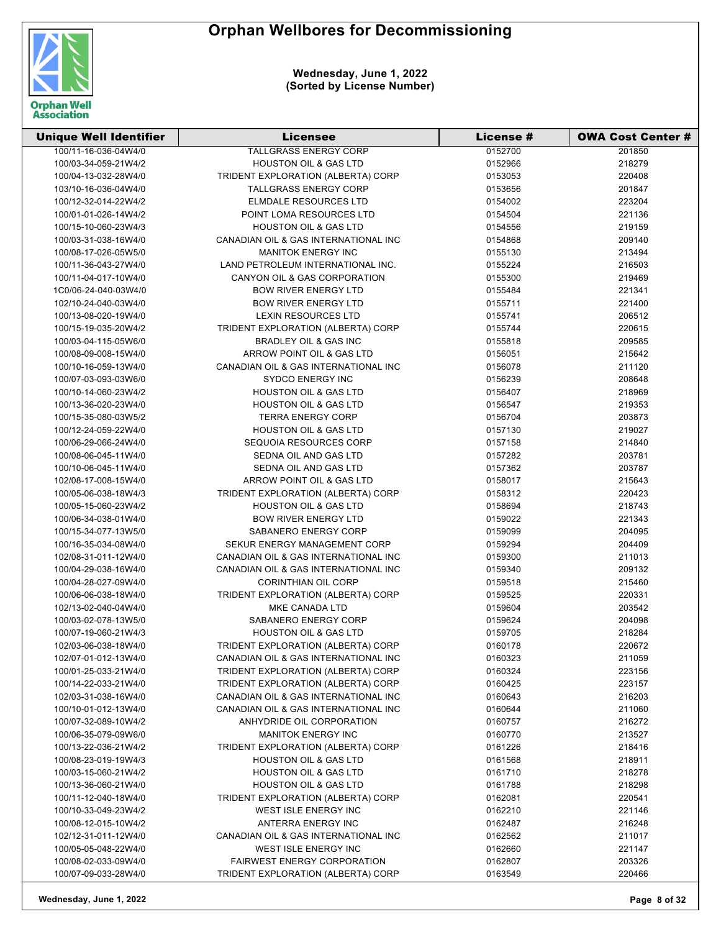

| <b>Unique Well Identifier</b>                | <b>Licensee</b>                      | <b>License #</b> | <b>OWA Cost Center #</b> |
|----------------------------------------------|--------------------------------------|------------------|--------------------------|
| 100/11-16-036-04W4/0                         | <b>TALLGRASS ENERGY CORP</b>         | 0152700          | 201850                   |
| 100/03-34-059-21W4/2                         | <b>HOUSTON OIL &amp; GAS LTD</b>     | 0152966          | 218279                   |
| 100/04-13-032-28W4/0                         | TRIDENT EXPLORATION (ALBERTA) CORP   | 0153053          | 220408                   |
| 103/10-16-036-04W4/0                         | <b>TALLGRASS ENERGY CORP</b>         | 0153656          | 201847                   |
| 100/12-32-014-22W4/2                         | ELMDALE RESOURCES LTD                | 0154002          | 223204                   |
| 100/01-01-026-14W4/2                         | POINT LOMA RESOURCES LTD             | 0154504          | 221136                   |
| 100/15-10-060-23W4/3                         | <b>HOUSTON OIL &amp; GAS LTD</b>     | 0154556          | 219159                   |
| 100/03-31-038-16W4/0                         | CANADIAN OIL & GAS INTERNATIONAL INC | 0154868          | 209140                   |
| 100/08-17-026-05W5/0                         | <b>MANITOK ENERGY INC</b>            | 0155130          | 213494                   |
| 100/11-36-043-27W4/0                         | LAND PETROLEUM INTERNATIONAL INC.    | 0155224          | 216503                   |
| 100/11-04-017-10W4/0                         | CANYON OIL & GAS CORPORATION         | 0155300          | 219469                   |
| 1C0/06-24-040-03W4/0                         | <b>BOW RIVER ENERGY LTD</b>          | 0155484          | 221341                   |
| 102/10-24-040-03W4/0                         | <b>BOW RIVER ENERGY LTD</b>          | 0155711          | 221400                   |
| 100/13-08-020-19W4/0                         | LEXIN RESOURCES LTD                  | 0155741          | 206512                   |
| 100/15-19-035-20W4/2                         | TRIDENT EXPLORATION (ALBERTA) CORP   | 0155744          | 220615                   |
| 100/03-04-115-05W6/0                         | BRADLEY OIL & GAS INC                | 0155818          | 209585                   |
| 100/08-09-008-15W4/0                         | ARROW POINT OIL & GAS LTD            | 0156051          | 215642                   |
| 100/10-16-059-13W4/0                         | CANADIAN OIL & GAS INTERNATIONAL INC | 0156078          | 211120                   |
| 100/07-03-093-03W6/0                         | <b>SYDCO ENERGY INC</b>              | 0156239          | 208648                   |
| 100/10-14-060-23W4/2                         | <b>HOUSTON OIL &amp; GAS LTD</b>     | 0156407          | 218969                   |
| 100/13-36-020-23W4/0                         | <b>HOUSTON OIL &amp; GAS LTD</b>     | 0156547          | 219353                   |
| 100/15-35-080-03W5/2                         | <b>TERRA ENERGY CORP</b>             | 0156704          | 203873                   |
| 100/12-24-059-22W4/0                         | <b>HOUSTON OIL &amp; GAS LTD</b>     | 0157130          | 219027                   |
| 100/06-29-066-24W4/0                         | SEQUOIA RESOURCES CORP               | 0157158          | 214840                   |
| 100/08-06-045-11W4/0                         | SEDNA OIL AND GAS LTD                | 0157282          | 203781                   |
| 100/10-06-045-11W4/0                         | SEDNA OIL AND GAS LTD                | 0157362          | 203787                   |
| 102/08-17-008-15W4/0                         | ARROW POINT OIL & GAS LTD            | 0158017          | 215643                   |
| 100/05-06-038-18W4/3                         | TRIDENT EXPLORATION (ALBERTA) CORP   | 0158312          | 220423                   |
| 100/05-15-060-23W4/2                         | <b>HOUSTON OIL &amp; GAS LTD</b>     | 0158694          | 218743                   |
| 100/06-34-038-01W4/0                         | <b>BOW RIVER ENERGY LTD</b>          | 0159022          | 221343                   |
| 100/15-34-077-13W5/0                         | SABANERO ENERGY CORP                 | 0159099          | 204095                   |
| 100/16-35-034-08W4/0                         | SEKUR ENERGY MANAGEMENT CORP         | 0159294          | 204409                   |
| 102/08-31-011-12W4/0                         | CANADIAN OIL & GAS INTERNATIONAL INC | 0159300          | 211013                   |
| 100/04-29-038-16W4/0                         | CANADIAN OIL & GAS INTERNATIONAL INC | 0159340          | 209132                   |
| 100/04-28-027-09W4/0                         | <b>CORINTHIAN OIL CORP</b>           | 0159518          | 215460                   |
| 100/06-06-038-18W4/0                         | TRIDENT EXPLORATION (ALBERTA) CORP   | 0159525          | 220331                   |
| 102/13-02-040-04W4/0                         | MKE CANADA LTD                       | 0159604          | 203542                   |
| 100/03-02-078-13W5/0                         | SABANERO ENERGY CORP                 | 0159624          | 204098                   |
| 100/07-19-060-21W4/3                         | <b>HOUSTON OIL &amp; GAS LTD</b>     | 0159705          | 218284                   |
| 102/03-06-038-18W4/0                         | TRIDENT EXPLORATION (ALBERTA) CORP   | 0160178          | 220672                   |
| 102/07-01-012-13W4/0                         | CANADIAN OIL & GAS INTERNATIONAL INC | 0160323          | 211059                   |
| 100/01-25-033-21W4/0                         | TRIDENT EXPLORATION (ALBERTA) CORP   | 0160324          | 223156                   |
| 100/14-22-033-21W4/0                         | TRIDENT EXPLORATION (ALBERTA) CORP   | 0160425          | 223157                   |
| 102/03-31-038-16W4/0                         | CANADIAN OIL & GAS INTERNATIONAL INC | 0160643          | 216203                   |
| 100/10-01-012-13W4/0                         | CANADIAN OIL & GAS INTERNATIONAL INC | 0160644          | 211060                   |
| 100/07-32-089-10W4/2                         | ANHYDRIDE OIL CORPORATION            | 0160757          | 216272                   |
| 100/06-35-079-09W6/0                         | <b>MANITOK ENERGY INC</b>            | 0160770          | 213527                   |
| 100/13-22-036-21W4/2                         | TRIDENT EXPLORATION (ALBERTA) CORP   | 0161226          | 218416                   |
| 100/08-23-019-19W4/3                         | <b>HOUSTON OIL &amp; GAS LTD</b>     | 0161568          | 218911                   |
| 100/03-15-060-21W4/2                         | <b>HOUSTON OIL &amp; GAS LTD</b>     |                  |                          |
|                                              |                                      | 0161710          | 218278                   |
| 100/13-36-060-21W4/0<br>100/11-12-040-18W4/0 | <b>HOUSTON OIL &amp; GAS LTD</b>     | 0161788          | 218298                   |
|                                              | TRIDENT EXPLORATION (ALBERTA) CORP   | 0162081          | 220541                   |
| 100/10-33-049-23W4/2                         | WEST ISLE ENERGY INC                 | 0162210          | 221146                   |
| 100/08-12-015-10W4/2                         | ANTERRA ENERGY INC                   | 0162487          | 216248                   |
| 102/12-31-011-12W4/0                         | CANADIAN OIL & GAS INTERNATIONAL INC | 0162562          | 211017                   |
| 100/05-05-048-22W4/0                         | WEST ISLE ENERGY INC                 | 0162660          | 221147                   |
| 100/08-02-033-09W4/0                         | <b>FAIRWEST ENERGY CORPORATION</b>   | 0162807          | 203326                   |
| 100/07-09-033-28W4/0                         | TRIDENT EXPLORATION (ALBERTA) CORP   | 0163549          | 220466                   |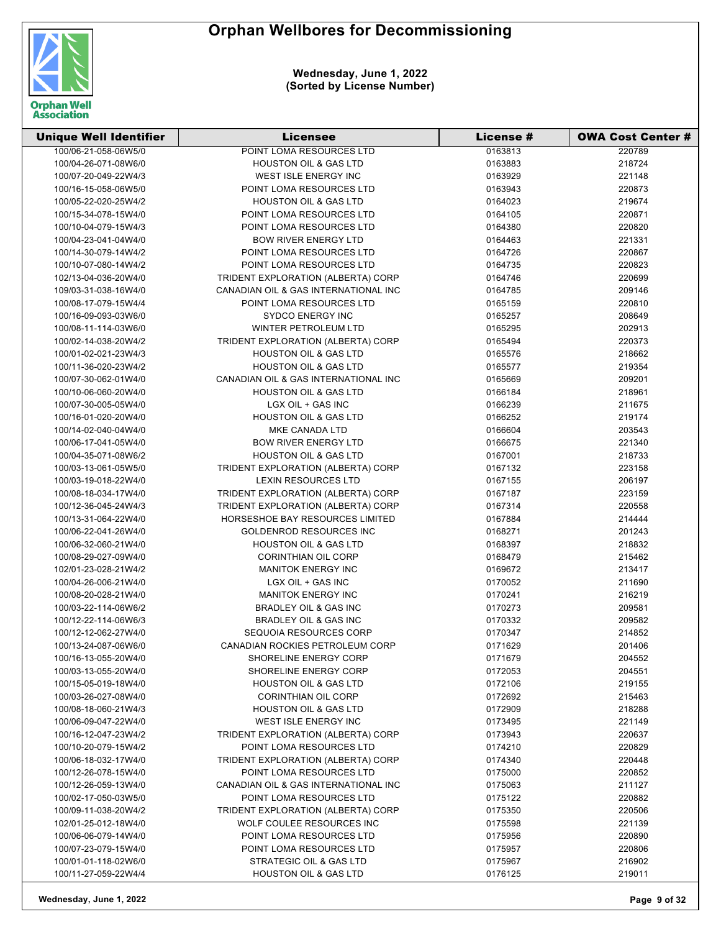

| <b>Unique Well Identifier</b> | Licensee                             | License # | <b>OWA Cost Center #</b> |
|-------------------------------|--------------------------------------|-----------|--------------------------|
| 100/06-21-058-06W5/0          | POINT LOMA RESOURCES LTD             | 0163813   | 220789                   |
| 100/04-26-071-08W6/0          | <b>HOUSTON OIL &amp; GAS LTD</b>     | 0163883   | 218724                   |
| 100/07-20-049-22W4/3          | WEST ISLE ENERGY INC                 | 0163929   | 221148                   |
| 100/16-15-058-06W5/0          | POINT LOMA RESOURCES LTD             | 0163943   | 220873                   |
| 100/05-22-020-25W4/2          | <b>HOUSTON OIL &amp; GAS LTD</b>     | 0164023   | 219674                   |
| 100/15-34-078-15W4/0          | POINT LOMA RESOURCES LTD             | 0164105   | 220871                   |
| 100/10-04-079-15W4/3          | POINT LOMA RESOURCES LTD             | 0164380   | 220820                   |
| 100/04-23-041-04W4/0          | <b>BOW RIVER ENERGY LTD</b>          | 0164463   | 221331                   |
| 100/14-30-079-14W4/2          | POINT LOMA RESOURCES LTD             | 0164726   | 220867                   |
| 100/10-07-080-14W4/2          | POINT LOMA RESOURCES LTD             | 0164735   | 220823                   |
| 102/13-04-036-20W4/0          | TRIDENT EXPLORATION (ALBERTA) CORP   | 0164746   | 220699                   |
| 109/03-31-038-16W4/0          | CANADIAN OIL & GAS INTERNATIONAL INC | 0164785   | 209146                   |
| 100/08-17-079-15W4/4          | POINT LOMA RESOURCES LTD             | 0165159   | 220810                   |
| 100/16-09-093-03W6/0          | <b>SYDCO ENERGY INC</b>              | 0165257   | 208649                   |
| 100/08-11-114-03W6/0          | WINTER PETROLEUM LTD                 | 0165295   | 202913                   |
| 100/02-14-038-20W4/2          | TRIDENT EXPLORATION (ALBERTA) CORP   | 0165494   | 220373                   |
| 100/01-02-021-23W4/3          | <b>HOUSTON OIL &amp; GAS LTD</b>     | 0165576   | 218662                   |
| 100/11-36-020-23W4/2          | <b>HOUSTON OIL &amp; GAS LTD</b>     | 0165577   | 219354                   |
| 100/07-30-062-01W4/0          | CANADIAN OIL & GAS INTERNATIONAL INC | 0165669   | 209201                   |
| 100/10-06-060-20W4/0          | <b>HOUSTON OIL &amp; GAS LTD</b>     | 0166184   | 218961                   |
| 100/07-30-005-05W4/0          | LGX OIL + GAS INC                    | 0166239   | 211675                   |
| 100/16-01-020-20W4/0          | <b>HOUSTON OIL &amp; GAS LTD</b>     | 0166252   | 219174                   |
| 100/14-02-040-04W4/0          | MKE CANADA LTD                       | 0166604   | 203543                   |
| 100/06-17-041-05W4/0          | <b>BOW RIVER ENERGY LTD</b>          | 0166675   | 221340                   |
| 100/04-35-071-08W6/2          | <b>HOUSTON OIL &amp; GAS LTD</b>     | 0167001   | 218733                   |
| 100/03-13-061-05W5/0          | TRIDENT EXPLORATION (ALBERTA) CORP   | 0167132   | 223158                   |
| 100/03-19-018-22W4/0          | <b>LEXIN RESOURCES LTD</b>           | 0167155   | 206197                   |
| 100/08-18-034-17W4/0          | TRIDENT EXPLORATION (ALBERTA) CORP   | 0167187   | 223159                   |
| 100/12-36-045-24W4/3          | TRIDENT EXPLORATION (ALBERTA) CORP   | 0167314   | 220558                   |
| 100/13-31-064-22W4/0          | HORSESHOE BAY RESOURCES LIMITED      | 0167884   | 214444                   |
| 100/06-22-041-26W4/0          | <b>GOLDENROD RESOURCES INC</b>       | 0168271   | 201243                   |
| 100/06-32-060-21W4/0          | <b>HOUSTON OIL &amp; GAS LTD</b>     | 0168397   | 218832                   |
| 100/08-29-027-09W4/0          | <b>CORINTHIAN OIL CORP</b>           | 0168479   | 215462                   |
| 102/01-23-028-21W4/2          | <b>MANITOK ENERGY INC</b>            | 0169672   | 213417                   |
| 100/04-26-006-21W4/0          | LGX OIL + GAS INC                    | 0170052   | 211690                   |
| 100/08-20-028-21W4/0          | <b>MANITOK ENERGY INC</b>            | 0170241   | 216219                   |
| 100/03-22-114-06W6/2          | BRADLEY OIL & GAS INC                | 0170273   | 209581                   |
| 100/12-22-114-06W6/3          | <b>BRADLEY OIL &amp; GAS INC</b>     | 0170332   | 209582                   |
| 100/12-12-062-27W4/0          | SEQUOIA RESOURCES CORP               | 0170347   | 214852                   |
| 100/13-24-087-06W6/0          | CANADIAN ROCKIES PETROLEUM CORP      | 0171629   | 201406                   |
| 100/16-13-055-20W4/0          | SHORELINE ENERGY CORP                | 0171679   | 204552                   |
| 100/03-13-055-20W4/0          | SHORELINE ENERGY CORP                | 0172053   | 204551                   |
| 100/15-05-019-18W4/0          | <b>HOUSTON OIL &amp; GAS LTD</b>     | 0172106   | 219155                   |
| 100/03-26-027-08W4/0          | <b>CORINTHIAN OIL CORP</b>           | 0172692   | 215463                   |
| 100/08-18-060-21W4/3          | <b>HOUSTON OIL &amp; GAS LTD</b>     | 0172909   | 218288                   |
| 100/06-09-047-22W4/0          | WEST ISLE ENERGY INC                 | 0173495   | 221149                   |
| 100/16-12-047-23W4/2          | TRIDENT EXPLORATION (ALBERTA) CORP   | 0173943   | 220637                   |
| 100/10-20-079-15W4/2          | POINT LOMA RESOURCES LTD             | 0174210   | 220829                   |
| 100/06-18-032-17W4/0          | TRIDENT EXPLORATION (ALBERTA) CORP   | 0174340   | 220448                   |
| 100/12-26-078-15W4/0          | POINT LOMA RESOURCES LTD             | 0175000   | 220852                   |
| 100/12-26-059-13W4/0          | CANADIAN OIL & GAS INTERNATIONAL INC | 0175063   | 211127                   |
| 100/02-17-050-03W5/0          | POINT LOMA RESOURCES LTD             | 0175122   | 220882                   |
| 100/09-11-038-20W4/2          | TRIDENT EXPLORATION (ALBERTA) CORP   | 0175350   | 220506                   |
| 102/01-25-012-18W4/0          | WOLF COULEE RESOURCES INC            | 0175598   | 221139                   |
| 100/06-06-079-14W4/0          | POINT LOMA RESOURCES LTD             | 0175956   | 220890                   |
| 100/07-23-079-15W4/0          | POINT LOMA RESOURCES LTD             | 0175957   | 220806                   |
| 100/01-01-118-02W6/0          | STRATEGIC OIL & GAS LTD              | 0175967   | 216902                   |
| 100/11-27-059-22W4/4          | <b>HOUSTON OIL &amp; GAS LTD</b>     | 0176125   | 219011                   |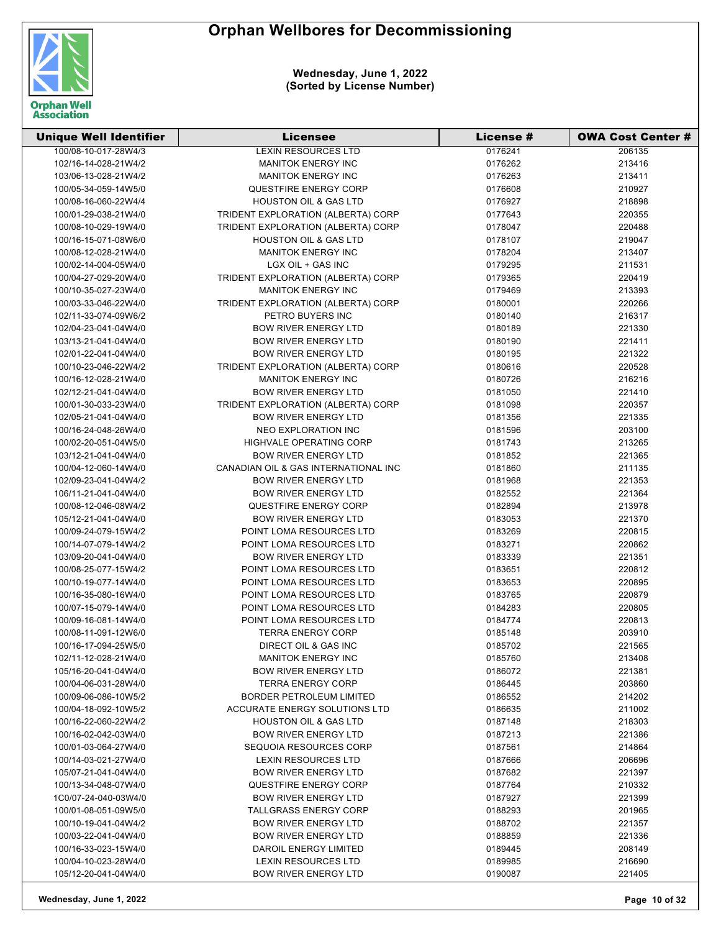

| <b>Unique Well Identifier</b> | <b>Licensee</b>                      | License # | <b>OWA Cost Center #</b> |
|-------------------------------|--------------------------------------|-----------|--------------------------|
| 100/08-10-017-28W4/3          | <b>LEXIN RESOURCES LTD</b>           | 0176241   | 206135                   |
| 102/16-14-028-21W4/2          | <b>MANITOK ENERGY INC</b>            | 0176262   | 213416                   |
| 103/06-13-028-21W4/2          | <b>MANITOK ENERGY INC</b>            | 0176263   | 213411                   |
| 100/05-34-059-14W5/0          | <b>QUESTFIRE ENERGY CORP</b>         | 0176608   | 210927                   |
| 100/08-16-060-22W4/4          | <b>HOUSTON OIL &amp; GAS LTD</b>     | 0176927   | 218898                   |
| 100/01-29-038-21W4/0          | TRIDENT EXPLORATION (ALBERTA) CORP   | 0177643   | 220355                   |
| 100/08-10-029-19W4/0          | TRIDENT EXPLORATION (ALBERTA) CORP   | 0178047   | 220488                   |
| 100/16-15-071-08W6/0          | <b>HOUSTON OIL &amp; GAS LTD</b>     | 0178107   | 219047                   |
| 100/08-12-028-21W4/0          | <b>MANITOK ENERGY INC</b>            | 0178204   | 213407                   |
| 100/02-14-004-05W4/0          | LGX OIL + GAS INC                    | 0179295   | 211531                   |
| 100/04-27-029-20W4/0          | TRIDENT EXPLORATION (ALBERTA) CORP   | 0179365   | 220419                   |
| 100/10-35-027-23W4/0          | <b>MANITOK ENERGY INC</b>            | 0179469   | 213393                   |
| 100/03-33-046-22W4/0          | TRIDENT EXPLORATION (ALBERTA) CORP   | 0180001   | 220266                   |
| 102/11-33-074-09W6/2          | PETRO BUYERS INC                     | 0180140   | 216317                   |
| 102/04-23-041-04W4/0          | <b>BOW RIVER ENERGY LTD</b>          | 0180189   | 221330                   |
| 103/13-21-041-04W4/0          | <b>BOW RIVER ENERGY LTD</b>          | 0180190   | 221411                   |
| 102/01-22-041-04W4/0          | <b>BOW RIVER ENERGY LTD</b>          | 0180195   | 221322                   |
| 100/10-23-046-22W4/2          | TRIDENT EXPLORATION (ALBERTA) CORP   | 0180616   | 220528                   |
| 100/16-12-028-21W4/0          | <b>MANITOK ENERGY INC</b>            | 0180726   | 216216                   |
| 102/12-21-041-04W4/0          | <b>BOW RIVER ENERGY LTD</b>          | 0181050   | 221410                   |
| 100/01-30-033-23W4/0          | TRIDENT EXPLORATION (ALBERTA) CORP   | 0181098   | 220357                   |
| 102/05-21-041-04W4/0          | <b>BOW RIVER ENERGY LTD</b>          | 0181356   | 221335                   |
| 100/16-24-048-26W4/0          | <b>NEO EXPLORATION INC</b>           | 0181596   | 203100                   |
| 100/02-20-051-04W5/0          | HIGHVALE OPERATING CORP              | 0181743   | 213265                   |
| 103/12-21-041-04W4/0          | <b>BOW RIVER ENERGY LTD</b>          | 0181852   | 221365                   |
| 100/04-12-060-14W4/0          | CANADIAN OIL & GAS INTERNATIONAL INC | 0181860   | 211135                   |
| 102/09-23-041-04W4/2          | <b>BOW RIVER ENERGY LTD</b>          | 0181968   | 221353                   |
| 106/11-21-041-04W4/0          | <b>BOW RIVER ENERGY LTD</b>          | 0182552   | 221364                   |
| 100/08-12-046-08W4/2          | <b>QUESTFIRE ENERGY CORP</b>         | 0182894   | 213978                   |
| 105/12-21-041-04W4/0          | <b>BOW RIVER ENERGY LTD</b>          | 0183053   | 221370                   |
| 100/09-24-079-15W4/2          | POINT LOMA RESOURCES LTD             | 0183269   | 220815                   |
| 100/14-07-079-14W4/2          | POINT LOMA RESOURCES LTD             | 0183271   | 220862                   |
| 103/09-20-041-04W4/0          | <b>BOW RIVER ENERGY LTD</b>          | 0183339   | 221351                   |
| 100/08-25-077-15W4/2          | POINT LOMA RESOURCES LTD             | 0183651   | 220812                   |
| 100/10-19-077-14W4/0          | <b>POINT LOMA RESOURCES LTD</b>      | 0183653   | 220895                   |
| 100/16-35-080-16W4/0          | POINT LOMA RESOURCES LTD             | 0183765   | 220879                   |
| 100/07-15-079-14W4/0          | POINT LOMA RESOURCES LTD             | 0184283   | 220805                   |
| 100/09-16-081-14W4/0          | POINT LOMA RESOURCES LTD             | 0184774   | 220813                   |
| 100/08-11-091-12W6/0          | <b>TERRA ENERGY CORP</b>             | 0185148   | 203910                   |
| 100/16-17-094-25W5/0          | DIRECT OIL & GAS INC                 | 0185702   | 221565                   |
| 102/11-12-028-21W4/0          | <b>MANITOK ENERGY INC</b>            | 0185760   | 213408                   |
| 105/16-20-041-04W4/0          | <b>BOW RIVER ENERGY LTD</b>          | 0186072   | 221381                   |
| 100/04-06-031-28W4/0          | <b>TERRA ENERGY CORP</b>             | 0186445   | 203860                   |
| 100/09-06-086-10W5/2          | <b>BORDER PETROLEUM LIMITED</b>      | 0186552   | 214202                   |
| 100/04-18-092-10W5/2          | ACCURATE ENERGY SOLUTIONS LTD        | 0186635   | 211002                   |
| 100/16-22-060-22W4/2          | <b>HOUSTON OIL &amp; GAS LTD</b>     | 0187148   | 218303                   |
| 100/16-02-042-03W4/0          | <b>BOW RIVER ENERGY LTD</b>          | 0187213   | 221386                   |
| 100/01-03-064-27W4/0          | SEQUOIA RESOURCES CORP               | 0187561   | 214864                   |
| 100/14-03-021-27W4/0          | LEXIN RESOURCES LTD                  | 0187666   | 206696                   |
| 105/07-21-041-04W4/0          | <b>BOW RIVER ENERGY LTD</b>          | 0187682   | 221397                   |
| 100/13-34-048-07W4/0          | <b>QUESTFIRE ENERGY CORP</b>         | 0187764   | 210332                   |
| 1C0/07-24-040-03W4/0          | <b>BOW RIVER ENERGY LTD</b>          | 0187927   | 221399                   |
| 100/01-08-051-09W5/0          | <b>TALLGRASS ENERGY CORP</b>         | 0188293   | 201965                   |
| 100/10-19-041-04W4/2          | <b>BOW RIVER ENERGY LTD</b>          | 0188702   | 221357                   |
| 100/03-22-041-04W4/0          | <b>BOW RIVER ENERGY LTD</b>          | 0188859   | 221336                   |
| 100/16-33-023-15W4/0          | DAROIL ENERGY LIMITED                | 0189445   | 208149                   |
| 100/04-10-023-28W4/0          | LEXIN RESOURCES LTD                  | 0189985   | 216690                   |
| 105/12-20-041-04W4/0          | <b>BOW RIVER ENERGY LTD</b>          | 0190087   | 221405                   |
|                               |                                      |           |                          |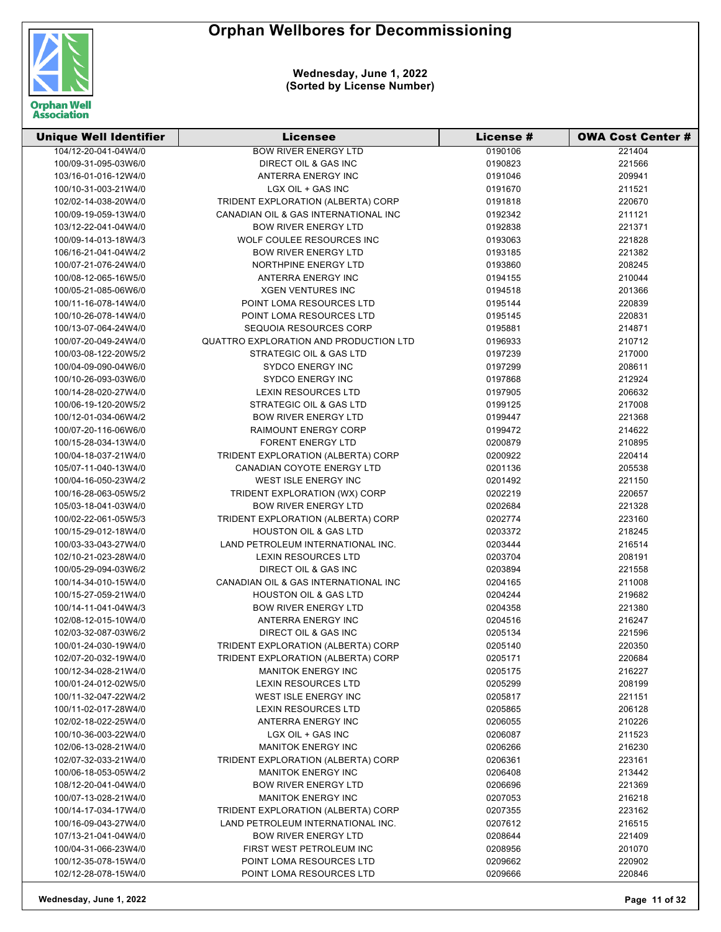

| <b>Unique Well Identifier</b> | <b>Licensee</b>                        | License # | <b>OWA Cost Center #</b> |
|-------------------------------|----------------------------------------|-----------|--------------------------|
| 104/12-20-041-04W4/0          | <b>BOW RIVER ENERGY LTD</b>            | 0190106   | 221404                   |
| 100/09-31-095-03W6/0          | DIRECT OIL & GAS INC                   | 0190823   | 221566                   |
| 103/16-01-016-12W4/0          | ANTERRA ENERGY INC                     | 0191046   | 209941                   |
| 100/10-31-003-21W4/0          | LGX OIL + GAS INC                      | 0191670   | 211521                   |
| 102/02-14-038-20W4/0          | TRIDENT EXPLORATION (ALBERTA) CORP     | 0191818   | 220670                   |
| 100/09-19-059-13W4/0          | CANADIAN OIL & GAS INTERNATIONAL INC   | 0192342   | 211121                   |
| 103/12-22-041-04W4/0          | <b>BOW RIVER ENERGY LTD</b>            | 0192838   | 221371                   |
| 100/09-14-013-18W4/3          | WOLF COULEE RESOURCES INC              | 0193063   | 221828                   |
| 106/16-21-041-04W4/2          | <b>BOW RIVER ENERGY LTD</b>            | 0193185   | 221382                   |
| 100/07-21-076-24W4/0          | NORTHPINE ENERGY LTD                   | 0193860   | 208245                   |
| 100/08-12-065-16W5/0          | ANTERRA ENERGY INC                     | 0194155   | 210044                   |
| 100/05-21-085-06W6/0          | <b>XGEN VENTURES INC</b>               | 0194518   | 201366                   |
| 100/11-16-078-14W4/0          | POINT LOMA RESOURCES LTD               | 0195144   | 220839                   |
| 100/10-26-078-14W4/0          | POINT LOMA RESOURCES LTD               | 0195145   | 220831                   |
| 100/13-07-064-24W4/0          | SEQUOIA RESOURCES CORP                 | 0195881   | 214871                   |
| 100/07-20-049-24W4/0          | QUATTRO EXPLORATION AND PRODUCTION LTD | 0196933   | 210712                   |
| 100/03-08-122-20W5/2          | STRATEGIC OIL & GAS LTD                | 0197239   | 217000                   |
| 100/04-09-090-04W6/0          | <b>SYDCO ENERGY INC</b>                | 0197299   | 208611                   |
| 100/10-26-093-03W6/0          | <b>SYDCO ENERGY INC</b>                | 0197868   | 212924                   |
| 100/14-28-020-27W4/0          | <b>LEXIN RESOURCES LTD</b>             | 0197905   | 206632                   |
| 100/06-19-120-20W5/2          | STRATEGIC OIL & GAS LTD                | 0199125   | 217008                   |
| 100/12-01-034-06W4/2          | <b>BOW RIVER ENERGY LTD</b>            | 0199447   | 221368                   |
| 100/07-20-116-06W6/0          | <b>RAIMOUNT ENERGY CORP</b>            | 0199472   | 214622                   |
| 100/15-28-034-13W4/0          | <b>FORENT ENERGY LTD</b>               | 0200879   | 210895                   |
| 100/04-18-037-21W4/0          | TRIDENT EXPLORATION (ALBERTA) CORP     | 0200922   | 220414                   |
| 105/07-11-040-13W4/0          | CANADIAN COYOTE ENERGY LTD             | 0201136   | 205538                   |
| 100/04-16-050-23W4/2          | WEST ISLE ENERGY INC                   | 0201492   | 221150                   |
| 100/16-28-063-05W5/2          | TRIDENT EXPLORATION (WX) CORP          | 0202219   | 220657                   |
| 105/03-18-041-03W4/0          | <b>BOW RIVER ENERGY LTD</b>            | 0202684   | 221328                   |
| 100/02-22-061-05W5/3          | TRIDENT EXPLORATION (ALBERTA) CORP     | 0202774   | 223160                   |
| 100/15-29-012-18W4/0          | <b>HOUSTON OIL &amp; GAS LTD</b>       | 0203372   | 218245                   |
| 100/03-33-043-27W4/0          | LAND PETROLEUM INTERNATIONAL INC.      | 0203444   | 216514                   |
| 102/10-21-023-28W4/0          | LEXIN RESOURCES LTD                    | 0203704   | 208191                   |
| 100/05-29-094-03W6/2          | DIRECT OIL & GAS INC                   | 0203894   | 221558                   |
| 100/14-34-010-15W4/0          | CANADIAN OIL & GAS INTERNATIONAL INC   | 0204165   | 211008                   |
| 100/15-27-059-21W4/0          | <b>HOUSTON OIL &amp; GAS LTD</b>       | 0204244   | 219682                   |
| 100/14-11-041-04W4/3          | <b>BOW RIVER ENERGY LTD</b>            | 0204358   | 221380                   |
| 102/08-12-015-10W4/0          | ANTERRA ENERGY INC                     | 0204516   | 216247                   |
| 102/03-32-087-03W6/2          | DIRECT OIL & GAS INC                   | 0205134   | 221596                   |
| 100/01-24-030-19W4/0          | TRIDENT EXPLORATION (ALBERTA) CORP     | 0205140   | 220350                   |
| 102/07-20-032-19W4/0          | TRIDENT EXPLORATION (ALBERTA) CORP     | 0205171   | 220684                   |
| 100/12-34-028-21W4/0          | <b>MANITOK ENERGY INC</b>              | 0205175   | 216227                   |
| 100/01-24-012-02W5/0          | <b>LEXIN RESOURCES LTD</b>             | 0205299   | 208199                   |
| 100/11-32-047-22W4/2          | WEST ISLE ENERGY INC                   | 0205817   | 221151                   |
| 100/11-02-017-28W4/0          | <b>LEXIN RESOURCES LTD</b>             | 0205865   | 206128                   |
| 102/02-18-022-25W4/0          | ANTERRA ENERGY INC                     | 0206055   | 210226                   |
| 100/10-36-003-22W4/0          | LGX OIL + GAS INC                      | 0206087   | 211523                   |
| 102/06-13-028-21W4/0          | <b>MANITOK ENERGY INC</b>              | 0206266   | 216230                   |
| 102/07-32-033-21W4/0          | TRIDENT EXPLORATION (ALBERTA) CORP     | 0206361   | 223161                   |
| 100/06-18-053-05W4/2          | <b>MANITOK ENERGY INC</b>              | 0206408   | 213442                   |
| 108/12-20-041-04W4/0          | <b>BOW RIVER ENERGY LTD</b>            | 0206696   | 221369                   |
| 100/07-13-028-21W4/0          | <b>MANITOK ENERGY INC</b>              | 0207053   | 216218                   |
| 100/14-17-034-17W4/0          | TRIDENT EXPLORATION (ALBERTA) CORP     | 0207355   | 223162                   |
| 100/16-09-043-27W4/0          | LAND PETROLEUM INTERNATIONAL INC.      | 0207612   | 216515                   |
| 107/13-21-041-04W4/0          | <b>BOW RIVER ENERGY LTD</b>            | 0208644   | 221409                   |
| 100/04-31-066-23W4/0          | FIRST WEST PETROLEUM INC               | 0208956   | 201070                   |
| 100/12-35-078-15W4/0          | POINT LOMA RESOURCES LTD               | 0209662   | 220902                   |
| 102/12-28-078-15W4/0          | POINT LOMA RESOURCES LTD               | 0209666   | 220846                   |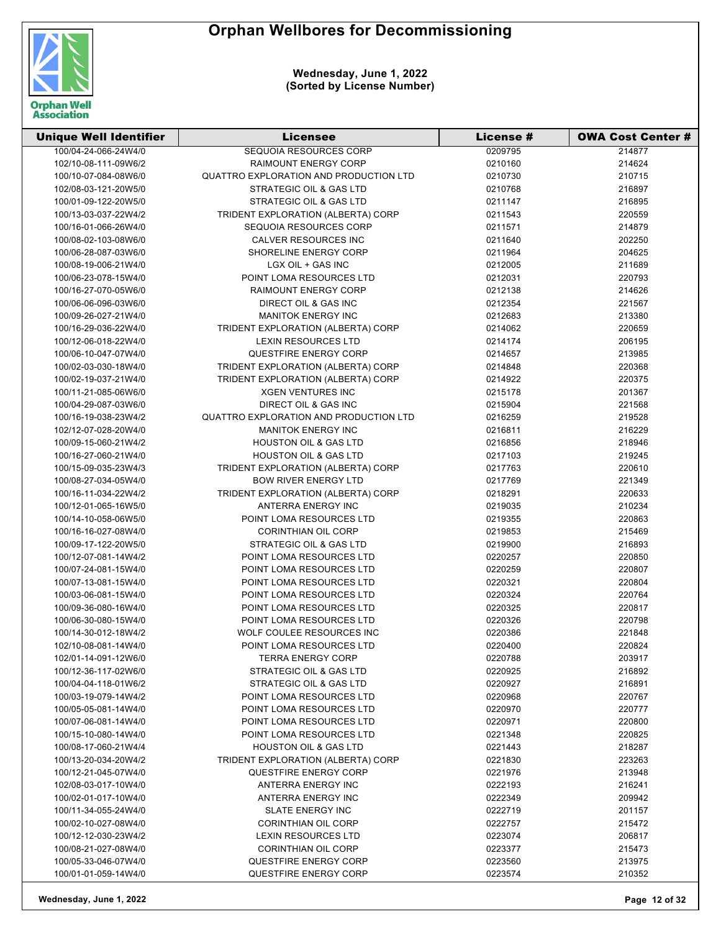

| <b>Unique Well Identifier</b> | <b>Licensee</b>                        | <b>License #</b> | <b>OWA Cost Center #</b> |
|-------------------------------|----------------------------------------|------------------|--------------------------|
| 100/04-24-066-24W4/0          | SEQUOIA RESOURCES CORP                 | 0209795          | 214877                   |
| 102/10-08-111-09W6/2          | <b>RAIMOUNT ENERGY CORP</b>            | 0210160          | 214624                   |
| 100/10-07-084-08W6/0          | QUATTRO EXPLORATION AND PRODUCTION LTD | 0210730          | 210715                   |
| 102/08-03-121-20W5/0          | STRATEGIC OIL & GAS LTD                | 0210768          | 216897                   |
| 100/01-09-122-20W5/0          | STRATEGIC OIL & GAS LTD                | 0211147          | 216895                   |
| 100/13-03-037-22W4/2          | TRIDENT EXPLORATION (ALBERTA) CORP     | 0211543          | 220559                   |
| 100/16-01-066-26W4/0          | SEQUOIA RESOURCES CORP                 | 0211571          | 214879                   |
| 100/08-02-103-08W6/0          | CALVER RESOURCES INC                   | 0211640          | 202250                   |
| 100/06-28-087-03W6/0          | SHORELINE ENERGY CORP                  | 0211964          | 204625                   |
| 100/08-19-006-21W4/0          | LGX OIL + GAS INC                      | 0212005          | 211689                   |
| 100/06-23-078-15W4/0          | POINT LOMA RESOURCES LTD               | 0212031          | 220793                   |
| 100/16-27-070-05W6/0          | <b>RAIMOUNT ENERGY CORP</b>            | 0212138          | 214626                   |
| 100/06-06-096-03W6/0          | DIRECT OIL & GAS INC                   | 0212354          | 221567                   |
| 100/09-26-027-21W4/0          | <b>MANITOK ENERGY INC</b>              | 0212683          | 213380                   |
| 100/16-29-036-22W4/0          | TRIDENT EXPLORATION (ALBERTA) CORP     | 0214062          | 220659                   |
| 100/12-06-018-22W4/0          | <b>LEXIN RESOURCES LTD</b>             | 0214174          | 206195                   |
| 100/06-10-047-07W4/0          | QUESTFIRE ENERGY CORP                  | 0214657          | 213985                   |
| 100/02-03-030-18W4/0          | TRIDENT EXPLORATION (ALBERTA) CORP     | 0214848          | 220368                   |
| 100/02-19-037-21W4/0          | TRIDENT EXPLORATION (ALBERTA) CORP     | 0214922          | 220375                   |
| 100/11-21-085-06W6/0          | <b>XGEN VENTURES INC</b>               | 0215178          | 201367                   |
| 100/04-29-087-03W6/0          | DIRECT OIL & GAS INC                   | 0215904          | 221568                   |
| 100/16-19-038-23W4/2          | QUATTRO EXPLORATION AND PRODUCTION LTD | 0216259          | 219528                   |
| 102/12-07-028-20W4/0          | <b>MANITOK ENERGY INC</b>              | 0216811          | 216229                   |
| 100/09-15-060-21W4/2          | <b>HOUSTON OIL &amp; GAS LTD</b>       | 0216856          | 218946                   |
| 100/16-27-060-21W4/0          | <b>HOUSTON OIL &amp; GAS LTD</b>       | 0217103          | 219245                   |
| 100/15-09-035-23W4/3          | TRIDENT EXPLORATION (ALBERTA) CORP     | 0217763          | 220610                   |
| 100/08-27-034-05W4/0          | <b>BOW RIVER ENERGY LTD</b>            | 0217769          | 221349                   |
| 100/16-11-034-22W4/2          | TRIDENT EXPLORATION (ALBERTA) CORP     | 0218291          | 220633                   |
| 100/12-01-065-16W5/0          | ANTERRA ENERGY INC                     | 0219035          | 210234                   |
| 100/14-10-058-06W5/0          | POINT LOMA RESOURCES LTD               | 0219355          | 220863                   |
| 100/16-16-027-08W4/0          | <b>CORINTHIAN OIL CORP</b>             | 0219853          | 215469                   |
| 100/09-17-122-20W5/0          | STRATEGIC OIL & GAS LTD                | 0219900          | 216893                   |
| 100/12-07-081-14W4/2          | POINT LOMA RESOURCES LTD               | 0220257          | 220850                   |
| 100/07-24-081-15W4/0          | POINT LOMA RESOURCES LTD               | 0220259          | 220807                   |
| 100/07-13-081-15W4/0          | POINT LOMA RESOURCES LTD               | 0220321          | 220804                   |
| 100/03-06-081-15W4/0          | POINT LOMA RESOURCES LTD               | 0220324          | 220764                   |
| 100/09-36-080-16W4/0          | POINT LOMA RESOURCES LTD               | 0220325          | 220817                   |
| 100/06-30-080-15W4/0          | POINT LOMA RESOURCES LTD               | 0220326          | 220798                   |
| 100/14-30-012-18W4/2          | WOLF COULEE RESOURCES INC              | 0220386          | 221848                   |
| 102/10-08-081-14W4/0          | POINT LOMA RESOURCES LTD               | 0220400          | 220824                   |
| 102/01-14-091-12W6/0          | <b>TERRA ENERGY CORP</b>               | 0220788          | 203917                   |
| 100/12-36-117-02W6/0          | STRATEGIC OIL & GAS LTD                | 0220925          | 216892                   |
| 100/04-04-118-01W6/2          | STRATEGIC OIL & GAS LTD                | 0220927          | 216891                   |
| 100/03-19-079-14W4/2          | POINT LOMA RESOURCES LTD               | 0220968          | 220767                   |
| 100/05-05-081-14W4/0          | POINT LOMA RESOURCES LTD               | 0220970          | 220777                   |
| 100/07-06-081-14W4/0          | POINT LOMA RESOURCES LTD               | 0220971          | 220800                   |
| 100/15-10-080-14W4/0          | POINT LOMA RESOURCES LTD               | 0221348          | 220825                   |
| 100/08-17-060-21W4/4          | <b>HOUSTON OIL &amp; GAS LTD</b>       | 0221443          | 218287                   |
| 100/13-20-034-20W4/2          | TRIDENT EXPLORATION (ALBERTA) CORP     | 0221830          | 223263                   |
| 100/12-21-045-07W4/0          | <b>QUESTFIRE ENERGY CORP</b>           | 0221976          | 213948                   |
| 102/08-03-017-10W4/0          | ANTERRA ENERGY INC                     | 0222193          | 216241                   |
| 100/02-01-017-10W4/0          | ANTERRA ENERGY INC                     | 0222349          | 209942                   |
| 100/11-34-055-24W4/0          | <b>SLATE ENERGY INC</b>                | 0222719          | 201157                   |
| 100/02-10-027-08W4/0          | <b>CORINTHIAN OIL CORP</b>             | 0222757          | 215472                   |
| 100/12-12-030-23W4/2          | <b>LEXIN RESOURCES LTD</b>             | 0223074          | 206817                   |
| 100/08-21-027-08W4/0          | <b>CORINTHIAN OIL CORP</b>             | 0223377          | 215473                   |
| 100/05-33-046-07W4/0          | <b>QUESTFIRE ENERGY CORP</b>           | 0223560          | 213975                   |
| 100/01-01-059-14W4/0          | <b>QUESTFIRE ENERGY CORP</b>           | 0223574          | 210352                   |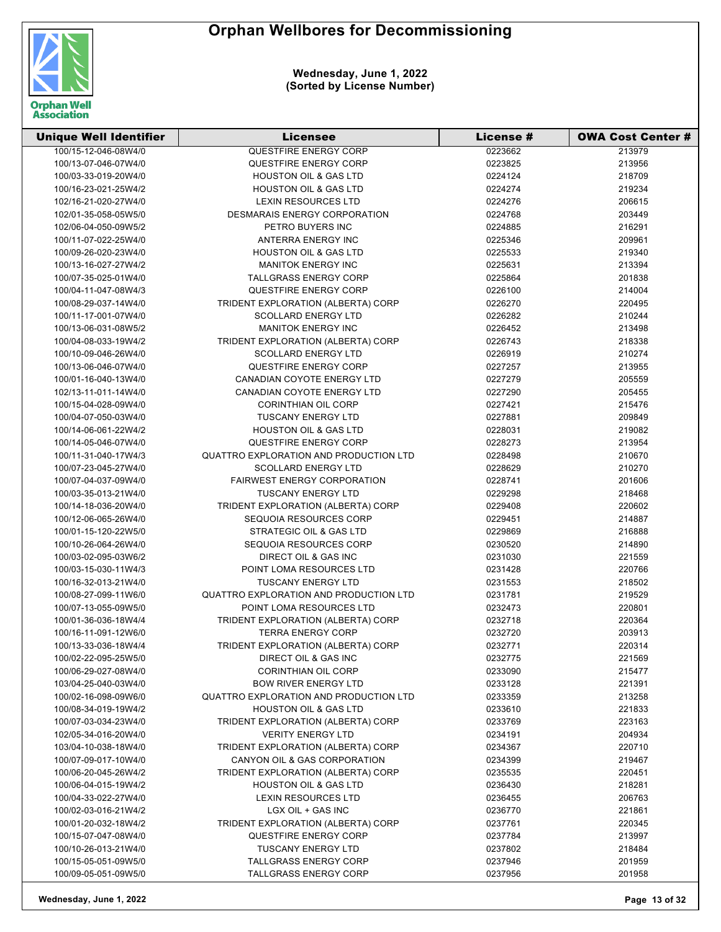

| <b>Unique Well Identifier</b> | Licensee                               | License # | <b>OWA Cost Center #</b> |
|-------------------------------|----------------------------------------|-----------|--------------------------|
| 100/15-12-046-08W4/0          | <b>QUESTFIRE ENERGY CORP</b>           | 0223662   | 213979                   |
| 100/13-07-046-07W4/0          | QUESTFIRE ENERGY CORP                  | 0223825   | 213956                   |
| 100/03-33-019-20W4/0          | <b>HOUSTON OIL &amp; GAS LTD</b>       | 0224124   | 218709                   |
| 100/16-23-021-25W4/2          | <b>HOUSTON OIL &amp; GAS LTD</b>       | 0224274   | 219234                   |
| 102/16-21-020-27W4/0          | <b>LEXIN RESOURCES LTD</b>             | 0224276   | 206615                   |
| 102/01-35-058-05W5/0          | DESMARAIS ENERGY CORPORATION           | 0224768   | 203449                   |
| 102/06-04-050-09W5/2          | PETRO BUYERS INC                       | 0224885   | 216291                   |
| 100/11-07-022-25W4/0          | ANTERRA ENERGY INC                     | 0225346   | 209961                   |
| 100/09-26-020-23W4/0          | <b>HOUSTON OIL &amp; GAS LTD</b>       | 0225533   | 219340                   |
| 100/13-16-027-27W4/2          | <b>MANITOK ENERGY INC</b>              | 0225631   | 213394                   |
| 100/07-35-025-01W4/0          | <b>TALLGRASS ENERGY CORP</b>           | 0225864   | 201838                   |
| 100/04-11-047-08W4/3          | QUESTFIRE ENERGY CORP                  | 0226100   | 214004                   |
| 100/08-29-037-14W4/0          | TRIDENT EXPLORATION (ALBERTA) CORP     | 0226270   | 220495                   |
| 100/11-17-001-07W4/0          | <b>SCOLLARD ENERGY LTD</b>             | 0226282   | 210244                   |
| 100/13-06-031-08W5/2          | <b>MANITOK ENERGY INC</b>              | 0226452   | 213498                   |
| 100/04-08-033-19W4/2          | TRIDENT EXPLORATION (ALBERTA) CORP     | 0226743   | 218338                   |
| 100/10-09-046-26W4/0          | <b>SCOLLARD ENERGY LTD</b>             | 0226919   | 210274                   |
| 100/13-06-046-07W4/0          | QUESTFIRE ENERGY CORP                  | 0227257   | 213955                   |
| 100/01-16-040-13W4/0          | CANADIAN COYOTE ENERGY LTD             | 0227279   | 205559                   |
| 102/13-11-011-14W4/0          | CANADIAN COYOTE ENERGY LTD             | 0227290   | 205455                   |
| 100/15-04-028-09W4/0          | <b>CORINTHIAN OIL CORP</b>             | 0227421   | 215476                   |
| 100/04-07-050-03W4/0          | <b>TUSCANY ENERGY LTD</b>              | 0227881   | 209849                   |
| 100/14-06-061-22W4/2          | <b>HOUSTON OIL &amp; GAS LTD</b>       | 0228031   | 219082                   |
| 100/14-05-046-07W4/0          | <b>QUESTFIRE ENERGY CORP</b>           | 0228273   | 213954                   |
| 100/11-31-040-17W4/3          | QUATTRO EXPLORATION AND PRODUCTION LTD | 0228498   | 210670                   |
| 100/07-23-045-27W4/0          | <b>SCOLLARD ENERGY LTD</b>             | 0228629   | 210270                   |
| 100/07-04-037-09W4/0          | <b>FAIRWEST ENERGY CORPORATION</b>     | 0228741   | 201606                   |
| 100/03-35-013-21W4/0          | <b>TUSCANY ENERGY LTD</b>              | 0229298   | 218468                   |
| 100/14-18-036-20W4/0          | TRIDENT EXPLORATION (ALBERTA) CORP     | 0229408   | 220602                   |
| 100/12-06-065-26W4/0          | SEQUOIA RESOURCES CORP                 | 0229451   | 214887                   |
| 100/01-15-120-22W5/0          | STRATEGIC OIL & GAS LTD                | 0229869   | 216888                   |
| 100/10-26-064-26W4/0          | SEQUOIA RESOURCES CORP                 | 0230520   | 214890                   |
| 100/03-02-095-03W6/2          | DIRECT OIL & GAS INC                   | 0231030   | 221559                   |
| 100/03-15-030-11W4/3          | POINT LOMA RESOURCES LTD               | 0231428   | 220766                   |
| 100/16-32-013-21W4/0          | <b>TUSCANY ENERGY LTD</b>              | 0231553   | 218502                   |
| 100/08-27-099-11W6/0          | QUATTRO EXPLORATION AND PRODUCTION LTD | 0231781   | 219529                   |
| 100/07-13-055-09W5/0          | POINT LOMA RESOURCES LTD               | 0232473   | 220801                   |
| 100/01-36-036-18W4/4          | TRIDENT EXPLORATION (ALBERTA) CORP     | 0232718   | 220364                   |
| 100/16-11-091-12W6/0          | <b>TERRA ENERGY CORP</b>               | 0232720   | 203913                   |
| 100/13-33-036-18W4/4          | TRIDENT EXPLORATION (ALBERTA) CORP     | 0232771   | 220314                   |
| 100/02-22-095-25W5/0          | DIRECT OIL & GAS INC                   | 0232775   | 221569                   |
| 100/06-29-027-08W4/0          | <b>CORINTHIAN OIL CORP</b>             | 0233090   | 215477                   |
| 103/04-25-040-03W4/0          | <b>BOW RIVER ENERGY LTD</b>            | 0233128   | 221391                   |
| 100/02-16-098-09W6/0          | QUATTRO EXPLORATION AND PRODUCTION LTD | 0233359   | 213258                   |
| 100/08-34-019-19W4/2          | <b>HOUSTON OIL &amp; GAS LTD</b>       | 0233610   | 221833                   |
| 100/07-03-034-23W4/0          | TRIDENT EXPLORATION (ALBERTA) CORP     | 0233769   | 223163                   |
| 102/05-34-016-20W4/0          | <b>VERITY ENERGY LTD</b>               | 0234191   | 204934                   |
| 103/04-10-038-18W4/0          | TRIDENT EXPLORATION (ALBERTA) CORP     | 0234367   | 220710                   |
| 100/07-09-017-10W4/0          | CANYON OIL & GAS CORPORATION           | 0234399   | 219467                   |
| 100/06-20-045-26W4/2          | TRIDENT EXPLORATION (ALBERTA) CORP     | 0235535   | 220451                   |
| 100/06-04-015-19W4/2          | <b>HOUSTON OIL &amp; GAS LTD</b>       | 0236430   | 218281                   |
| 100/04-33-022-27W4/0          | LEXIN RESOURCES LTD                    | 0236455   | 206763                   |
| 100/02-03-016-21W4/2          | LGX OIL + GAS INC                      | 0236770   | 221861                   |
| 100/01-20-032-18W4/2          | TRIDENT EXPLORATION (ALBERTA) CORP     | 0237761   | 220345                   |
| 100/15-07-047-08W4/0          | <b>QUESTFIRE ENERGY CORP</b>           | 0237784   | 213997                   |
| 100/10-26-013-21W4/0          | <b>TUSCANY ENERGY LTD</b>              | 0237802   | 218484                   |
| 100/15-05-051-09W5/0          | <b>TALLGRASS ENERGY CORP</b>           | 0237946   | 201959                   |
| 100/09-05-051-09W5/0          | TALLGRASS ENERGY CORP                  | 0237956   | 201958                   |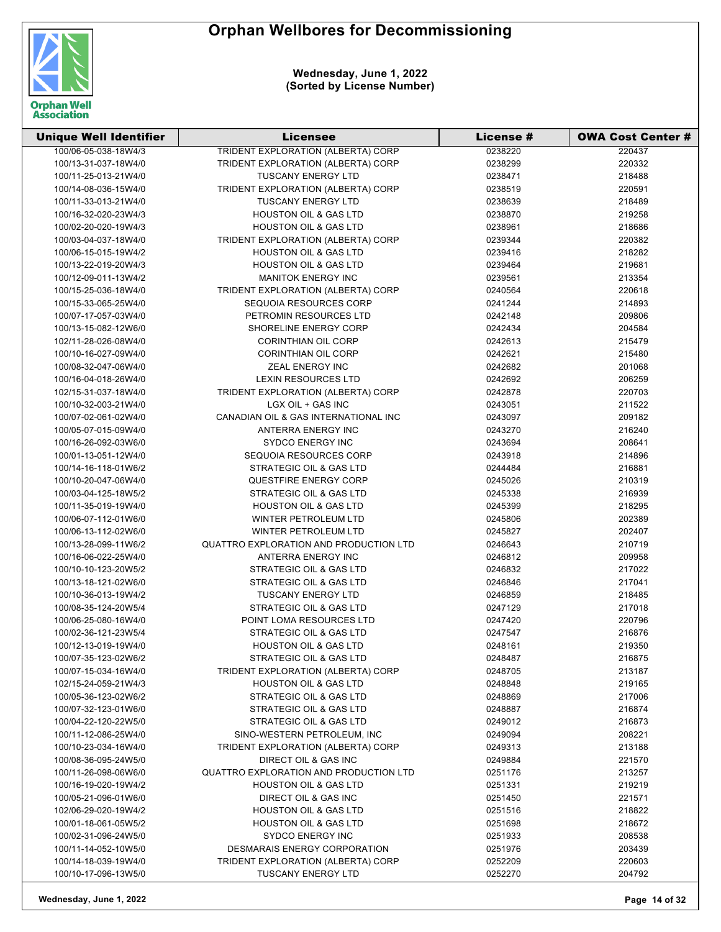

| <b>Unique Well Identifier</b> | <b>Licensee</b>                           | <b>License #</b> | <b>OWA Cost Center #</b> |
|-------------------------------|-------------------------------------------|------------------|--------------------------|
| 100/06-05-038-18W4/3          | <b>TRIDENT EXPLORATION (ALBERTA) CORP</b> | 0238220          | 220437                   |
| 100/13-31-037-18W4/0          | TRIDENT EXPLORATION (ALBERTA) CORP        | 0238299          | 220332                   |
| 100/11-25-013-21W4/0          | <b>TUSCANY ENERGY LTD</b>                 | 0238471          | 218488                   |
| 100/14-08-036-15W4/0          | TRIDENT EXPLORATION (ALBERTA) CORP        | 0238519          | 220591                   |
| 100/11-33-013-21W4/0          | TUSCANY ENERGY LTD                        | 0238639          | 218489                   |
| 100/16-32-020-23W4/3          | <b>HOUSTON OIL &amp; GAS LTD</b>          | 0238870          | 219258                   |
| 100/02-20-020-19W4/3          | <b>HOUSTON OIL &amp; GAS LTD</b>          | 0238961          | 218686                   |
| 100/03-04-037-18W4/0          | TRIDENT EXPLORATION (ALBERTA) CORP        | 0239344          | 220382                   |
| 100/06-15-015-19W4/2          | <b>HOUSTON OIL &amp; GAS LTD</b>          | 0239416          | 218282                   |
| 100/13-22-019-20W4/3          | <b>HOUSTON OIL &amp; GAS LTD</b>          | 0239464          | 219681                   |
| 100/12-09-011-13W4/2          | <b>MANITOK ENERGY INC</b>                 | 0239561          | 213354                   |
| 100/15-25-036-18W4/0          | TRIDENT EXPLORATION (ALBERTA) CORP        | 0240564          | 220618                   |
| 100/15-33-065-25W4/0          | SEQUOIA RESOURCES CORP                    | 0241244          | 214893                   |
| 100/07-17-057-03W4/0          | PETROMIN RESOURCES LTD                    | 0242148          | 209806                   |
| 100/13-15-082-12W6/0          | SHORELINE ENERGY CORP                     | 0242434          | 204584                   |
| 102/11-28-026-08W4/0          | <b>CORINTHIAN OIL CORP</b>                | 0242613          | 215479                   |
| 100/10-16-027-09W4/0          | <b>CORINTHIAN OIL CORP</b>                | 0242621          | 215480                   |
| 100/08-32-047-06W4/0          | ZEAL ENERGY INC                           | 0242682          | 201068                   |
| 100/16-04-018-26W4/0          | LEXIN RESOURCES LTD                       | 0242692          | 206259                   |
| 102/15-31-037-18W4/0          | TRIDENT EXPLORATION (ALBERTA) CORP        | 0242878          | 220703                   |
| 100/10-32-003-21W4/0          | LGX OIL + GAS INC                         | 0243051          | 211522                   |
| 100/07-02-061-02W4/0          | CANADIAN OIL & GAS INTERNATIONAL INC      | 0243097          | 209182                   |
| 100/05-07-015-09W4/0          | ANTERRA ENERGY INC                        | 0243270          | 216240                   |
| 100/16-26-092-03W6/0          | <b>SYDCO ENERGY INC</b>                   | 0243694          | 208641                   |
| 100/01-13-051-12W4/0          | SEQUOIA RESOURCES CORP                    | 0243918          | 214896                   |
| 100/14-16-118-01W6/2          | STRATEGIC OIL & GAS LTD                   | 0244484          | 216881                   |
| 100/10-20-047-06W4/0          | <b>QUESTFIRE ENERGY CORP</b>              | 0245026          | 210319                   |
| 100/03-04-125-18W5/2          | STRATEGIC OIL & GAS LTD                   | 0245338          | 216939                   |
| 100/11-35-019-19W4/0          | <b>HOUSTON OIL &amp; GAS LTD</b>          | 0245399          | 218295                   |
| 100/06-07-112-01W6/0          | WINTER PETROLEUM LTD                      | 0245806          | 202389                   |
| 100/06-13-112-02W6/0          | WINTER PETROLEUM LTD                      | 0245827          | 202407                   |
| 100/13-28-099-11W6/2          | QUATTRO EXPLORATION AND PRODUCTION LTD    | 0246643          | 210719                   |
| 100/16-06-022-25W4/0          | ANTERRA ENERGY INC                        | 0246812          | 209958                   |
| 100/10-10-123-20W5/2          | STRATEGIC OIL & GAS LTD                   | 0246832          | 217022                   |
| 100/13-18-121-02W6/0          | STRATEGIC OIL & GAS LTD                   | 0246846          | 217041                   |
| 100/10-36-013-19W4/2          | <b>TUSCANY ENERGY LTD</b>                 | 0246859          | 218485                   |
| 100/08-35-124-20W5/4          | STRATEGIC OIL & GAS LTD                   | 0247129          | 217018                   |
| 100/06-25-080-16W4/0          | POINT LOMA RESOURCES LTD                  | 0247420          | 220796                   |
| 100/02-36-121-23W5/4          | STRATEGIC OIL & GAS LTD                   | 0247547          | 216876                   |
| 100/12-13-019-19W4/0          | <b>HOUSTON OIL &amp; GAS LTD</b>          | 0248161          | 219350                   |
| 100/07-35-123-02W6/2          | STRATEGIC OIL & GAS LTD                   | 0248487          | 216875                   |
| 100/07-15-034-16W4/0          | TRIDENT EXPLORATION (ALBERTA) CORP        | 0248705          | 213187                   |
| 102/15-24-059-21W4/3          | <b>HOUSTON OIL &amp; GAS LTD</b>          | 0248848          | 219165                   |
| 100/05-36-123-02W6/2          | STRATEGIC OIL & GAS LTD                   | 0248869          | 217006                   |
| 100/07-32-123-01W6/0          | STRATEGIC OIL & GAS LTD                   | 0248887          | 216874                   |
| 100/04-22-120-22W5/0          | STRATEGIC OIL & GAS LTD                   | 0249012          | 216873                   |
| 100/11-12-086-25W4/0          | SINO-WESTERN PETROLEUM, INC               | 0249094          | 208221                   |
| 100/10-23-034-16W4/0          | TRIDENT EXPLORATION (ALBERTA) CORP        | 0249313          | 213188                   |
| 100/08-36-095-24W5/0          | <b>DIRECT OIL &amp; GAS INC</b>           | 0249884          | 221570                   |
| 100/11-26-098-06W6/0          | QUATTRO EXPLORATION AND PRODUCTION LTD    | 0251176          | 213257                   |
| 100/16-19-020-19W4/2          | <b>HOUSTON OIL &amp; GAS LTD</b>          | 0251331          | 219219                   |
| 100/05-21-096-01W6/0          | DIRECT OIL & GAS INC                      | 0251450          | 221571                   |
| 102/06-29-020-19W4/2          | <b>HOUSTON OIL &amp; GAS LTD</b>          | 0251516          | 218822                   |
| 100/01-18-061-05W5/2          | <b>HOUSTON OIL &amp; GAS LTD</b>          | 0251698          | 218672                   |
| 100/02-31-096-24W5/0          | <b>SYDCO ENERGY INC</b>                   | 0251933          | 208538                   |
| 100/11-14-052-10W5/0          | DESMARAIS ENERGY CORPORATION              | 0251976          | 203439                   |
| 100/14-18-039-19W4/0          | TRIDENT EXPLORATION (ALBERTA) CORP        | 0252209          | 220603                   |
| 100/10-17-096-13W5/0          | TUSCANY ENERGY LTD                        | 0252270          | 204792                   |
|                               |                                           |                  |                          |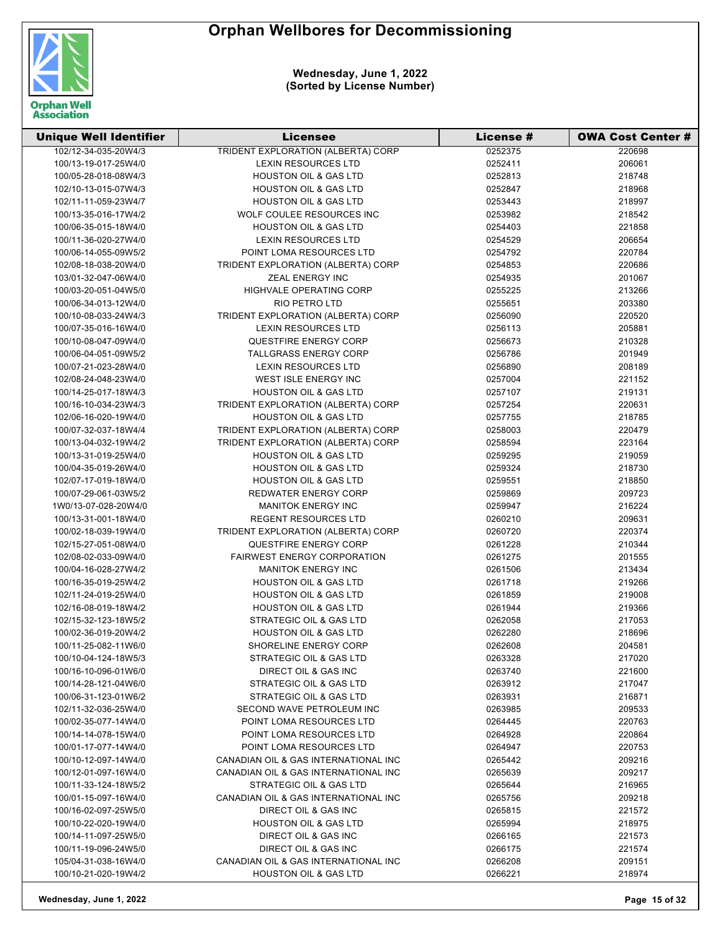

| <b>Unique Well Identifier</b>                | <b>Licensee</b>                                                 | License #          | <b>OWA Cost Center #</b> |
|----------------------------------------------|-----------------------------------------------------------------|--------------------|--------------------------|
| 102/12-34-035-20W4/3                         | TRIDENT EXPLORATION (ALBERTA) CORP                              | 0252375            | 220698                   |
| 100/13-19-017-25W4/0                         | <b>LEXIN RESOURCES LTD</b>                                      | 0252411            | 206061                   |
| 100/05-28-018-08W4/3                         | <b>HOUSTON OIL &amp; GAS LTD</b>                                | 0252813            | 218748                   |
| 102/10-13-015-07W4/3                         | <b>HOUSTON OIL &amp; GAS LTD</b>                                | 0252847            | 218968                   |
| 102/11-11-059-23W4/7                         | <b>HOUSTON OIL &amp; GAS LTD</b>                                | 0253443            | 218997                   |
| 100/13-35-016-17W4/2                         | WOLF COULEE RESOURCES INC                                       | 0253982            | 218542                   |
| 100/06-35-015-18W4/0                         | <b>HOUSTON OIL &amp; GAS LTD</b>                                | 0254403            | 221858                   |
| 100/11-36-020-27W4/0                         | <b>LEXIN RESOURCES LTD</b>                                      | 0254529            | 206654                   |
| 100/06-14-055-09W5/2                         | POINT LOMA RESOURCES LTD                                        | 0254792            | 220784                   |
| 102/08-18-038-20W4/0                         | TRIDENT EXPLORATION (ALBERTA) CORP                              | 0254853            | 220686                   |
| 103/01-32-047-06W4/0                         | ZEAL ENERGY INC                                                 | 0254935            | 201067                   |
| 100/03-20-051-04W5/0                         | <b>HIGHVALE OPERATING CORP</b>                                  | 0255225            | 213266                   |
| 100/06-34-013-12W4/0                         | <b>RIO PETRO LTD</b>                                            | 0255651            | 203380                   |
| 100/10-08-033-24W4/3                         | TRIDENT EXPLORATION (ALBERTA) CORP                              | 0256090            | 220520                   |
| 100/07-35-016-16W4/0                         | <b>LEXIN RESOURCES LTD</b>                                      | 0256113            | 205881                   |
| 100/10-08-047-09W4/0                         | QUESTFIRE ENERGY CORP                                           | 0256673            | 210328                   |
| 100/06-04-051-09W5/2                         | <b>TALLGRASS ENERGY CORP</b>                                    | 0256786            | 201949                   |
| 100/07-21-023-28W4/0                         | <b>LEXIN RESOURCES LTD</b>                                      | 0256890            | 208189                   |
| 102/08-24-048-23W4/0                         | WEST ISLE ENERGY INC                                            | 0257004            | 221152                   |
| 100/14-25-017-18W4/3                         | <b>HOUSTON OIL &amp; GAS LTD</b>                                | 0257107            | 219131                   |
| 100/16-10-034-23W4/3                         | TRIDENT EXPLORATION (ALBERTA) CORP                              | 0257254            | 220631                   |
| 102/06-16-020-19W4/0                         | <b>HOUSTON OIL &amp; GAS LTD</b>                                | 0257755            | 218785                   |
| 100/07-32-037-18W4/4                         | TRIDENT EXPLORATION (ALBERTA) CORP                              | 0258003            | 220479                   |
| 100/13-04-032-19W4/2                         | TRIDENT EXPLORATION (ALBERTA) CORP                              | 0258594            | 223164                   |
| 100/13-31-019-25W4/0                         | <b>HOUSTON OIL &amp; GAS LTD</b>                                | 0259295            | 219059                   |
| 100/04-35-019-26W4/0                         | <b>HOUSTON OIL &amp; GAS LTD</b>                                | 0259324            | 218730                   |
| 102/07-17-019-18W4/0                         | <b>HOUSTON OIL &amp; GAS LTD</b>                                | 0259551            | 218850                   |
| 100/07-29-061-03W5/2                         | REDWATER ENERGY CORP                                            | 0259869            | 209723                   |
| 1W0/13-07-028-20W4/0                         | <b>MANITOK ENERGY INC</b>                                       | 0259947            | 216224                   |
| 100/13-31-001-18W4/0                         | <b>REGENT RESOURCES LTD</b>                                     | 0260210            | 209631                   |
| 100/02-18-039-19W4/0                         | TRIDENT EXPLORATION (ALBERTA) CORP                              | 0260720            | 220374                   |
| 102/15-27-051-08W4/0                         | QUESTFIRE ENERGY CORP                                           | 0261228            | 210344                   |
| 102/08-02-033-09W4/0                         | <b>FAIRWEST ENERGY CORPORATION</b>                              | 0261275            | 201555                   |
| 100/04-16-028-27W4/2                         | <b>MANITOK ENERGY INC</b>                                       | 0261506            | 213434                   |
| 100/16-35-019-25W4/2                         | <b>HOUSTON OIL &amp; GAS LTD</b>                                | 0261718            | 219266                   |
| 102/11-24-019-25W4/0                         | <b>HOUSTON OIL &amp; GAS LTD</b>                                | 0261859            | 219008                   |
| 102/16-08-019-18W4/2                         | <b>HOUSTON OIL &amp; GAS LTD</b>                                | 0261944            | 219366                   |
| 102/15-32-123-18W5/2                         | STRATEGIC OIL & GAS LTD                                         | 0262058            | 217053                   |
| 100/02-36-019-20W4/2                         | <b>HOUSTON OIL &amp; GAS LTD</b>                                | 0262280            | 218696                   |
| 100/11-25-082-11W6/0                         | <b>SHORELINE ENERGY CORP</b>                                    | 0262608            | 204581                   |
| 100/10-04-124-18W5/3                         | STRATEGIC OIL & GAS LTD                                         | 0263328            | 217020                   |
| 100/16-10-096-01W6/0                         | DIRECT OIL & GAS INC                                            | 0263740            | 221600                   |
| 100/14-28-121-04W6/0                         | STRATEGIC OIL & GAS LTD                                         | 0263912            | 217047                   |
| 100/06-31-123-01W6/2                         | STRATEGIC OIL & GAS LTD                                         | 0263931            | 216871                   |
| 102/11-32-036-25W4/0                         | SECOND WAVE PETROLEUM INC                                       | 0263985            | 209533                   |
| 100/02-35-077-14W4/0                         | POINT LOMA RESOURCES LTD                                        | 0264445            | 220763                   |
| 100/14-14-078-15W4/0                         | POINT LOMA RESOURCES LTD                                        | 0264928            | 220864                   |
| 100/01-17-077-14W4/0                         | POINT LOMA RESOURCES LTD                                        | 0264947            | 220753                   |
| 100/10-12-097-14W4/0                         | CANADIAN OIL & GAS INTERNATIONAL INC                            |                    |                          |
| 100/12-01-097-16W4/0                         |                                                                 | 0265442            | 209216                   |
|                                              | CANADIAN OIL & GAS INTERNATIONAL INC                            | 0265639            | 209217                   |
| 100/11-33-124-18W5/2<br>100/01-15-097-16W4/0 | STRATEGIC OIL & GAS LTD<br>CANADIAN OIL & GAS INTERNATIONAL INC | 0265644<br>0265756 | 216965<br>209218         |
|                                              |                                                                 |                    |                          |
| 100/16-02-097-25W5/0                         | DIRECT OIL & GAS INC                                            | 0265815            | 221572                   |
| 100/10-22-020-19W4/0                         | <b>HOUSTON OIL &amp; GAS LTD</b>                                | 0265994            | 218975                   |
| 100/14-11-097-25W5/0                         | DIRECT OIL & GAS INC                                            | 0266165            | 221573                   |
| 100/11-19-096-24W5/0                         | DIRECT OIL & GAS INC                                            | 0266175            | 221574                   |
| 105/04-31-038-16W4/0                         | CANADIAN OIL & GAS INTERNATIONAL INC                            | 0266208            | 209151                   |
| 100/10-21-020-19W4/2                         | <b>HOUSTON OIL &amp; GAS LTD</b>                                | 0266221            | 218974                   |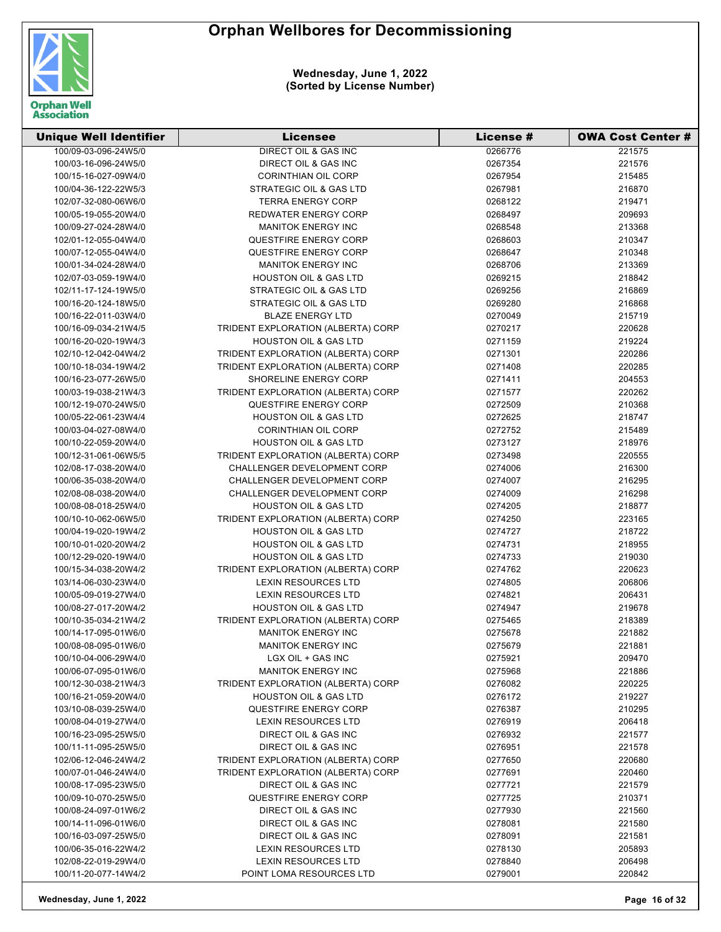

| <b>Unique Well Identifier</b> | <b>Licensee</b>                    | License # | <b>OWA Cost Center #</b> |
|-------------------------------|------------------------------------|-----------|--------------------------|
| 100/09-03-096-24W5/0          | <b>DIRECT OIL &amp; GAS INC</b>    | 0266776   | 221575                   |
| 100/03-16-096-24W5/0          | DIRECT OIL & GAS INC               | 0267354   | 221576                   |
| 100/15-16-027-09W4/0          | <b>CORINTHIAN OIL CORP</b>         | 0267954   | 215485                   |
| 100/04-36-122-22W5/3          | <b>STRATEGIC OIL &amp; GAS LTD</b> | 0267981   | 216870                   |
| 102/07-32-080-06W6/0          | <b>TERRA ENERGY CORP</b>           | 0268122   | 219471                   |
| 100/05-19-055-20W4/0          | REDWATER ENERGY CORP               | 0268497   | 209693                   |
| 100/09-27-024-28W4/0          | <b>MANITOK ENERGY INC</b>          | 0268548   | 213368                   |
| 102/01-12-055-04W4/0          | <b>QUESTFIRE ENERGY CORP</b>       | 0268603   | 210347                   |
| 100/07-12-055-04W4/0          | QUESTFIRE ENERGY CORP              | 0268647   | 210348                   |
| 100/01-34-024-28W4/0          | <b>MANITOK ENERGY INC</b>          | 0268706   | 213369                   |
| 102/07-03-059-19W4/0          | <b>HOUSTON OIL &amp; GAS LTD</b>   | 0269215   | 218842                   |
| 102/11-17-124-19W5/0          | STRATEGIC OIL & GAS LTD            | 0269256   | 216869                   |
| 100/16-20-124-18W5/0          | STRATEGIC OIL & GAS LTD            | 0269280   | 216868                   |
| 100/16-22-011-03W4/0          | <b>BLAZE ENERGY LTD</b>            | 0270049   | 215719                   |
| 100/16-09-034-21W4/5          | TRIDENT EXPLORATION (ALBERTA) CORP | 0270217   | 220628                   |
| 100/16-20-020-19W4/3          | <b>HOUSTON OIL &amp; GAS LTD</b>   | 0271159   | 219224                   |
| 102/10-12-042-04W4/2          | TRIDENT EXPLORATION (ALBERTA) CORP | 0271301   | 220286                   |
| 100/10-18-034-19W4/2          | TRIDENT EXPLORATION (ALBERTA) CORP | 0271408   | 220285                   |
| 100/16-23-077-26W5/0          | SHORELINE ENERGY CORP              | 0271411   | 204553                   |
| 100/03-19-038-21W4/3          | TRIDENT EXPLORATION (ALBERTA) CORP | 0271577   | 220262                   |
| 100/12-19-070-24W5/0          | QUESTFIRE ENERGY CORP              | 0272509   | 210368                   |
| 100/05-22-061-23W4/4          | HOUSTON OIL & GAS LTD              | 0272625   | 218747                   |
| 100/03-04-027-08W4/0          | <b>CORINTHIAN OIL CORP</b>         | 0272752   | 215489                   |
| 100/10-22-059-20W4/0          | <b>HOUSTON OIL &amp; GAS LTD</b>   | 0273127   | 218976                   |
| 100/12-31-061-06W5/5          | TRIDENT EXPLORATION (ALBERTA) CORP | 0273498   | 220555                   |
| 102/08-17-038-20W4/0          | <b>CHALLENGER DEVELOPMENT CORP</b> | 0274006   | 216300                   |
| 100/06-35-038-20W4/0          | CHALLENGER DEVELOPMENT CORP        | 0274007   | 216295                   |
| 102/08-08-038-20W4/0          | CHALLENGER DEVELOPMENT CORP        | 0274009   | 216298                   |
| 100/08-08-018-25W4/0          | <b>HOUSTON OIL &amp; GAS LTD</b>   | 0274205   | 218877                   |
| 100/10-10-062-06W5/0          | TRIDENT EXPLORATION (ALBERTA) CORP | 0274250   | 223165                   |
| 100/04-19-020-19W4/2          | <b>HOUSTON OIL &amp; GAS LTD</b>   | 0274727   | 218722                   |
| 100/10-01-020-20W4/2          | <b>HOUSTON OIL &amp; GAS LTD</b>   | 0274731   | 218955                   |
| 100/12-29-020-19W4/0          | <b>HOUSTON OIL &amp; GAS LTD</b>   | 0274733   | 219030                   |
| 100/15-34-038-20W4/2          | TRIDENT EXPLORATION (ALBERTA) CORP | 0274762   | 220623                   |
| 103/14-06-030-23W4/0          | <b>LEXIN RESOURCES LTD</b>         | 0274805   | 206806                   |
| 100/05-09-019-27W4/0          | <b>LEXIN RESOURCES LTD</b>         | 0274821   | 206431                   |
| 100/08-27-017-20W4/2          | <b>HOUSTON OIL &amp; GAS LTD</b>   | 0274947   | 219678                   |
| 100/10-35-034-21W4/2          | TRIDENT EXPLORATION (ALBERTA) CORP | 0275465   | 218389                   |
| 100/14-17-095-01W6/0          | <b>MANITOK ENERGY INC</b>          | 0275678   | 221882                   |
| 100/08-08-095-01W6/0          | <b>MANITOK ENERGY INC</b>          | 0275679   | 221881                   |
| 100/10-04-006-29W4/0          | LGX OIL + GAS INC                  | 0275921   | 209470                   |
| 100/06-07-095-01W6/0          | <b>MANITOK ENERGY INC</b>          | 0275968   | 221886                   |
| 100/12-30-038-21W4/3          | TRIDENT EXPLORATION (ALBERTA) CORP | 0276082   | 220225                   |
| 100/16-21-059-20W4/0          | <b>HOUSTON OIL &amp; GAS LTD</b>   | 0276172   | 219227                   |
| 103/10-08-039-25W4/0          | QUESTFIRE ENERGY CORP              | 0276387   | 210295                   |
| 100/08-04-019-27W4/0          | <b>LEXIN RESOURCES LTD</b>         | 0276919   | 206418                   |
| 100/16-23-095-25W5/0          | DIRECT OIL & GAS INC               | 0276932   | 221577                   |
| 100/11-11-095-25W5/0          | DIRECT OIL & GAS INC               | 0276951   | 221578                   |
| 102/06-12-046-24W4/2          | TRIDENT EXPLORATION (ALBERTA) CORP | 0277650   | 220680                   |
| 100/07-01-046-24W4/0          | TRIDENT EXPLORATION (ALBERTA) CORP | 0277691   | 220460                   |
| 100/08-17-095-23W5/0          | DIRECT OIL & GAS INC               | 0277721   | 221579                   |
| 100/09-10-070-25W5/0          | <b>QUESTFIRE ENERGY CORP</b>       | 0277725   | 210371                   |
| 100/08-24-097-01W6/2          | DIRECT OIL & GAS INC               | 0277930   | 221560                   |
| 100/14-11-096-01W6/0          | DIRECT OIL & GAS INC               | 0278081   | 221580                   |
| 100/16-03-097-25W5/0          | DIRECT OIL & GAS INC               | 0278091   | 221581                   |
| 100/06-35-016-22W4/2          | <b>LEXIN RESOURCES LTD</b>         | 0278130   | 205893                   |
| 102/08-22-019-29W4/0          | LEXIN RESOURCES LTD                | 0278840   | 206498                   |
| 100/11-20-077-14W4/2          | POINT LOMA RESOURCES LTD           | 0279001   | 220842                   |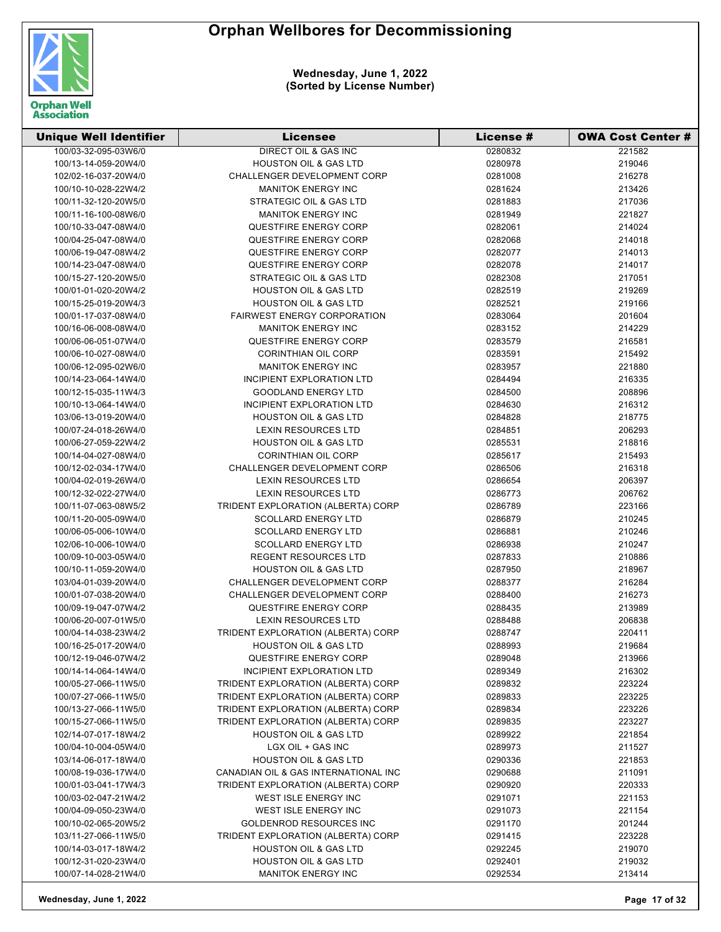

| <b>Unique Well Identifier</b> | <b>Licensee</b>                      | License # | <b>OWA Cost Center #</b> |
|-------------------------------|--------------------------------------|-----------|--------------------------|
| 100/03-32-095-03W6/0          | DIRECT OIL & GAS INC                 | 0280832   | 221582                   |
| 100/13-14-059-20W4/0          | <b>HOUSTON OIL &amp; GAS LTD</b>     | 0280978   | 219046                   |
| 102/02-16-037-20W4/0          | <b>CHALLENGER DEVELOPMENT CORP</b>   | 0281008   | 216278                   |
| 100/10-10-028-22W4/2          | <b>MANITOK ENERGY INC</b>            | 0281624   | 213426                   |
| 100/11-32-120-20W5/0          | STRATEGIC OIL & GAS LTD              | 0281883   | 217036                   |
| 100/11-16-100-08W6/0          | <b>MANITOK ENERGY INC</b>            | 0281949   | 221827                   |
| 100/10-33-047-08W4/0          | <b>QUESTFIRE ENERGY CORP</b>         | 0282061   | 214024                   |
| 100/04-25-047-08W4/0          | QUESTFIRE ENERGY CORP                | 0282068   | 214018                   |
| 100/06-19-047-08W4/2          | QUESTFIRE ENERGY CORP                | 0282077   | 214013                   |
| 100/14-23-047-08W4/0          | QUESTFIRE ENERGY CORP                | 0282078   | 214017                   |
| 100/15-27-120-20W5/0          | STRATEGIC OIL & GAS LTD              | 0282308   | 217051                   |
| 100/01-01-020-20W4/2          | <b>HOUSTON OIL &amp; GAS LTD</b>     | 0282519   | 219269                   |
| 100/15-25-019-20W4/3          | <b>HOUSTON OIL &amp; GAS LTD</b>     | 0282521   | 219166                   |
| 100/01-17-037-08W4/0          | <b>FAIRWEST ENERGY CORPORATION</b>   | 0283064   | 201604                   |
| 100/16-06-008-08W4/0          | <b>MANITOK ENERGY INC</b>            | 0283152   | 214229                   |
| 100/06-06-051-07W4/0          | <b>QUESTFIRE ENERGY CORP</b>         | 0283579   | 216581                   |
| 100/06-10-027-08W4/0          | <b>CORINTHIAN OIL CORP</b>           | 0283591   | 215492                   |
| 100/06-12-095-02W6/0          | <b>MANITOK ENERGY INC</b>            | 0283957   | 221880                   |
| 100/14-23-064-14W4/0          | INCIPIENT EXPLORATION LTD            | 0284494   | 216335                   |
| 100/12-15-035-11W4/3          | <b>GOODLAND ENERGY LTD</b>           | 0284500   | 208896                   |
| 100/10-13-064-14W4/0          | INCIPIENT EXPLORATION LTD            | 0284630   | 216312                   |
| 103/06-13-019-20W4/0          | <b>HOUSTON OIL &amp; GAS LTD</b>     | 0284828   | 218775                   |
| 100/07-24-018-26W4/0          | <b>LEXIN RESOURCES LTD</b>           | 0284851   | 206293                   |
| 100/06-27-059-22W4/2          | <b>HOUSTON OIL &amp; GAS LTD</b>     | 0285531   | 218816                   |
| 100/14-04-027-08W4/0          | <b>CORINTHIAN OIL CORP</b>           | 0285617   | 215493                   |
| 100/12-02-034-17W4/0          | CHALLENGER DEVELOPMENT CORP          | 0286506   | 216318                   |
| 100/04-02-019-26W4/0          | <b>LEXIN RESOURCES LTD</b>           | 0286654   | 206397                   |
| 100/12-32-022-27W4/0          | LEXIN RESOURCES LTD                  | 0286773   | 206762                   |
| 100/11-07-063-08W5/2          | TRIDENT EXPLORATION (ALBERTA) CORP   | 0286789   | 223166                   |
| 100/11-20-005-09W4/0          | <b>SCOLLARD ENERGY LTD</b>           | 0286879   | 210245                   |
| 100/06-05-006-10W4/0          | <b>SCOLLARD ENERGY LTD</b>           | 0286881   | 210246                   |
| 102/06-10-006-10W4/0          | <b>SCOLLARD ENERGY LTD</b>           | 0286938   | 210247                   |
| 100/09-10-003-05W4/0          | <b>REGENT RESOURCES LTD</b>          | 0287833   | 210886                   |
| 100/10-11-059-20W4/0          | <b>HOUSTON OIL &amp; GAS LTD</b>     | 0287950   | 218967                   |
| 103/04-01-039-20W4/0          | CHALLENGER DEVELOPMENT CORP          | 0288377   | 216284                   |
| 100/01-07-038-20W4/0          | <b>CHALLENGER DEVELOPMENT CORP</b>   | 0288400   | 216273                   |
| 100/09-19-047-07W4/2          | QUESTFIRE ENERGY CORP                | 0288435   | 213989                   |
| 100/06-20-007-01W5/0          | <b>LEXIN RESOURCES LTD</b>           | 0288488   | 206838                   |
| 100/04-14-038-23W4/2          | TRIDENT EXPLORATION (ALBERTA) CORP   | 0288747   | 220411                   |
| 100/16-25-017-20W4/0          | <b>HOUSTON OIL &amp; GAS LTD</b>     | 0288993   | 219684                   |
| 100/12-19-046-07W4/2          | QUESTFIRE ENERGY CORP                | 0289048   | 213966                   |
| 100/14-14-064-14W4/0          | INCIPIENT EXPLORATION LTD            | 0289349   | 216302                   |
| 100/05-27-066-11W5/0          | TRIDENT EXPLORATION (ALBERTA) CORP   | 0289832   | 223224                   |
| 100/07-27-066-11W5/0          | TRIDENT EXPLORATION (ALBERTA) CORP   | 0289833   | 223225                   |
| 100/13-27-066-11W5/0          | TRIDENT EXPLORATION (ALBERTA) CORP   | 0289834   | 223226                   |
| 100/15-27-066-11W5/0          | TRIDENT EXPLORATION (ALBERTA) CORP   | 0289835   | 223227                   |
| 102/14-07-017-18W4/2          | <b>HOUSTON OIL &amp; GAS LTD</b>     | 0289922   | 221854                   |
| 100/04-10-004-05W4/0          | LGX OIL + GAS INC                    | 0289973   | 211527                   |
| 103/14-06-017-18W4/0          | <b>HOUSTON OIL &amp; GAS LTD</b>     | 0290336   | 221853                   |
| 100/08-19-036-17W4/0          | CANADIAN OIL & GAS INTERNATIONAL INC | 0290688   | 211091                   |
| 100/01-03-041-17W4/3          | TRIDENT EXPLORATION (ALBERTA) CORP   | 0290920   | 220333                   |
| 100/03-02-047-21W4/2          | WEST ISLE ENERGY INC                 | 0291071   | 221153                   |
| 100/04-09-050-23W4/0          | WEST ISLE ENERGY INC                 | 0291073   | 221154                   |
| 100/10-02-065-20W5/2          | GOLDENROD RESOURCES INC              | 0291170   | 201244                   |
| 103/11-27-066-11W5/0          | TRIDENT EXPLORATION (ALBERTA) CORP   | 0291415   | 223228                   |
| 100/14-03-017-18W4/2          | <b>HOUSTON OIL &amp; GAS LTD</b>     | 0292245   | 219070                   |
| 100/12-31-020-23W4/0          | <b>HOUSTON OIL &amp; GAS LTD</b>     | 0292401   | 219032                   |
| 100/07-14-028-21W4/0          | <b>MANITOK ENERGY INC</b>            | 0292534   | 213414                   |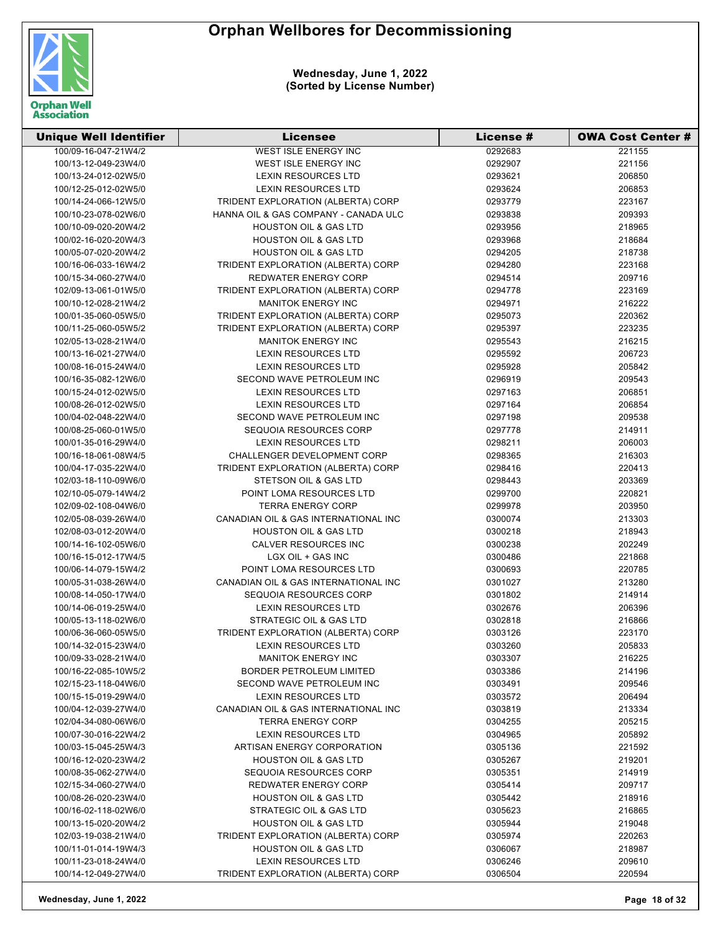

| <b>Unique Well Identifier</b> | Licensee                             | <b>License #</b> | <b>OWA Cost Center #</b> |
|-------------------------------|--------------------------------------|------------------|--------------------------|
| 100/09-16-047-21W4/2          | <b>WEST ISLE ENERGY INC</b>          | 0292683          | 221155                   |
| 100/13-12-049-23W4/0          | WEST ISLE ENERGY INC                 | 0292907          | 221156                   |
| 100/13-24-012-02W5/0          | <b>LEXIN RESOURCES LTD</b>           | 0293621          | 206850                   |
| 100/12-25-012-02W5/0          | <b>LEXIN RESOURCES LTD</b>           | 0293624          | 206853                   |
| 100/14-24-066-12W5/0          | TRIDENT EXPLORATION (ALBERTA) CORP   | 0293779          | 223167                   |
| 100/10-23-078-02W6/0          | HANNA OIL & GAS COMPANY - CANADA ULC | 0293838          | 209393                   |
| 100/10-09-020-20W4/2          | <b>HOUSTON OIL &amp; GAS LTD</b>     | 0293956          | 218965                   |
| 100/02-16-020-20W4/3          | <b>HOUSTON OIL &amp; GAS LTD</b>     | 0293968          | 218684                   |
| 100/05-07-020-20W4/2          | <b>HOUSTON OIL &amp; GAS LTD</b>     | 0294205          | 218738                   |
| 100/16-06-033-16W4/2          | TRIDENT EXPLORATION (ALBERTA) CORP   | 0294280          | 223168                   |
| 100/15-34-060-27W4/0          | <b>REDWATER ENERGY CORP</b>          | 0294514          | 209716                   |
| 102/09-13-061-01W5/0          | TRIDENT EXPLORATION (ALBERTA) CORP   | 0294778          | 223169                   |
| 100/10-12-028-21W4/2          | <b>MANITOK ENERGY INC</b>            | 0294971          | 216222                   |
| 100/01-35-060-05W5/0          | TRIDENT EXPLORATION (ALBERTA) CORP   | 0295073          | 220362                   |
| 100/11-25-060-05W5/2          | TRIDENT EXPLORATION (ALBERTA) CORP   | 0295397          | 223235                   |
| 102/05-13-028-21W4/0          | <b>MANITOK ENERGY INC</b>            | 0295543          | 216215                   |
| 100/13-16-021-27W4/0          | LEXIN RESOURCES LTD                  | 0295592          | 206723                   |
| 100/08-16-015-24W4/0          | <b>LEXIN RESOURCES LTD</b>           | 0295928          | 205842                   |
| 100/16-35-082-12W6/0          | SECOND WAVE PETROLEUM INC            | 0296919          | 209543                   |
| 100/15-24-012-02W5/0          | <b>LEXIN RESOURCES LTD</b>           | 0297163          | 206851                   |
| 100/08-26-012-02W5/0          | <b>LEXIN RESOURCES LTD</b>           | 0297164          | 206854                   |
| 100/04-02-048-22W4/0          | SECOND WAVE PETROLEUM INC            | 0297198          | 209538                   |
| 100/08-25-060-01W5/0          | SEQUOIA RESOURCES CORP               | 0297778          | 214911                   |
| 100/01-35-016-29W4/0          | <b>LEXIN RESOURCES LTD</b>           | 0298211          | 206003                   |
| 100/16-18-061-08W4/5          | CHALLENGER DEVELOPMENT CORP          | 0298365          | 216303                   |
| 100/04-17-035-22W4/0          | TRIDENT EXPLORATION (ALBERTA) CORP   | 0298416          | 220413                   |
| 102/03-18-110-09W6/0          | STETSON OIL & GAS LTD                | 0298443          | 203369                   |
| 102/10-05-079-14W4/2          | POINT LOMA RESOURCES LTD             | 0299700          | 220821                   |
| 102/09-02-108-04W6/0          | <b>TERRA ENERGY CORP</b>             | 0299978          | 203950                   |
| 102/05-08-039-26W4/0          | CANADIAN OIL & GAS INTERNATIONAL INC | 0300074          | 213303                   |
| 102/08-03-012-20W4/0          | <b>HOUSTON OIL &amp; GAS LTD</b>     | 0300218          | 218943                   |
| 100/14-16-102-05W6/0          | CALVER RESOURCES INC                 | 0300238          | 202249                   |
| 100/16-15-012-17W4/5          | LGX OIL + GAS INC                    | 0300486          | 221868                   |
| 100/06-14-079-15W4/2          | POINT LOMA RESOURCES LTD             | 0300693          | 220785                   |
| 100/05-31-038-26W4/0          | CANADIAN OIL & GAS INTERNATIONAL INC | 0301027          | 213280                   |
| 100/08-14-050-17W4/0          | SEQUOIA RESOURCES CORP               | 0301802          | 214914                   |
| 100/14-06-019-25W4/0          | <b>LEXIN RESOURCES LTD</b>           | 0302676          | 206396                   |
| 100/05-13-118-02W6/0          | STRATEGIC OIL & GAS LTD              | 0302818          | 216866                   |
| 100/06-36-060-05W5/0          | TRIDENT EXPLORATION (ALBERTA) CORP   | 0303126          | 223170                   |
| 100/14-32-015-23W4/0          | <b>LEXIN RESOURCES LTD</b>           | 0303260          | 205833                   |
| 100/09-33-028-21W4/0          | <b>MANITOK ENERGY INC</b>            | 0303307          | 216225                   |
| 100/16-22-085-10W5/2          | <b>BORDER PETROLEUM LIMITED</b>      | 0303386          | 214196                   |
| 102/15-23-118-04W6/0          | SECOND WAVE PETROLEUM INC            | 0303491          | 209546                   |
| 100/15-15-019-29W4/0          | <b>LEXIN RESOURCES LTD</b>           | 0303572          | 206494                   |
| 100/04-12-039-27W4/0          | CANADIAN OIL & GAS INTERNATIONAL INC | 0303819          | 213334                   |
| 102/04-34-080-06W6/0          | <b>TERRA ENERGY CORP</b>             | 0304255          | 205215                   |
| 100/07-30-016-22W4/2          | <b>LEXIN RESOURCES LTD</b>           | 0304965          | 205892                   |
| 100/03-15-045-25W4/3          | ARTISAN ENERGY CORPORATION           | 0305136          | 221592                   |
| 100/16-12-020-23W4/2          | <b>HOUSTON OIL &amp; GAS LTD</b>     | 0305267          | 219201                   |
| 100/08-35-062-27W4/0          | SEQUOIA RESOURCES CORP               | 0305351          | 214919                   |
| 102/15-34-060-27W4/0          | <b>REDWATER ENERGY CORP</b>          | 0305414          | 209717                   |
| 100/08-26-020-23W4/0          | <b>HOUSTON OIL &amp; GAS LTD</b>     | 0305442          | 218916                   |
| 100/16-02-118-02W6/0          | STRATEGIC OIL & GAS LTD              | 0305623          | 216865                   |
| 100/13-15-020-20W4/2          | <b>HOUSTON OIL &amp; GAS LTD</b>     | 0305944          | 219048                   |
| 102/03-19-038-21W4/0          | TRIDENT EXPLORATION (ALBERTA) CORP   | 0305974          | 220263                   |
| 100/11-01-014-19W4/3          | <b>HOUSTON OIL &amp; GAS LTD</b>     | 0306067          | 218987                   |
| 100/11-23-018-24W4/0          | <b>LEXIN RESOURCES LTD</b>           | 0306246          | 209610                   |
| 100/14-12-049-27W4/0          | TRIDENT EXPLORATION (ALBERTA) CORP   | 0306504          | 220594                   |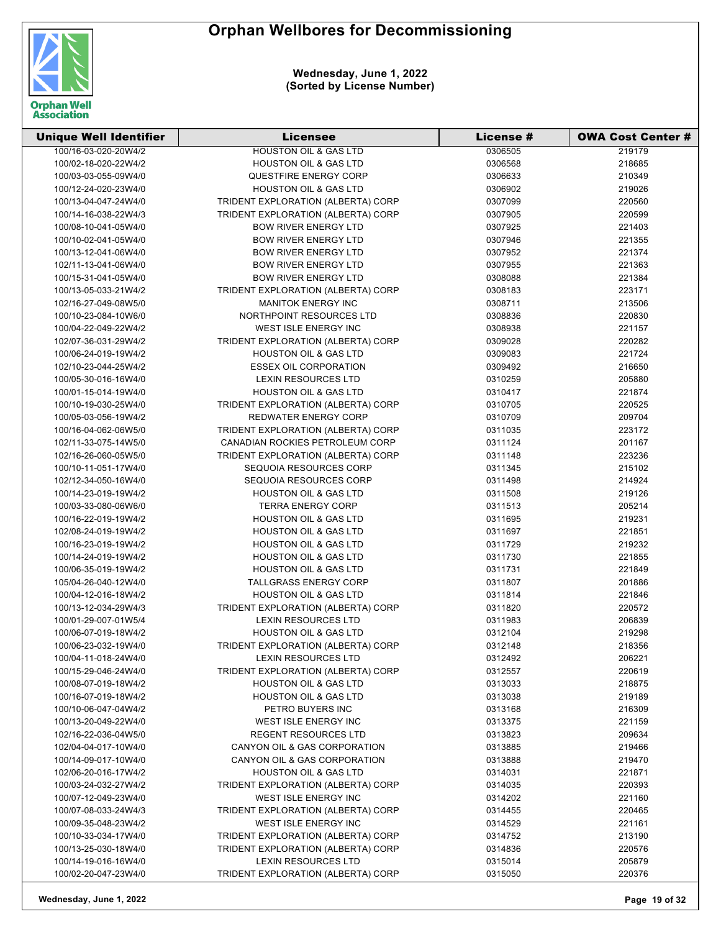

| <b>Unique Well Identifier</b> | <b>Licensee</b>                    | License # | <b>OWA Cost Center #</b> |
|-------------------------------|------------------------------------|-----------|--------------------------|
| 100/16-03-020-20W4/2          | <b>HOUSTON OIL &amp; GAS LTD</b>   | 0306505   | 219179                   |
| 100/02-18-020-22W4/2          | <b>HOUSTON OIL &amp; GAS LTD</b>   | 0306568   | 218685                   |
| 100/03-03-055-09W4/0          | QUESTFIRE ENERGY CORP              | 0306633   | 210349                   |
| 100/12-24-020-23W4/0          | <b>HOUSTON OIL &amp; GAS LTD</b>   | 0306902   | 219026                   |
| 100/13-04-047-24W4/0          | TRIDENT EXPLORATION (ALBERTA) CORP | 0307099   | 220560                   |
| 100/14-16-038-22W4/3          | TRIDENT EXPLORATION (ALBERTA) CORP | 0307905   | 220599                   |
| 100/08-10-041-05W4/0          | <b>BOW RIVER ENERGY LTD</b>        | 0307925   | 221403                   |
| 100/10-02-041-05W4/0          | <b>BOW RIVER ENERGY LTD</b>        | 0307946   | 221355                   |
| 100/13-12-041-06W4/0          | <b>BOW RIVER ENERGY LTD</b>        | 0307952   | 221374                   |
| 102/11-13-041-06W4/0          | <b>BOW RIVER ENERGY LTD</b>        | 0307955   | 221363                   |
| 100/15-31-041-05W4/0          | <b>BOW RIVER ENERGY LTD</b>        | 0308088   | 221384                   |
| 100/13-05-033-21W4/2          | TRIDENT EXPLORATION (ALBERTA) CORP | 0308183   | 223171                   |
| 102/16-27-049-08W5/0          | <b>MANITOK ENERGY INC</b>          | 0308711   | 213506                   |
| 100/10-23-084-10W6/0          | NORTHPOINT RESOURCES LTD           | 0308836   | 220830                   |
| 100/04-22-049-22W4/2          | WEST ISLE ENERGY INC               | 0308938   | 221157                   |
| 102/07-36-031-29W4/2          | TRIDENT EXPLORATION (ALBERTA) CORP | 0309028   | 220282                   |
| 100/06-24-019-19W4/2          | <b>HOUSTON OIL &amp; GAS LTD</b>   | 0309083   | 221724                   |
| 102/10-23-044-25W4/2          | <b>ESSEX OIL CORPORATION</b>       | 0309492   | 216650                   |
| 100/05-30-016-16W4/0          | <b>LEXIN RESOURCES LTD</b>         | 0310259   | 205880                   |
| 100/01-15-014-19W4/0          | <b>HOUSTON OIL &amp; GAS LTD</b>   | 0310417   | 221874                   |
| 100/10-19-030-25W4/0          | TRIDENT EXPLORATION (ALBERTA) CORP | 0310705   | 220525                   |
| 100/05-03-056-19W4/2          | <b>REDWATER ENERGY CORP</b>        | 0310709   | 209704                   |
| 100/16-04-062-06W5/0          | TRIDENT EXPLORATION (ALBERTA) CORP | 0311035   | 223172                   |
| 102/11-33-075-14W5/0          | CANADIAN ROCKIES PETROLEUM CORP    | 0311124   | 201167                   |
| 102/16-26-060-05W5/0          | TRIDENT EXPLORATION (ALBERTA) CORP | 0311148   | 223236                   |
| 100/10-11-051-17W4/0          | SEQUOIA RESOURCES CORP             | 0311345   | 215102                   |
| 102/12-34-050-16W4/0          | SEQUOIA RESOURCES CORP             | 0311498   | 214924                   |
| 100/14-23-019-19W4/2          | <b>HOUSTON OIL &amp; GAS LTD</b>   | 0311508   | 219126                   |
| 100/03-33-080-06W6/0          | <b>TERRA ENERGY CORP</b>           | 0311513   | 205214                   |
| 100/16-22-019-19W4/2          | <b>HOUSTON OIL &amp; GAS LTD</b>   | 0311695   | 219231                   |
| 102/08-24-019-19W4/2          | <b>HOUSTON OIL &amp; GAS LTD</b>   | 0311697   | 221851                   |
| 100/16-23-019-19W4/2          | <b>HOUSTON OIL &amp; GAS LTD</b>   | 0311729   | 219232                   |
| 100/14-24-019-19W4/2          | <b>HOUSTON OIL &amp; GAS LTD</b>   | 0311730   | 221855                   |
| 100/06-35-019-19W4/2          | <b>HOUSTON OIL &amp; GAS LTD</b>   | 0311731   | 221849                   |
| 105/04-26-040-12W4/0          | <b>TALLGRASS ENERGY CORP</b>       | 0311807   | 201886                   |
| 100/04-12-016-18W4/2          | <b>HOUSTON OIL &amp; GAS LTD</b>   | 0311814   | 221846                   |
| 100/13-12-034-29W4/3          | TRIDENT EXPLORATION (ALBERTA) CORP | 0311820   | 220572                   |
| 100/01-29-007-01W5/4          | <b>LEXIN RESOURCES LTD</b>         | 0311983   | 206839                   |
| 100/06-07-019-18W4/2          | <b>HOUSTON OIL &amp; GAS LTD</b>   | 0312104   | 219298                   |
| 100/06-23-032-19W4/0          | TRIDENT EXPLORATION (ALBERTA) CORP | 0312148   | 218356                   |
| 100/04-11-018-24W4/0          | <b>LEXIN RESOURCES LTD</b>         | 0312492   | 206221                   |
| 100/15-29-046-24W4/0          | TRIDENT EXPLORATION (ALBERTA) CORP | 0312557   | 220619                   |
| 100/08-07-019-18W4/2          | <b>HOUSTON OIL &amp; GAS LTD</b>   | 0313033   | 218875                   |
| 100/16-07-019-18W4/2          | <b>HOUSTON OIL &amp; GAS LTD</b>   | 0313038   | 219189                   |
| 100/10-06-047-04W4/2          | PETRO BUYERS INC                   | 0313168   | 216309                   |
| 100/13-20-049-22W4/0          | WEST ISLE ENERGY INC               | 0313375   | 221159                   |
| 102/16-22-036-04W5/0          | REGENT RESOURCES LTD               | 0313823   | 209634                   |
| 102/04-04-017-10W4/0          | CANYON OIL & GAS CORPORATION       | 0313885   | 219466                   |
| 100/14-09-017-10W4/0          | CANYON OIL & GAS CORPORATION       | 0313888   | 219470                   |
| 102/06-20-016-17W4/2          | <b>HOUSTON OIL &amp; GAS LTD</b>   | 0314031   | 221871                   |
| 100/03-24-032-27W4/2          | TRIDENT EXPLORATION (ALBERTA) CORP | 0314035   | 220393                   |
| 100/07-12-049-23W4/0          | WEST ISLE ENERGY INC               | 0314202   | 221160                   |
| 100/07-08-033-24W4/3          | TRIDENT EXPLORATION (ALBERTA) CORP | 0314455   | 220465                   |
| 100/09-35-048-23W4/2          | WEST ISLE ENERGY INC               | 0314529   | 221161                   |
| 100/10-33-034-17W4/0          | TRIDENT EXPLORATION (ALBERTA) CORP | 0314752   | 213190                   |
| 100/13-25-030-18W4/0          | TRIDENT EXPLORATION (ALBERTA) CORP | 0314836   | 220576                   |
| 100/14-19-016-16W4/0          | <b>LEXIN RESOURCES LTD</b>         | 0315014   | 205879                   |
| 100/02-20-047-23W4/0          | TRIDENT EXPLORATION (ALBERTA) CORP | 0315050   | 220376                   |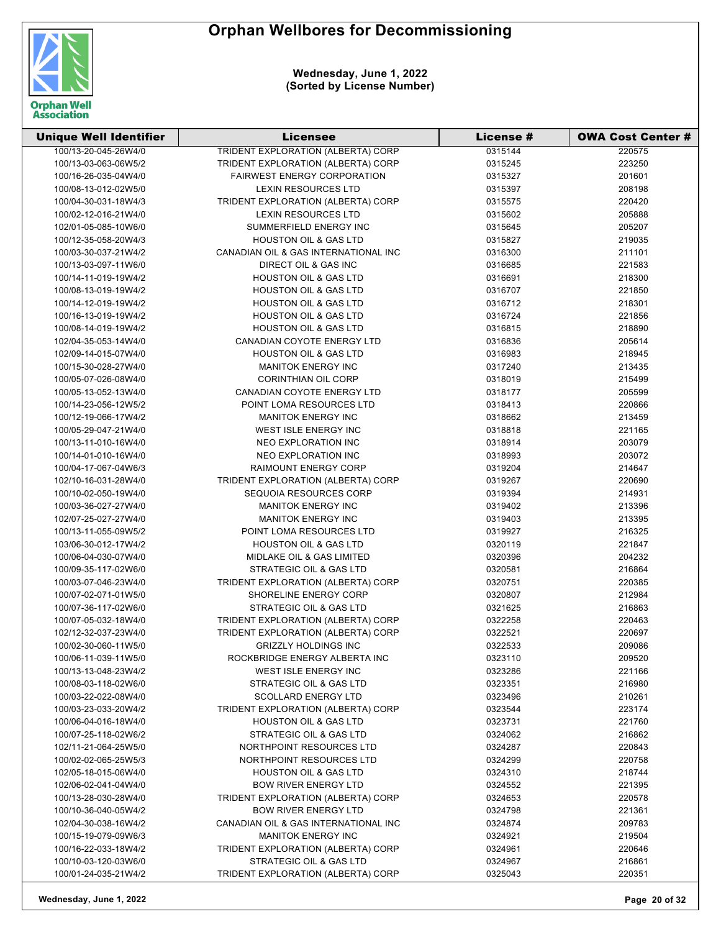

| <b>Unique Well Identifier</b> | Licensee                             | License # | <b>OWA Cost Center #</b> |
|-------------------------------|--------------------------------------|-----------|--------------------------|
| 100/13-20-045-26W4/0          | TRIDENT EXPLORATION (ALBERTA) CORP   | 0315144   | 220575                   |
| 100/13-03-063-06W5/2          | TRIDENT EXPLORATION (ALBERTA) CORP   | 0315245   | 223250                   |
| 100/16-26-035-04W4/0          | <b>FAIRWEST ENERGY CORPORATION</b>   | 0315327   | 201601                   |
| 100/08-13-012-02W5/0          | <b>LEXIN RESOURCES LTD</b>           | 0315397   | 208198                   |
| 100/04-30-031-18W4/3          | TRIDENT EXPLORATION (ALBERTA) CORP   | 0315575   | 220420                   |
| 100/02-12-016-21W4/0          | <b>LEXIN RESOURCES LTD</b>           | 0315602   | 205888                   |
| 102/01-05-085-10W6/0          | SUMMERFIELD ENERGY INC               | 0315645   | 205207                   |
| 100/12-35-058-20W4/3          | <b>HOUSTON OIL &amp; GAS LTD</b>     | 0315827   | 219035                   |
| 100/03-30-037-21W4/2          | CANADIAN OIL & GAS INTERNATIONAL INC | 0316300   | 211101                   |
| 100/13-03-097-11W6/0          | DIRECT OIL & GAS INC                 | 0316685   | 221583                   |
| 100/14-11-019-19W4/2          | <b>HOUSTON OIL &amp; GAS LTD</b>     | 0316691   | 218300                   |
| 100/08-13-019-19W4/2          | <b>HOUSTON OIL &amp; GAS LTD</b>     | 0316707   | 221850                   |
| 100/14-12-019-19W4/2          | <b>HOUSTON OIL &amp; GAS LTD</b>     | 0316712   | 218301                   |
| 100/16-13-019-19W4/2          | <b>HOUSTON OIL &amp; GAS LTD</b>     | 0316724   | 221856                   |
| 100/08-14-019-19W4/2          | <b>HOUSTON OIL &amp; GAS LTD</b>     | 0316815   | 218890                   |
| 102/04-35-053-14W4/0          | CANADIAN COYOTE ENERGY LTD           | 0316836   | 205614                   |
| 102/09-14-015-07W4/0          | <b>HOUSTON OIL &amp; GAS LTD</b>     | 0316983   | 218945                   |
| 100/15-30-028-27W4/0          | <b>MANITOK ENERGY INC</b>            | 0317240   | 213435                   |
| 100/05-07-026-08W4/0          | <b>CORINTHIAN OIL CORP</b>           | 0318019   | 215499                   |
| 100/05-13-052-13W4/0          | CANADIAN COYOTE ENERGY LTD           | 0318177   | 205599                   |
| 100/14-23-056-12W5/2          | POINT LOMA RESOURCES LTD             | 0318413   | 220866                   |
| 100/12-19-066-17W4/2          | <b>MANITOK ENERGY INC</b>            | 0318662   | 213459                   |
| 100/05-29-047-21W4/0          | WEST ISLE ENERGY INC                 | 0318818   | 221165                   |
| 100/13-11-010-16W4/0          | NEO EXPLORATION INC                  | 0318914   | 203079                   |
| 100/14-01-010-16W4/0          | <b>NEO EXPLORATION INC</b>           | 0318993   | 203072                   |
| 100/04-17-067-04W6/3          | <b>RAIMOUNT ENERGY CORP</b>          | 0319204   | 214647                   |
| 102/10-16-031-28W4/0          | TRIDENT EXPLORATION (ALBERTA) CORP   | 0319267   | 220690                   |
| 100/10-02-050-19W4/0          | SEQUOIA RESOURCES CORP               | 0319394   | 214931                   |
| 100/03-36-027-27W4/0          | <b>MANITOK ENERGY INC</b>            | 0319402   | 213396                   |
| 102/07-25-027-27W4/0          | <b>MANITOK ENERGY INC</b>            | 0319403   | 213395                   |
| 100/13-11-055-09W5/2          | POINT LOMA RESOURCES LTD             | 0319927   | 216325                   |
| 103/06-30-012-17W4/2          | <b>HOUSTON OIL &amp; GAS LTD</b>     | 0320119   | 221847                   |
| 100/06-04-030-07W4/0          | MIDLAKE OIL & GAS LIMITED            | 0320396   | 204232                   |
| 100/09-35-117-02W6/0          | STRATEGIC OIL & GAS LTD              | 0320581   | 216864                   |
| 100/03-07-046-23W4/0          | TRIDENT EXPLORATION (ALBERTA) CORP   | 0320751   | 220385                   |
| 100/07-02-071-01W5/0          | SHORELINE ENERGY CORP                | 0320807   | 212984                   |
| 100/07-36-117-02W6/0          | STRATEGIC OIL & GAS LTD              | 0321625   | 216863                   |
| 100/07-05-032-18W4/0          | TRIDENT EXPLORATION (ALBERTA) CORP   | 0322258   | 220463                   |
| 102/12-32-037-23W4/0          | TRIDENT EXPLORATION (ALBERTA) CORP   | 0322521   | 220697                   |
| 100/02-30-060-11W5/0          | <b>GRIZZLY HOLDINGS INC</b>          | 0322533   | 209086                   |
| 100/06-11-039-11W5/0          | ROCKBRIDGE ENERGY ALBERTA INC        | 0323110   | 209520                   |
| 100/13-13-048-23W4/2          | WEST ISLE ENERGY INC                 | 0323286   | 221166                   |
| 100/08-03-118-02W6/0          | STRATEGIC OIL & GAS LTD              | 0323351   | 216980                   |
| 100/03-22-022-08W4/0          | <b>SCOLLARD ENERGY LTD</b>           | 0323496   | 210261                   |
| 100/03-23-033-20W4/2          | TRIDENT EXPLORATION (ALBERTA) CORP   | 0323544   | 223174                   |
| 100/06-04-016-18W4/0          | <b>HOUSTON OIL &amp; GAS LTD</b>     | 0323731   | 221760                   |
| 100/07-25-118-02W6/2          | STRATEGIC OIL & GAS LTD              | 0324062   | 216862                   |
| 102/11-21-064-25W5/0          | NORTHPOINT RESOURCES LTD             | 0324287   | 220843                   |
| 100/02-02-065-25W5/3          | NORTHPOINT RESOURCES LTD             | 0324299   | 220758                   |
| 102/05-18-015-06W4/0          | <b>HOUSTON OIL &amp; GAS LTD</b>     | 0324310   | 218744                   |
| 102/06-02-041-04W4/0          | <b>BOW RIVER ENERGY LTD</b>          | 0324552   | 221395                   |
| 100/13-28-030-28W4/0          | TRIDENT EXPLORATION (ALBERTA) CORP   | 0324653   | 220578                   |
| 100/10-36-040-05W4/2          | <b>BOW RIVER ENERGY LTD</b>          | 0324798   | 221361                   |
| 102/04-30-038-16W4/2          | CANADIAN OIL & GAS INTERNATIONAL INC | 0324874   | 209783                   |
| 100/15-19-079-09W6/3          | <b>MANITOK ENERGY INC</b>            | 0324921   | 219504                   |
| 100/16-22-033-18W4/2          | TRIDENT EXPLORATION (ALBERTA) CORP   | 0324961   | 220646                   |
| 100/10-03-120-03W6/0          | STRATEGIC OIL & GAS LTD              | 0324967   | 216861                   |
| 100/01-24-035-21W4/2          | TRIDENT EXPLORATION (ALBERTA) CORP   | 0325043   | 220351                   |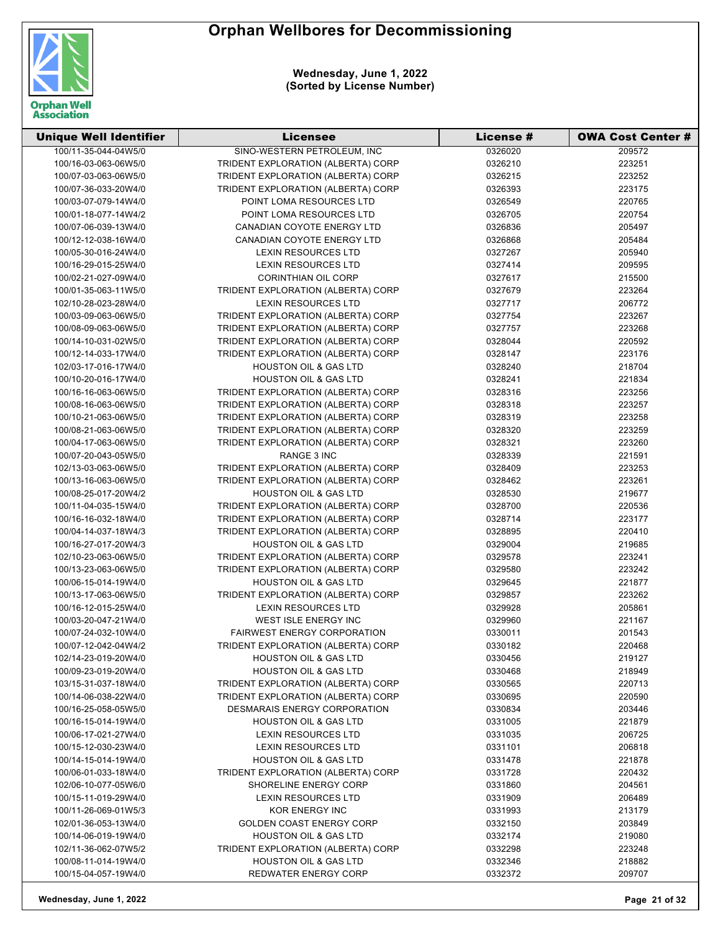

| <b>Unique Well Identifier</b> | <b>Licensee</b>                    | <b>License #</b> | <b>OWA Cost Center #</b> |
|-------------------------------|------------------------------------|------------------|--------------------------|
| 100/11-35-044-04W5/0          | SINO-WESTERN PETROLEUM, INC        | 0326020          | 209572                   |
| 100/16-03-063-06W5/0          | TRIDENT EXPLORATION (ALBERTA) CORP | 0326210          | 223251                   |
| 100/07-03-063-06W5/0          | TRIDENT EXPLORATION (ALBERTA) CORP | 0326215          | 223252                   |
| 100/07-36-033-20W4/0          | TRIDENT EXPLORATION (ALBERTA) CORP | 0326393          | 223175                   |
| 100/03-07-079-14W4/0          | POINT LOMA RESOURCES LTD           | 0326549          | 220765                   |
| 100/01-18-077-14W4/2          | POINT LOMA RESOURCES LTD           | 0326705          | 220754                   |
| 100/07-06-039-13W4/0          | CANADIAN COYOTE ENERGY LTD         | 0326836          | 205497                   |
| 100/12-12-038-16W4/0          | CANADIAN COYOTE ENERGY LTD         | 0326868          | 205484                   |
| 100/05-30-016-24W4/0          | <b>LEXIN RESOURCES LTD</b>         | 0327267          | 205940                   |
| 100/16-29-015-25W4/0          | <b>LEXIN RESOURCES LTD</b>         | 0327414          | 209595                   |
| 100/02-21-027-09W4/0          | <b>CORINTHIAN OIL CORP</b>         | 0327617          | 215500                   |
| 100/01-35-063-11W5/0          | TRIDENT EXPLORATION (ALBERTA) CORP | 0327679          | 223264                   |
| 102/10-28-023-28W4/0          | <b>LEXIN RESOURCES LTD</b>         | 0327717          | 206772                   |
| 100/03-09-063-06W5/0          | TRIDENT EXPLORATION (ALBERTA) CORP | 0327754          | 223267                   |
| 100/08-09-063-06W5/0          | TRIDENT EXPLORATION (ALBERTA) CORP | 0327757          | 223268                   |
| 100/14-10-031-02W5/0          | TRIDENT EXPLORATION (ALBERTA) CORP | 0328044          | 220592                   |
| 100/12-14-033-17W4/0          | TRIDENT EXPLORATION (ALBERTA) CORP | 0328147          | 223176                   |
| 102/03-17-016-17W4/0          | <b>HOUSTON OIL &amp; GAS LTD</b>   | 0328240          | 218704                   |
| 100/10-20-016-17W4/0          | <b>HOUSTON OIL &amp; GAS LTD</b>   | 0328241          | 221834                   |
| 100/16-16-063-06W5/0          | TRIDENT EXPLORATION (ALBERTA) CORP | 0328316          | 223256                   |
| 100/08-16-063-06W5/0          | TRIDENT EXPLORATION (ALBERTA) CORP | 0328318          | 223257                   |
| 100/10-21-063-06W5/0          | TRIDENT EXPLORATION (ALBERTA) CORP | 0328319          | 223258                   |
| 100/08-21-063-06W5/0          | TRIDENT EXPLORATION (ALBERTA) CORP | 0328320          | 223259                   |
| 100/04-17-063-06W5/0          | TRIDENT EXPLORATION (ALBERTA) CORP | 0328321          | 223260                   |
| 100/07-20-043-05W5/0          | RANGE 3 INC                        | 0328339          | 221591                   |
| 102/13-03-063-06W5/0          | TRIDENT EXPLORATION (ALBERTA) CORP | 0328409          | 223253                   |
| 100/13-16-063-06W5/0          | TRIDENT EXPLORATION (ALBERTA) CORP | 0328462          | 223261                   |
| 100/08-25-017-20W4/2          | <b>HOUSTON OIL &amp; GAS LTD</b>   | 0328530          | 219677                   |
| 100/11-04-035-15W4/0          | TRIDENT EXPLORATION (ALBERTA) CORP | 0328700          | 220536                   |
| 100/16-16-032-18W4/0          | TRIDENT EXPLORATION (ALBERTA) CORP | 0328714          | 223177                   |
| 100/04-14-037-18W4/3          | TRIDENT EXPLORATION (ALBERTA) CORP | 0328895          | 220410                   |
| 100/16-27-017-20W4/3          | <b>HOUSTON OIL &amp; GAS LTD</b>   | 0329004          | 219685                   |
| 102/10-23-063-06W5/0          | TRIDENT EXPLORATION (ALBERTA) CORP |                  |                          |
| 100/13-23-063-06W5/0          | TRIDENT EXPLORATION (ALBERTA) CORP | 0329578          | 223241<br>223242         |
|                               |                                    | 0329580          |                          |
| 100/06-15-014-19W4/0          | <b>HOUSTON OIL &amp; GAS LTD</b>   | 0329645          | 221877                   |
| 100/13-17-063-06W5/0          | TRIDENT EXPLORATION (ALBERTA) CORP | 0329857          | 223262                   |
| 100/16-12-015-25W4/0          | <b>LEXIN RESOURCES LTD</b>         | 0329928          | 205861                   |
| 100/03-20-047-21W4/0          | <b>WEST ISLE ENERGY INC</b>        | 0329960          | 221167                   |
| 100/07-24-032-10W4/0          | <b>FAIRWEST ENERGY CORPORATION</b> | 0330011          | 201543                   |
| 100/07-12-042-04W4/2          | TRIDENT EXPLORATION (ALBERTA) CORP | 0330182          | 220468                   |
| 102/14-23-019-20W4/0          | <b>HOUSTON OIL &amp; GAS LTD</b>   | 0330456          | 219127                   |
| 100/09-23-019-20W4/0          | <b>HOUSTON OIL &amp; GAS LTD</b>   | 0330468          | 218949                   |
| 103/15-31-037-18W4/0          | TRIDENT EXPLORATION (ALBERTA) CORP | 0330565          | 220713                   |
| 100/14-06-038-22W4/0          | TRIDENT EXPLORATION (ALBERTA) CORP | 0330695          | 220590                   |
| 100/16-25-058-05W5/0          | DESMARAIS ENERGY CORPORATION       | 0330834          | 203446                   |
| 100/16-15-014-19W4/0          | <b>HOUSTON OIL &amp; GAS LTD</b>   | 0331005          | 221879                   |
| 100/06-17-021-27W4/0          | <b>LEXIN RESOURCES LTD</b>         | 0331035          | 206725                   |
| 100/15-12-030-23W4/0          | <b>LEXIN RESOURCES LTD</b>         | 0331101          | 206818                   |
| 100/14-15-014-19W4/0          | <b>HOUSTON OIL &amp; GAS LTD</b>   | 0331478          | 221878                   |
| 100/06-01-033-18W4/0          | TRIDENT EXPLORATION (ALBERTA) CORP | 0331728          | 220432                   |
| 102/06-10-077-05W6/0          | SHORELINE ENERGY CORP              | 0331860          | 204561                   |
| 100/15-11-019-29W4/0          | <b>LEXIN RESOURCES LTD</b>         | 0331909          | 206489                   |
| 100/11-26-069-01W5/3          | <b>KOR ENERGY INC</b>              | 0331993          | 213179                   |
| 102/01-36-053-13W4/0          | <b>GOLDEN COAST ENERGY CORP</b>    | 0332150          | 203849                   |
| 100/14-06-019-19W4/0          | <b>HOUSTON OIL &amp; GAS LTD</b>   | 0332174          | 219080                   |
| 102/11-36-062-07W5/2          | TRIDENT EXPLORATION (ALBERTA) CORP | 0332298          | 223248                   |
| 100/08-11-014-19W4/0          | <b>HOUSTON OIL &amp; GAS LTD</b>   | 0332346          | 218882                   |
| 100/15-04-057-19W4/0          | REDWATER ENERGY CORP               | 0332372          | 209707                   |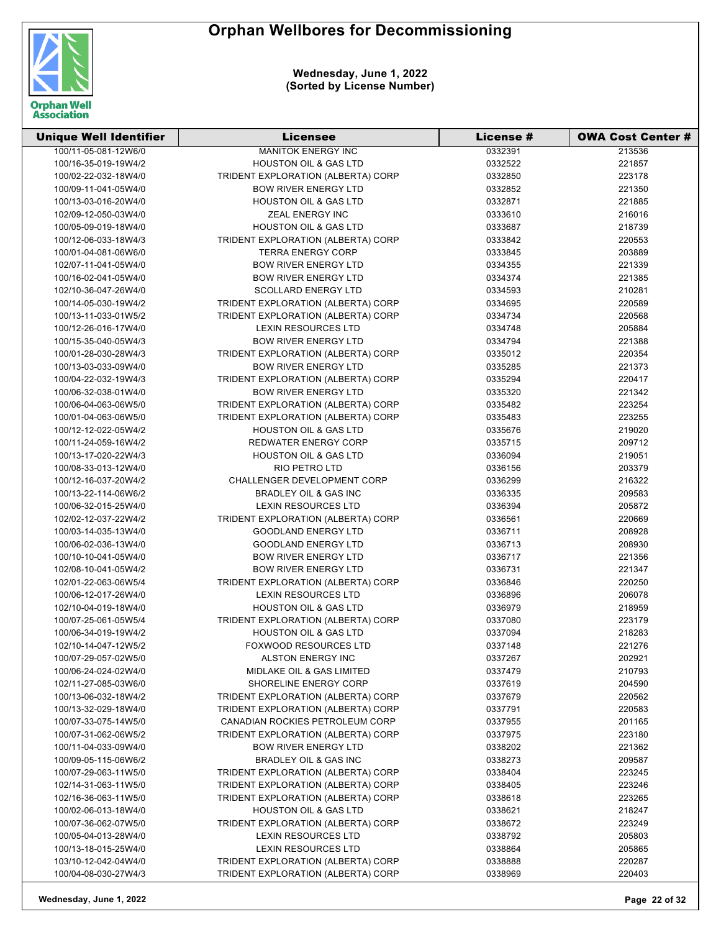

| <b>Unique Well Identifier</b> | Licensee                             | <b>License #</b> | <b>OWA Cost Center #</b> |
|-------------------------------|--------------------------------------|------------------|--------------------------|
| 100/11-05-081-12W6/0          | <b>MANITOK ENERGY INC</b>            | 0332391          | 213536                   |
| 100/16-35-019-19W4/2          | <b>HOUSTON OIL &amp; GAS LTD</b>     | 0332522          | 221857                   |
| 100/02-22-032-18W4/0          | TRIDENT EXPLORATION (ALBERTA) CORP   | 0332850          | 223178                   |
| 100/09-11-041-05W4/0          | <b>BOW RIVER ENERGY LTD</b>          | 0332852          | 221350                   |
| 100/13-03-016-20W4/0          | <b>HOUSTON OIL &amp; GAS LTD</b>     | 0332871          | 221885                   |
| 102/09-12-050-03W4/0          | ZEAL ENERGY INC                      | 0333610          | 216016                   |
| 100/05-09-019-18W4/0          | <b>HOUSTON OIL &amp; GAS LTD</b>     | 0333687          | 218739                   |
| 100/12-06-033-18W4/3          | TRIDENT EXPLORATION (ALBERTA) CORP   | 0333842          | 220553                   |
| 100/01-04-081-06W6/0          | <b>TERRA ENERGY CORP</b>             | 0333845          | 203889                   |
| 102/07-11-041-05W4/0          | <b>BOW RIVER ENERGY LTD</b>          | 0334355          | 221339                   |
| 100/16-02-041-05W4/0          | <b>BOW RIVER ENERGY LTD</b>          | 0334374          | 221385                   |
| 102/10-36-047-26W4/0          | <b>SCOLLARD ENERGY LTD</b>           | 0334593          | 210281                   |
| 100/14-05-030-19W4/2          | TRIDENT EXPLORATION (ALBERTA) CORP   | 0334695          | 220589                   |
| 100/13-11-033-01W5/2          | TRIDENT EXPLORATION (ALBERTA) CORP   | 0334734          | 220568                   |
| 100/12-26-016-17W4/0          | LEXIN RESOURCES LTD                  | 0334748          | 205884                   |
| 100/15-35-040-05W4/3          | <b>BOW RIVER ENERGY LTD</b>          | 0334794          | 221388                   |
| 100/01-28-030-28W4/3          | TRIDENT EXPLORATION (ALBERTA) CORP   | 0335012          | 220354                   |
| 100/13-03-033-09W4/0          | <b>BOW RIVER ENERGY LTD</b>          | 0335285          | 221373                   |
| 100/04-22-032-19W4/3          | TRIDENT EXPLORATION (ALBERTA) CORP   | 0335294          | 220417                   |
| 100/06-32-038-01W4/0          | <b>BOW RIVER ENERGY LTD</b>          | 0335320          | 221342                   |
| 100/06-04-063-06W5/0          | TRIDENT EXPLORATION (ALBERTA) CORP   | 0335482          | 223254                   |
| 100/01-04-063-06W5/0          | TRIDENT EXPLORATION (ALBERTA) CORP   | 0335483          | 223255                   |
| 100/12-12-022-05W4/2          | <b>HOUSTON OIL &amp; GAS LTD</b>     | 0335676          | 219020                   |
| 100/11-24-059-16W4/2          | <b>REDWATER ENERGY CORP</b>          | 0335715          | 209712                   |
| 100/13-17-020-22W4/3          | <b>HOUSTON OIL &amp; GAS LTD</b>     | 0336094          | 219051                   |
| 100/08-33-013-12W4/0          | RIO PETRO LTD                        | 0336156          | 203379                   |
| 100/12-16-037-20W4/2          | CHALLENGER DEVELOPMENT CORP          | 0336299          | 216322                   |
| 100/13-22-114-06W6/2          | <b>BRADLEY OIL &amp; GAS INC</b>     | 0336335          | 209583                   |
| 100/06-32-015-25W4/0          | <b>LEXIN RESOURCES LTD</b>           | 0336394          | 205872                   |
| 102/02-12-037-22W4/2          | TRIDENT EXPLORATION (ALBERTA) CORP   | 0336561          | 220669                   |
| 100/03-14-035-13W4/0          | <b>GOODLAND ENERGY LTD</b>           | 0336711          | 208928                   |
| 100/06-02-036-13W4/0          | <b>GOODLAND ENERGY LTD</b>           | 0336713          | 208930                   |
| 100/10-10-041-05W4/0          | <b>BOW RIVER ENERGY LTD</b>          | 0336717          | 221356                   |
| 102/08-10-041-05W4/2          | <b>BOW RIVER ENERGY LTD</b>          | 0336731          | 221347                   |
| 102/01-22-063-06W5/4          | TRIDENT EXPLORATION (ALBERTA) CORP   | 0336846          | 220250                   |
| 100/06-12-017-26W4/0          | <b>LEXIN RESOURCES LTD</b>           | 0336896          | 206078                   |
| 102/10-04-019-18W4/0          | <b>HOUSTON OIL &amp; GAS LTD</b>     | 0336979          | 218959                   |
| 100/07-25-061-05W5/4          | TRIDENT EXPLORATION (ALBERTA) CORP   | 0337080          | 223179                   |
| 100/06-34-019-19W4/2          | <b>HOUSTON OIL &amp; GAS LTD</b>     | 0337094          | 218283                   |
| 102/10-14-047-12W5/2          | <b>FOXWOOD RESOURCES LTD</b>         | 0337148          | 221276                   |
| 100/07-29-057-02W5/0          | ALSTON ENERGY INC                    | 0337267          | 202921                   |
| 100/06-24-024-02W4/0          | <b>MIDLAKE OIL &amp; GAS LIMITED</b> | 0337479          | 210793                   |
| 102/11-27-085-03W6/0          | SHORELINE ENERGY CORP                | 0337619          | 204590                   |
| 100/13-06-032-18W4/2          | TRIDENT EXPLORATION (ALBERTA) CORP   | 0337679          | 220562                   |
| 100/13-32-029-18W4/0          | TRIDENT EXPLORATION (ALBERTA) CORP   | 0337791          | 220583                   |
| 100/07-33-075-14W5/0          | CANADIAN ROCKIES PETROLEUM CORP      | 0337955          | 201165                   |
| 100/07-31-062-06W5/2          | TRIDENT EXPLORATION (ALBERTA) CORP   | 0337975          | 223180                   |
| 100/11-04-033-09W4/0          | <b>BOW RIVER ENERGY LTD</b>          | 0338202          | 221362                   |
| 100/09-05-115-06W6/2          | <b>BRADLEY OIL &amp; GAS INC</b>     | 0338273          | 209587                   |
| 100/07-29-063-11W5/0          | TRIDENT EXPLORATION (ALBERTA) CORP   | 0338404          | 223245                   |
| 102/14-31-063-11W5/0          | TRIDENT EXPLORATION (ALBERTA) CORP   | 0338405          | 223246                   |
| 102/16-36-063-11W5/0          | TRIDENT EXPLORATION (ALBERTA) CORP   | 0338618          | 223265                   |
| 100/02-06-013-18W4/0          | <b>HOUSTON OIL &amp; GAS LTD</b>     | 0338621          | 218247                   |
| 100/07-36-062-07W5/0          | TRIDENT EXPLORATION (ALBERTA) CORP   | 0338672          | 223249                   |
| 100/05-04-013-28W4/0          | LEXIN RESOURCES LTD                  | 0338792          | 205803                   |
| 100/13-18-015-25W4/0          | <b>LEXIN RESOURCES LTD</b>           | 0338864          | 205865                   |
| 103/10-12-042-04W4/0          | TRIDENT EXPLORATION (ALBERTA) CORP   | 0338888          | 220287                   |
| 100/04-08-030-27W4/3          | TRIDENT EXPLORATION (ALBERTA) CORP   | 0338969          | 220403                   |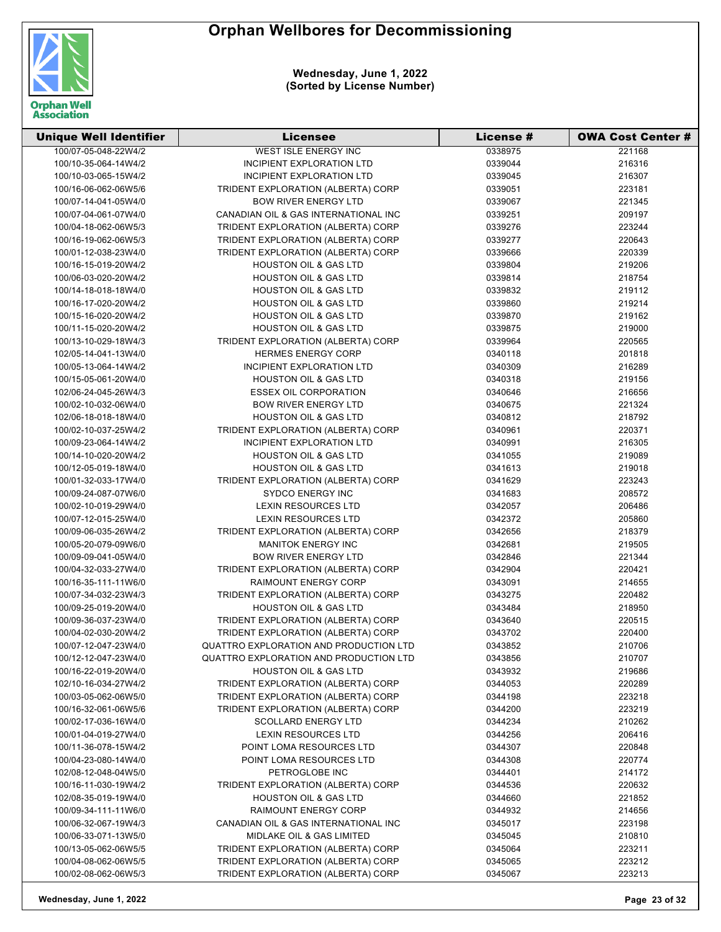

| <b>Unique Well Identifier</b>                | <b>Licensee</b>                                                          | License #          | <b>OWA Cost Center #</b> |
|----------------------------------------------|--------------------------------------------------------------------------|--------------------|--------------------------|
| 100/07-05-048-22W4/2                         | <b>WEST ISLE ENERGY INC</b>                                              | 0338975            | 221168                   |
| 100/10-35-064-14W4/2                         | INCIPIENT EXPLORATION LTD                                                | 0339044            | 216316                   |
| 100/10-03-065-15W4/2                         | INCIPIENT EXPLORATION LTD                                                | 0339045            | 216307                   |
| 100/16-06-062-06W5/6                         | TRIDENT EXPLORATION (ALBERTA) CORP                                       | 0339051            | 223181                   |
| 100/07-14-041-05W4/0                         | <b>BOW RIVER ENERGY LTD</b>                                              | 0339067            | 221345                   |
| 100/07-04-061-07W4/0                         | CANADIAN OIL & GAS INTERNATIONAL INC                                     | 0339251            | 209197                   |
| 100/04-18-062-06W5/3                         | TRIDENT EXPLORATION (ALBERTA) CORP                                       | 0339276            | 223244                   |
| 100/16-19-062-06W5/3                         | TRIDENT EXPLORATION (ALBERTA) CORP                                       | 0339277            | 220643                   |
| 100/01-12-038-23W4/0                         | TRIDENT EXPLORATION (ALBERTA) CORP                                       | 0339666            | 220339                   |
| 100/16-15-019-20W4/2                         | <b>HOUSTON OIL &amp; GAS LTD</b>                                         | 0339804            | 219206                   |
| 100/06-03-020-20W4/2                         | <b>HOUSTON OIL &amp; GAS LTD</b>                                         | 0339814            | 218754                   |
| 100/14-18-018-18W4/0                         | <b>HOUSTON OIL &amp; GAS LTD</b>                                         | 0339832            | 219112                   |
| 100/16-17-020-20W4/2                         | <b>HOUSTON OIL &amp; GAS LTD</b>                                         | 0339860            | 219214                   |
| 100/15-16-020-20W4/2                         | <b>HOUSTON OIL &amp; GAS LTD</b>                                         | 0339870            | 219162                   |
| 100/11-15-020-20W4/2                         | <b>HOUSTON OIL &amp; GAS LTD</b>                                         | 0339875            | 219000                   |
| 100/13-10-029-18W4/3                         | TRIDENT EXPLORATION (ALBERTA) CORP                                       | 0339964            | 220565                   |
| 102/05-14-041-13W4/0                         | <b>HERMES ENERGY CORP</b>                                                | 0340118            | 201818                   |
| 100/05-13-064-14W4/2                         | INCIPIENT EXPLORATION LTD                                                | 0340309            | 216289                   |
| 100/15-05-061-20W4/0                         | <b>HOUSTON OIL &amp; GAS LTD</b>                                         | 0340318            | 219156                   |
| 102/06-24-045-26W4/3                         | <b>ESSEX OIL CORPORATION</b>                                             | 0340646            | 216656                   |
| 100/02-10-032-06W4/0                         | <b>BOW RIVER ENERGY LTD</b>                                              | 0340675            | 221324                   |
| 102/06-18-018-18W4/0                         | <b>HOUSTON OIL &amp; GAS LTD</b>                                         | 0340812            | 218792                   |
| 100/02-10-037-25W4/2                         | TRIDENT EXPLORATION (ALBERTA) CORP                                       | 0340961            | 220371                   |
| 100/09-23-064-14W4/2                         | INCIPIENT EXPLORATION LTD                                                | 0340991            | 216305                   |
| 100/14-10-020-20W4/2                         | <b>HOUSTON OIL &amp; GAS LTD</b>                                         | 0341055            | 219089                   |
| 100/12-05-019-18W4/0                         | <b>HOUSTON OIL &amp; GAS LTD</b>                                         | 0341613            |                          |
| 100/01-32-033-17W4/0                         | TRIDENT EXPLORATION (ALBERTA) CORP                                       | 0341629            | 219018<br>223243         |
| 100/09-24-087-07W6/0                         | <b>SYDCO ENERGY INC</b>                                                  | 0341683            | 208572                   |
| 100/02-10-019-29W4/0                         | <b>LEXIN RESOURCES LTD</b>                                               | 0342057            | 206486                   |
| 100/07-12-015-25W4/0                         | <b>LEXIN RESOURCES LTD</b>                                               | 0342372            |                          |
| 100/09-06-035-26W4/2                         | TRIDENT EXPLORATION (ALBERTA) CORP                                       | 0342656            | 205860<br>218379         |
| 100/05-20-079-09W6/0                         | <b>MANITOK ENERGY INC</b>                                                | 0342681            | 219505                   |
| 100/09-09-041-05W4/0                         | <b>BOW RIVER ENERGY LTD</b>                                              | 0342846            | 221344                   |
| 100/04-32-033-27W4/0                         | TRIDENT EXPLORATION (ALBERTA) CORP                                       | 0342904            | 220421                   |
| 100/16-35-111-11W6/0                         | RAIMOUNT ENERGY CORP                                                     | 0343091            | 214655                   |
| 100/07-34-032-23W4/3                         | TRIDENT EXPLORATION (ALBERTA) CORP                                       |                    |                          |
|                                              | <b>HOUSTON OIL &amp; GAS LTD</b>                                         | 0343275            | 220482<br>218950         |
| 100/09-25-019-20W4/0                         |                                                                          | 0343484            |                          |
| 100/09-36-037-23W4/0<br>100/04-02-030-20W4/2 | TRIDENT EXPLORATION (ALBERTA) CORP                                       | 0343640<br>0343702 | 220515                   |
|                                              | TRIDENT EXPLORATION (ALBERTA) CORP                                       |                    | 220400                   |
| 100/07-12-047-23W4/0                         | QUATTRO EXPLORATION AND PRODUCTION LTD                                   | 0343852            | 210706                   |
| 100/12-12-047-23W4/0                         | QUATTRO EXPLORATION AND PRODUCTION LTD                                   | 0343856            | 210707                   |
| 100/16-22-019-20W4/0                         | <b>HOUSTON OIL &amp; GAS LTD</b>                                         | 0343932            | 219686                   |
| 102/10-16-034-27W4/2                         | TRIDENT EXPLORATION (ALBERTA) CORP<br>TRIDENT EXPLORATION (ALBERTA) CORP | 0344053            | 220289<br>223218         |
| 100/03-05-062-06W5/0                         |                                                                          | 0344198            |                          |
| 100/16-32-061-06W5/6                         | TRIDENT EXPLORATION (ALBERTA) CORP                                       | 0344200            | 223219                   |
| 100/02-17-036-16W4/0                         | <b>SCOLLARD ENERGY LTD</b>                                               | 0344234            | 210262                   |
| 100/01-04-019-27W4/0                         | LEXIN RESOURCES LTD                                                      | 0344256            | 206416                   |
| 100/11-36-078-15W4/2                         | POINT LOMA RESOURCES LTD                                                 | 0344307            | 220848                   |
| 100/04-23-080-14W4/0                         | POINT LOMA RESOURCES LTD                                                 | 0344308            | 220774                   |
| 102/08-12-048-04W5/0                         | PETROGLOBE INC                                                           | 0344401            | 214172                   |
| 100/16-11-030-19W4/2                         | TRIDENT EXPLORATION (ALBERTA) CORP                                       | 0344536            | 220632                   |
| 102/08-35-019-19W4/0                         | <b>HOUSTON OIL &amp; GAS LTD</b>                                         | 0344660            | 221852                   |
| 100/09-34-111-11W6/0                         | RAIMOUNT ENERGY CORP                                                     | 0344932            | 214656                   |
| 100/06-32-067-19W4/3                         | CANADIAN OIL & GAS INTERNATIONAL INC                                     | 0345017            | 223198                   |
| 100/06-33-071-13W5/0                         | MIDLAKE OIL & GAS LIMITED                                                | 0345045            | 210810                   |
| 100/13-05-062-06W5/5                         | TRIDENT EXPLORATION (ALBERTA) CORP                                       | 0345064            | 223211                   |
| 100/04-08-062-06W5/5                         | TRIDENT EXPLORATION (ALBERTA) CORP                                       | 0345065            | 223212                   |
| 100/02-08-062-06W5/3                         | TRIDENT EXPLORATION (ALBERTA) CORP                                       | 0345067            | 223213                   |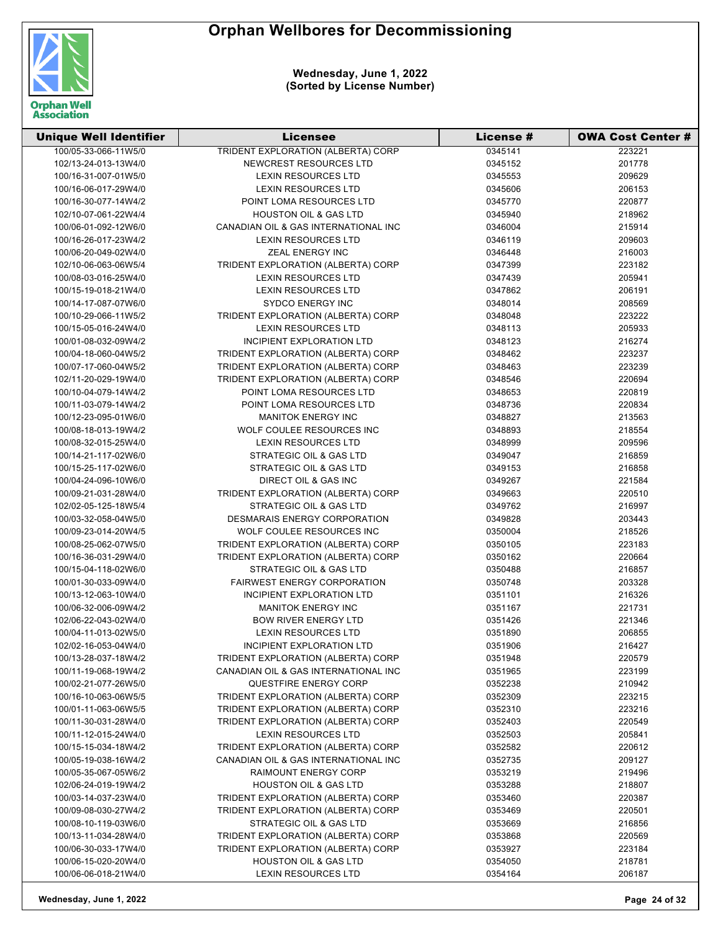

| <b>Unique Well Identifier</b> | <b>Licensee</b>                      | <b>License #</b> | <b>OWA Cost Center #</b> |
|-------------------------------|--------------------------------------|------------------|--------------------------|
| 100/05-33-066-11W5/0          | TRIDENT EXPLORATION (ALBERTA) CORP   | 0345141          | 223221                   |
| 102/13-24-013-13W4/0          | NEWCREST RESOURCES LTD               | 0345152          | 201778                   |
| 100/16-31-007-01W5/0          | <b>LEXIN RESOURCES LTD</b>           | 0345553          | 209629                   |
| 100/16-06-017-29W4/0          | <b>LEXIN RESOURCES LTD</b>           | 0345606          | 206153                   |
| 100/16-30-077-14W4/2          | POINT LOMA RESOURCES LTD             | 0345770          | 220877                   |
| 102/10-07-061-22W4/4          | <b>HOUSTON OIL &amp; GAS LTD</b>     | 0345940          | 218962                   |
| 100/06-01-092-12W6/0          | CANADIAN OIL & GAS INTERNATIONAL INC | 0346004          | 215914                   |
| 100/16-26-017-23W4/2          | <b>LEXIN RESOURCES LTD</b>           | 0346119          | 209603                   |
| 100/06-20-049-02W4/0          | ZEAL ENERGY INC                      | 0346448          | 216003                   |
| 102/10-06-063-06W5/4          | TRIDENT EXPLORATION (ALBERTA) CORP   | 0347399          | 223182                   |
| 100/08-03-016-25W4/0          | <b>LEXIN RESOURCES LTD</b>           | 0347439          | 205941                   |
| 100/15-19-018-21W4/0          | <b>LEXIN RESOURCES LTD</b>           | 0347862          | 206191                   |
| 100/14-17-087-07W6/0          | <b>SYDCO ENERGY INC</b>              | 0348014          | 208569                   |
| 100/10-29-066-11W5/2          | TRIDENT EXPLORATION (ALBERTA) CORP   | 0348048          | 223222                   |
| 100/15-05-016-24W4/0          | <b>LEXIN RESOURCES LTD</b>           | 0348113          | 205933                   |
| 100/01-08-032-09W4/2          | INCIPIENT EXPLORATION LTD            | 0348123          | 216274                   |
| 100/04-18-060-04W5/2          | TRIDENT EXPLORATION (ALBERTA) CORP   | 0348462          | 223237                   |
| 100/07-17-060-04W5/2          | TRIDENT EXPLORATION (ALBERTA) CORP   | 0348463          | 223239                   |
| 102/11-20-029-19W4/0          | TRIDENT EXPLORATION (ALBERTA) CORP   | 0348546          | 220694                   |
| 100/10-04-079-14W4/2          | POINT LOMA RESOURCES LTD             | 0348653          | 220819                   |
| 100/11-03-079-14W4/2          | POINT LOMA RESOURCES LTD             | 0348736          | 220834                   |
| 100/12-23-095-01W6/0          | <b>MANITOK ENERGY INC</b>            | 0348827          | 213563                   |
| 100/08-18-013-19W4/2          | WOLF COULEE RESOURCES INC            | 0348893          | 218554                   |
| 100/08-32-015-25W4/0          | <b>LEXIN RESOURCES LTD</b>           | 0348999          | 209596                   |
| 100/14-21-117-02W6/0          | STRATEGIC OIL & GAS LTD              | 0349047          | 216859                   |
| 100/15-25-117-02W6/0          | STRATEGIC OIL & GAS LTD              | 0349153          | 216858                   |
| 100/04-24-096-10W6/0          | DIRECT OIL & GAS INC                 | 0349267          | 221584                   |
| 100/09-21-031-28W4/0          | TRIDENT EXPLORATION (ALBERTA) CORP   | 0349663          | 220510                   |
| 102/02-05-125-18W5/4          | STRATEGIC OIL & GAS LTD              | 0349762          | 216997                   |
| 100/03-32-058-04W5/0          | DESMARAIS ENERGY CORPORATION         | 0349828          | 203443                   |
| 100/09-23-014-20W4/5          | WOLF COULEE RESOURCES INC            | 0350004          | 218526                   |
| 100/08-25-062-07W5/0          | TRIDENT EXPLORATION (ALBERTA) CORP   | 0350105          | 223183                   |
| 100/16-36-031-29W4/0          | TRIDENT EXPLORATION (ALBERTA) CORP   | 0350162          | 220664                   |
| 100/15-04-118-02W6/0          | <b>STRATEGIC OIL &amp; GAS LTD</b>   | 0350488          | 216857                   |
| 100/01-30-033-09W4/0          | <b>FAIRWEST ENERGY CORPORATION</b>   | 0350748          | 203328                   |
| 100/13-12-063-10W4/0          | <b>INCIPIENT EXPLORATION LTD</b>     | 0351101          | 216326                   |
| 100/06-32-006-09W4/2          | <b>MANITOK ENERGY INC</b>            | 0351167          | 221731                   |
| 102/06-22-043-02W4/0          | <b>BOW RIVER ENERGY LTD</b>          | 0351426          | 221346                   |
| 100/04-11-013-02W5/0          | <b>LEXIN RESOURCES LTD</b>           | 0351890          | 206855                   |
| 102/02-16-053-04W4/0          | <b>INCIPIENT EXPLORATION LTD</b>     | 0351906          | 216427                   |
| 100/13-28-037-18W4/2          | TRIDENT EXPLORATION (ALBERTA) CORP   | 0351948          | 220579                   |
| 100/11-19-068-19W4/2          | CANADIAN OIL & GAS INTERNATIONAL INC | 0351965          | 223199                   |
| 100/02-21-077-26W5/0          | QUESTFIRE ENERGY CORP                | 0352238          | 210942                   |
| 100/16-10-063-06W5/5          | TRIDENT EXPLORATION (ALBERTA) CORP   | 0352309          | 223215                   |
| 100/01-11-063-06W5/5          | TRIDENT EXPLORATION (ALBERTA) CORP   | 0352310          | 223216                   |
| 100/11-30-031-28W4/0          | TRIDENT EXPLORATION (ALBERTA) CORP   | 0352403          | 220549                   |
| 100/11-12-015-24W4/0          | <b>LEXIN RESOURCES LTD</b>           | 0352503          | 205841                   |
| 100/15-15-034-18W4/2          | TRIDENT EXPLORATION (ALBERTA) CORP   | 0352582          | 220612                   |
| 100/05-19-038-16W4/2          | CANADIAN OIL & GAS INTERNATIONAL INC | 0352735          | 209127                   |
| 100/05-35-067-05W6/2          | RAIMOUNT ENERGY CORP                 | 0353219          | 219496                   |
| 102/06-24-019-19W4/2          | <b>HOUSTON OIL &amp; GAS LTD</b>     | 0353288          | 218807                   |
| 100/03-14-037-23W4/0          | TRIDENT EXPLORATION (ALBERTA) CORP   | 0353460          | 220387                   |
| 100/09-08-030-27W4/2          | TRIDENT EXPLORATION (ALBERTA) CORP   | 0353469          | 220501                   |
| 100/08-10-119-03W6/0          | STRATEGIC OIL & GAS LTD              | 0353669          | 216856                   |
| 100/13-11-034-28W4/0          | TRIDENT EXPLORATION (ALBERTA) CORP   | 0353868          | 220569                   |
| 100/06-30-033-17W4/0          | TRIDENT EXPLORATION (ALBERTA) CORP   | 0353927          | 223184                   |
| 100/06-15-020-20W4/0          | <b>HOUSTON OIL &amp; GAS LTD</b>     | 0354050          | 218781                   |
| 100/06-06-018-21W4/0          | LEXIN RESOURCES LTD                  | 0354164          | 206187                   |
|                               |                                      |                  |                          |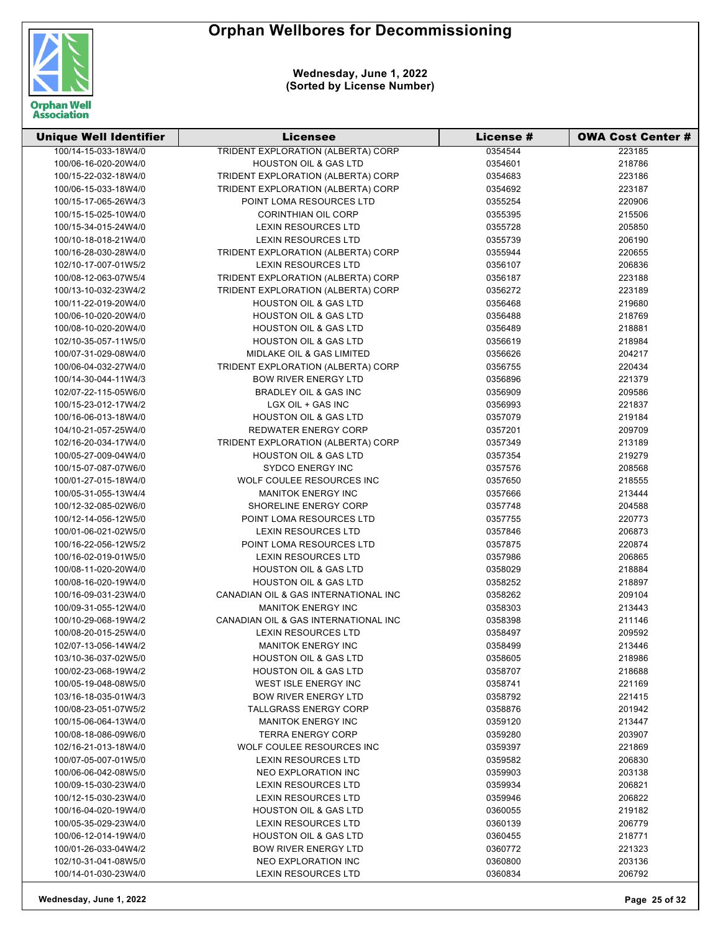

| <b>Unique Well Identifier</b> | <b>Licensee</b>                      | <b>License #</b> | <b>OWA Cost Center #</b> |
|-------------------------------|--------------------------------------|------------------|--------------------------|
| 100/14-15-033-18W4/0          | TRIDENT EXPLORATION (ALBERTA) CORP   | 0354544          | 223185                   |
| 100/06-16-020-20W4/0          | <b>HOUSTON OIL &amp; GAS LTD</b>     | 0354601          | 218786                   |
| 100/15-22-032-18W4/0          | TRIDENT EXPLORATION (ALBERTA) CORP   | 0354683          | 223186                   |
| 100/06-15-033-18W4/0          | TRIDENT EXPLORATION (ALBERTA) CORP   | 0354692          | 223187                   |
| 100/15-17-065-26W4/3          | POINT LOMA RESOURCES LTD             | 0355254          | 220906                   |
| 100/15-15-025-10W4/0          | <b>CORINTHIAN OIL CORP</b>           | 0355395          | 215506                   |
| 100/15-34-015-24W4/0          | <b>LEXIN RESOURCES LTD</b>           | 0355728          | 205850                   |
| 100/10-18-018-21W4/0          | <b>LEXIN RESOURCES LTD</b>           | 0355739          | 206190                   |
| 100/16-28-030-28W4/0          | TRIDENT EXPLORATION (ALBERTA) CORP   | 0355944          | 220655                   |
| 102/10-17-007-01W5/2          | <b>LEXIN RESOURCES LTD</b>           | 0356107          | 206836                   |
| 100/08-12-063-07W5/4          | TRIDENT EXPLORATION (ALBERTA) CORP   | 0356187          | 223188                   |
| 100/13-10-032-23W4/2          | TRIDENT EXPLORATION (ALBERTA) CORP   | 0356272          | 223189                   |
| 100/11-22-019-20W4/0          | <b>HOUSTON OIL &amp; GAS LTD</b>     | 0356468          | 219680                   |
| 100/06-10-020-20W4/0          | <b>HOUSTON OIL &amp; GAS LTD</b>     | 0356488          | 218769                   |
| 100/08-10-020-20W4/0          | <b>HOUSTON OIL &amp; GAS LTD</b>     | 0356489          | 218881                   |
| 102/10-35-057-11W5/0          | <b>HOUSTON OIL &amp; GAS LTD</b>     | 0356619          | 218984                   |
| 100/07-31-029-08W4/0          | MIDLAKE OIL & GAS LIMITED            | 0356626          | 204217                   |
| 100/06-04-032-27W4/0          | TRIDENT EXPLORATION (ALBERTA) CORP   | 0356755          | 220434                   |
| 100/14-30-044-11W4/3          | <b>BOW RIVER ENERGY LTD</b>          | 0356896          | 221379                   |
| 102/07-22-115-05W6/0          | <b>BRADLEY OIL &amp; GAS INC</b>     | 0356909          | 209586                   |
| 100/15-23-012-17W4/2          | LGX OIL + GAS INC                    | 0356993          | 221837                   |
| 100/16-06-013-18W4/0          | <b>HOUSTON OIL &amp; GAS LTD</b>     | 0357079          | 219184                   |
| 104/10-21-057-25W4/0          | <b>REDWATER ENERGY CORP</b>          | 0357201          | 209709                   |
| 102/16-20-034-17W4/0          | TRIDENT EXPLORATION (ALBERTA) CORP   | 0357349          | 213189                   |
| 100/05-27-009-04W4/0          | <b>HOUSTON OIL &amp; GAS LTD</b>     | 0357354          | 219279                   |
| 100/15-07-087-07W6/0          | <b>SYDCO ENERGY INC</b>              | 0357576          | 208568                   |
| 100/01-27-015-18W4/0          | WOLF COULEE RESOURCES INC            | 0357650          | 218555                   |
| 100/05-31-055-13W4/4          | <b>MANITOK ENERGY INC</b>            | 0357666          | 213444                   |
| 100/12-32-085-02W6/0          | SHORELINE ENERGY CORP                | 0357748          | 204588                   |
| 100/12-14-056-12W5/0          | POINT LOMA RESOURCES LTD             | 0357755          | 220773                   |
| 100/01-06-021-02W5/0          | <b>LEXIN RESOURCES LTD</b>           | 0357846          | 206873                   |
| 100/16-22-056-12W5/2          | POINT LOMA RESOURCES LTD             | 0357875          | 220874                   |
| 100/16-02-019-01W5/0          | <b>LEXIN RESOURCES LTD</b>           | 0357986          | 206865                   |
| 100/08-11-020-20W4/0          | <b>HOUSTON OIL &amp; GAS LTD</b>     | 0358029          | 218884                   |
| 100/08-16-020-19W4/0          | <b>HOUSTON OIL &amp; GAS LTD</b>     | 0358252          | 218897                   |
| 100/16-09-031-23W4/0          | CANADIAN OIL & GAS INTERNATIONAL INC | 0358262          | 209104                   |
| 100/09-31-055-12W4/0          | <b>MANITOK ENERGY INC</b>            | 0358303          | 213443                   |
| 100/10-29-068-19W4/2          | CANADIAN OIL & GAS INTERNATIONAL INC | 0358398          | 211146                   |
| 100/08-20-015-25W4/0          | LEXIN RESOURCES LTD                  | 0358497          | 209592                   |
| 102/07-13-056-14W4/2          | <b>MANITOK ENERGY INC</b>            | 0358499          | 213446                   |
| 103/10-36-037-02W5/0          | <b>HOUSTON OIL &amp; GAS LTD</b>     | 0358605          | 218986                   |
| 100/02-23-068-19W4/2          | <b>HOUSTON OIL &amp; GAS LTD</b>     | 0358707          | 218688                   |
| 100/05-19-048-08W5/0          | <b>WEST ISLE ENERGY INC</b>          | 0358741          | 221169                   |
| 103/16-18-035-01W4/3          | <b>BOW RIVER ENERGY LTD</b>          | 0358792          | 221415                   |
| 100/08-23-051-07W5/2          | <b>TALLGRASS ENERGY CORP</b>         | 0358876          | 201942                   |
| 100/15-06-064-13W4/0          | <b>MANITOK ENERGY INC</b>            | 0359120          | 213447                   |
| 100/08-18-086-09W6/0          | <b>TERRA ENERGY CORP</b>             | 0359280          | 203907                   |
| 102/16-21-013-18W4/0          | WOLF COULEE RESOURCES INC            | 0359397          | 221869                   |
| 100/07-05-007-01W5/0          | <b>LEXIN RESOURCES LTD</b>           | 0359582          | 206830                   |
| 100/06-06-042-08W5/0          | NEO EXPLORATION INC                  | 0359903          | 203138                   |
| 100/09-15-030-23W4/0          | LEXIN RESOURCES LTD                  | 0359934          | 206821                   |
| 100/12-15-030-23W4/0          | LEXIN RESOURCES LTD                  | 0359946          | 206822                   |
| 100/16-04-020-19W4/0          | <b>HOUSTON OIL &amp; GAS LTD</b>     | 0360055          | 219182                   |
| 100/05-35-029-23W4/0          | LEXIN RESOURCES LTD                  | 0360139          | 206779                   |
| 100/06-12-014-19W4/0          | <b>HOUSTON OIL &amp; GAS LTD</b>     | 0360455          | 218771                   |
| 100/01-26-033-04W4/2          | <b>BOW RIVER ENERGY LTD</b>          | 0360772          | 221323                   |
| 102/10-31-041-08W5/0          | NEO EXPLORATION INC                  | 0360800          | 203136                   |
| 100/14-01-030-23W4/0          | <b>LEXIN RESOURCES LTD</b>           | 0360834          | 206792                   |
|                               |                                      |                  |                          |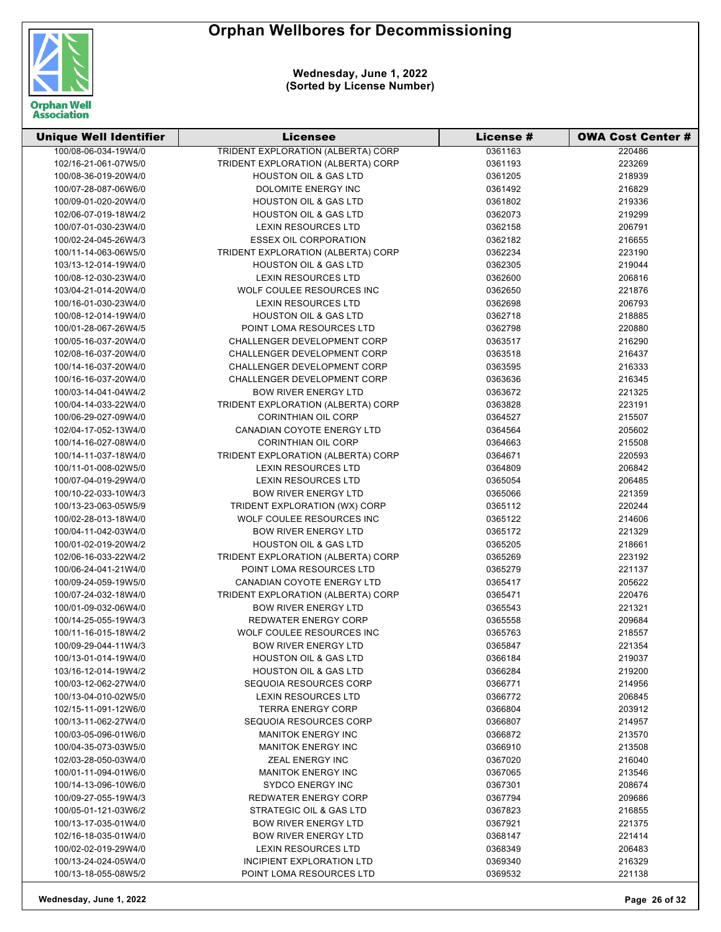

| <b>Unique Well Identifier</b> | Licensee                                  | <b>License #</b> | <b>OWA Cost Center #</b> |
|-------------------------------|-------------------------------------------|------------------|--------------------------|
| 100/08-06-034-19W4/0          | <b>TRIDENT EXPLORATION (ALBERTA) CORP</b> | 0361163          | 220486                   |
| 102/16-21-061-07W5/0          | TRIDENT EXPLORATION (ALBERTA) CORP        | 0361193          | 223269                   |
| 100/08-36-019-20W4/0          | <b>HOUSTON OIL &amp; GAS LTD</b>          | 0361205          | 218939                   |
| 100/07-28-087-06W6/0          | <b>DOLOMITE ENERGY INC</b>                | 0361492          | 216829                   |
| 100/09-01-020-20W4/0          | <b>HOUSTON OIL &amp; GAS LTD</b>          | 0361802          | 219336                   |
| 102/06-07-019-18W4/2          | <b>HOUSTON OIL &amp; GAS LTD</b>          | 0362073          | 219299                   |
| 100/07-01-030-23W4/0          | <b>LEXIN RESOURCES LTD</b>                | 0362158          | 206791                   |
| 100/02-24-045-26W4/3          | <b>ESSEX OIL CORPORATION</b>              | 0362182          | 216655                   |
| 100/11-14-063-06W5/0          | TRIDENT EXPLORATION (ALBERTA) CORP        | 0362234          | 223190                   |
| 103/13-12-014-19W4/0          | <b>HOUSTON OIL &amp; GAS LTD</b>          | 0362305          | 219044                   |
| 100/08-12-030-23W4/0          | <b>LEXIN RESOURCES LTD</b>                | 0362600          | 206816                   |
| 103/04-21-014-20W4/0          | WOLF COULEE RESOURCES INC                 | 0362650          | 221876                   |
| 100/16-01-030-23W4/0          | LEXIN RESOURCES LTD                       | 0362698          | 206793                   |
| 100/08-12-014-19W4/0          | <b>HOUSTON OIL &amp; GAS LTD</b>          | 0362718          | 218885                   |
| 100/01-28-067-26W4/5          | POINT LOMA RESOURCES LTD                  | 0362798          | 220880                   |
| 100/05-16-037-20W4/0          | CHALLENGER DEVELOPMENT CORP               | 0363517          | 216290                   |
| 102/08-16-037-20W4/0          | CHALLENGER DEVELOPMENT CORP               | 0363518          | 216437                   |
| 100/14-16-037-20W4/0          | CHALLENGER DEVELOPMENT CORP               | 0363595          | 216333                   |
| 100/16-16-037-20W4/0          | CHALLENGER DEVELOPMENT CORP               | 0363636          | 216345                   |
| 100/03-14-041-04W4/2          | <b>BOW RIVER ENERGY LTD</b>               | 0363672          | 221325                   |
| 100/04-14-033-22W4/0          | TRIDENT EXPLORATION (ALBERTA) CORP        | 0363828          | 223191                   |
| 100/06-29-027-09W4/0          | <b>CORINTHIAN OIL CORP</b>                | 0364527          | 215507                   |
| 102/04-17-052-13W4/0          | CANADIAN COYOTE ENERGY LTD                | 0364564          | 205602                   |
| 100/14-16-027-08W4/0          | <b>CORINTHIAN OIL CORP</b>                | 0364663          | 215508                   |
| 100/14-11-037-18W4/0          | TRIDENT EXPLORATION (ALBERTA) CORP        | 0364671          | 220593                   |
| 100/11-01-008-02W5/0          | LEXIN RESOURCES LTD                       | 0364809          | 206842                   |
| 100/07-04-019-29W4/0          | LEXIN RESOURCES LTD                       | 0365054          | 206485                   |
| 100/10-22-033-10W4/3          | <b>BOW RIVER ENERGY LTD</b>               | 0365066          | 221359                   |
| 100/13-23-063-05W5/9          | TRIDENT EXPLORATION (WX) CORP             | 0365112          | 220244                   |
| 100/02-28-013-18W4/0          | WOLF COULEE RESOURCES INC                 | 0365122          | 214606                   |
| 100/04-11-042-03W4/0          | <b>BOW RIVER ENERGY LTD</b>               | 0365172          | 221329                   |
| 100/01-02-019-20W4/2          | <b>HOUSTON OIL &amp; GAS LTD</b>          | 0365205          | 218661                   |
| 102/06-16-033-22W4/2          | TRIDENT EXPLORATION (ALBERTA) CORP        | 0365269          | 223192                   |
| 100/06-24-041-21W4/0          | POINT LOMA RESOURCES LTD                  | 0365279          | 221137                   |
| 100/09-24-059-19W5/0          | CANADIAN COYOTE ENERGY LTD                | 0365417          | 205622                   |
| 100/07-24-032-18W4/0          | TRIDENT EXPLORATION (ALBERTA) CORP        | 0365471          | 220476                   |
| 100/01-09-032-06W4/0          | <b>BOW RIVER ENERGY LTD</b>               | 0365543          | 221321                   |
| 100/14-25-055-19W4/3          | <b>REDWATER ENERGY CORP</b>               | 0365558          | 209684                   |
| 100/11-16-015-18W4/2          | WOLF COULEE RESOURCES INC                 | 0365763          | 218557                   |
| 100/09-29-044-11W4/3          | <b>BOW RIVER ENERGY LTD</b>               | 0365847          | 221354                   |
| 100/13-01-014-19W4/0          | <b>HOUSTON OIL &amp; GAS LTD</b>          | 0366184          | 219037                   |
| 103/16-12-014-19W4/2          | <b>HOUSTON OIL &amp; GAS LTD</b>          | 0366284          | 219200                   |
| 100/03-12-062-27W4/0          | SEQUOIA RESOURCES CORP                    | 0366771          | 214956                   |
| 100/13-04-010-02W5/0          | <b>LEXIN RESOURCES LTD</b>                | 0366772          | 206845                   |
| 102/15-11-091-12W6/0          | <b>TERRA ENERGY CORP</b>                  | 0366804          | 203912                   |
| 100/13-11-062-27W4/0          | SEQUOIA RESOURCES CORP                    | 0366807          | 214957                   |
| 100/03-05-096-01W6/0          | <b>MANITOK ENERGY INC</b>                 | 0366872          | 213570                   |
| 100/04-35-073-03W5/0          | <b>MANITOK ENERGY INC</b>                 | 0366910          | 213508                   |
| 102/03-28-050-03W4/0          | ZEAL ENERGY INC                           | 0367020          | 216040                   |
| 100/01-11-094-01W6/0          | <b>MANITOK ENERGY INC</b>                 | 0367065          | 213546                   |
| 100/14-13-096-10W6/0          | <b>SYDCO ENERGY INC</b>                   | 0367301          | 208674                   |
| 100/09-27-055-19W4/3          | <b>REDWATER ENERGY CORP</b>               | 0367794          | 209686                   |
| 100/05-01-121-03W6/2          | STRATEGIC OIL & GAS LTD                   | 0367823          | 216855                   |
| 100/13-17-035-01W4/0          | <b>BOW RIVER ENERGY LTD</b>               | 0367921          | 221375                   |
| 102/16-18-035-01W4/0          | <b>BOW RIVER ENERGY LTD</b>               | 0368147          | 221414                   |
| 100/02-02-019-29W4/0          | <b>LEXIN RESOURCES LTD</b>                | 0368349          | 206483                   |
| 100/13-24-024-05W4/0          | INCIPIENT EXPLORATION LTD                 | 0369340          | 216329                   |
| 100/13-18-055-08W5/2          | POINT LOMA RESOURCES LTD                  | 0369532          | 221138                   |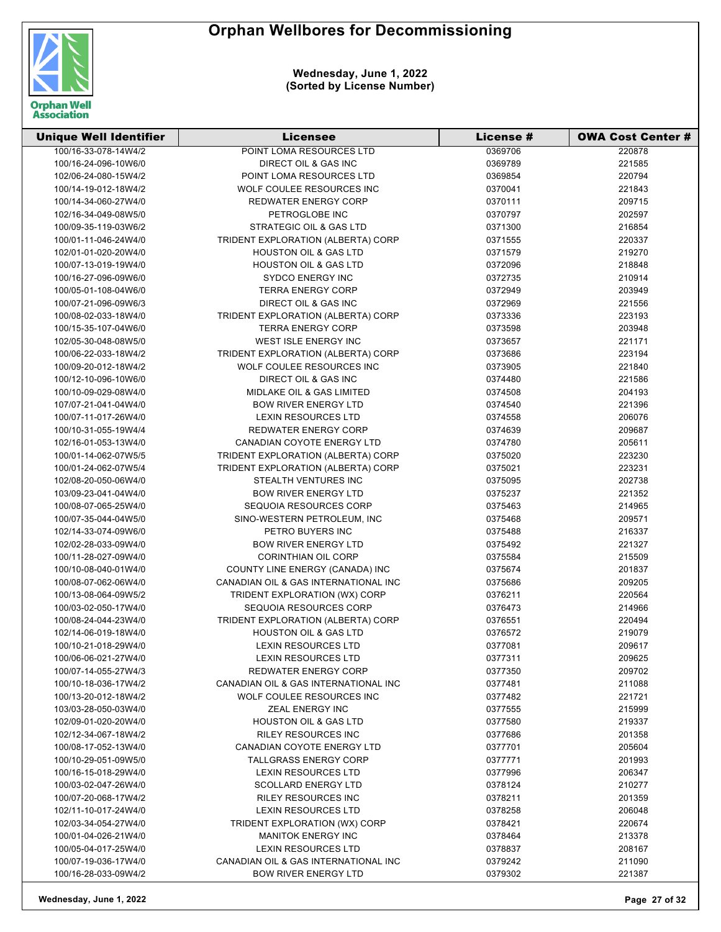

| <b>Unique Well Identifier</b> | <b>Licensee</b>                      | License # | <b>OWA Cost Center #</b> |
|-------------------------------|--------------------------------------|-----------|--------------------------|
| 100/16-33-078-14W4/2          | POINT LOMA RESOURCES LTD             | 0369706   | 220878                   |
| 100/16-24-096-10W6/0          | DIRECT OIL & GAS INC                 | 0369789   | 221585                   |
| 102/06-24-080-15W4/2          | POINT LOMA RESOURCES LTD             | 0369854   | 220794                   |
| 100/14-19-012-18W4/2          | WOLF COULEE RESOURCES INC            | 0370041   | 221843                   |
| 100/14-34-060-27W4/0          | <b>REDWATER ENERGY CORP</b>          | 0370111   | 209715                   |
| 102/16-34-049-08W5/0          | PETROGLOBE INC                       | 0370797   | 202597                   |
| 100/09-35-119-03W6/2          | STRATEGIC OIL & GAS LTD              | 0371300   | 216854                   |
| 100/01-11-046-24W4/0          | TRIDENT EXPLORATION (ALBERTA) CORP   | 0371555   | 220337                   |
| 102/01-01-020-20W4/0          | <b>HOUSTON OIL &amp; GAS LTD</b>     | 0371579   | 219270                   |
| 100/07-13-019-19W4/0          | <b>HOUSTON OIL &amp; GAS LTD</b>     | 0372096   | 218848                   |
| 100/16-27-096-09W6/0          | <b>SYDCO ENERGY INC</b>              | 0372735   | 210914                   |
| 100/05-01-108-04W6/0          | <b>TERRA ENERGY CORP</b>             | 0372949   | 203949                   |
| 100/07-21-096-09W6/3          | DIRECT OIL & GAS INC                 | 0372969   | 221556                   |
| 100/08-02-033-18W4/0          | TRIDENT EXPLORATION (ALBERTA) CORP   | 0373336   | 223193                   |
| 100/15-35-107-04W6/0          | <b>TERRA ENERGY CORP</b>             | 0373598   | 203948                   |
| 102/05-30-048-08W5/0          | WEST ISLE ENERGY INC                 | 0373657   | 221171                   |
| 100/06-22-033-18W4/2          | TRIDENT EXPLORATION (ALBERTA) CORP   | 0373686   | 223194                   |
| 100/09-20-012-18W4/2          | WOLF COULEE RESOURCES INC            | 0373905   | 221840                   |
| 100/12-10-096-10W6/0          | DIRECT OIL & GAS INC                 | 0374480   | 221586                   |
| 100/10-09-029-08W4/0          | MIDLAKE OIL & GAS LIMITED            | 0374508   | 204193                   |
| 107/07-21-041-04W4/0          | <b>BOW RIVER ENERGY LTD</b>          | 0374540   | 221396                   |
| 100/07-11-017-26W4/0          | <b>LEXIN RESOURCES LTD</b>           | 0374558   | 206076                   |
| 100/10-31-055-19W4/4          | <b>REDWATER ENERGY CORP</b>          | 0374639   | 209687                   |
| 102/16-01-053-13W4/0          | CANADIAN COYOTE ENERGY LTD           | 0374780   | 205611                   |
| 100/01-14-062-07W5/5          | TRIDENT EXPLORATION (ALBERTA) CORP   | 0375020   | 223230                   |
| 100/01-24-062-07W5/4          | TRIDENT EXPLORATION (ALBERTA) CORP   | 0375021   | 223231                   |
| 102/08-20-050-06W4/0          | STEALTH VENTURES INC                 | 0375095   | 202738                   |
| 103/09-23-041-04W4/0          | <b>BOW RIVER ENERGY LTD</b>          | 0375237   | 221352                   |
| 100/08-07-065-25W4/0          | SEQUOIA RESOURCES CORP               | 0375463   | 214965                   |
| 100/07-35-044-04W5/0          | SINO-WESTERN PETROLEUM, INC          | 0375468   | 209571                   |
| 102/14-33-074-09W6/0          | PETRO BUYERS INC                     | 0375488   | 216337                   |
| 102/02-28-033-09W4/0          | <b>BOW RIVER ENERGY LTD</b>          | 0375492   | 221327                   |
| 100/11-28-027-09W4/0          | <b>CORINTHIAN OIL CORP</b>           | 0375584   | 215509                   |
| 100/10-08-040-01W4/0          | COUNTY LINE ENERGY (CANADA) INC      | 0375674   | 201837                   |
| 100/08-07-062-06W4/0          | CANADIAN OIL & GAS INTERNATIONAL INC | 0375686   | 209205                   |
| 100/13-08-064-09W5/2          | TRIDENT EXPLORATION (WX) CORP        | 0376211   | 220564                   |
| 100/03-02-050-17W4/0          | SEQUOIA RESOURCES CORP               | 0376473   | 214966                   |
| 100/08-24-044-23W4/0          | TRIDENT EXPLORATION (ALBERTA) CORP   | 0376551   | 220494                   |
| 102/14-06-019-18W4/0          | <b>HOUSTON OIL &amp; GAS LTD</b>     | 0376572   | 219079                   |
| 100/10-21-018-29W4/0          | <b>LEXIN RESOURCES LTD</b>           | 0377081   | 209617                   |
| 100/06-06-021-27W4/0          | <b>LEXIN RESOURCES LTD</b>           | 0377311   | 209625                   |
| 100/07-14-055-27W4/3          | <b>REDWATER ENERGY CORP</b>          | 0377350   | 209702                   |
| 100/10-18-036-17W4/2          | CANADIAN OIL & GAS INTERNATIONAL INC | 0377481   | 211088                   |
| 100/13-20-012-18W4/2          | WOLF COULEE RESOURCES INC            | 0377482   | 221721                   |
| 103/03-28-050-03W4/0          | ZEAL ENERGY INC                      | 0377555   | 215999                   |
| 102/09-01-020-20W4/0          | <b>HOUSTON OIL &amp; GAS LTD</b>     | 0377580   | 219337                   |
| 102/12-34-067-18W4/2          | <b>RILEY RESOURCES INC</b>           | 0377686   | 201358                   |
| 100/08-17-052-13W4/0          | CANADIAN COYOTE ENERGY LTD           | 0377701   | 205604                   |
| 100/10-29-051-09W5/0          | <b>TALLGRASS ENERGY CORP</b>         | 0377771   | 201993                   |
| 100/16-15-018-29W4/0          | <b>LEXIN RESOURCES LTD</b>           | 0377996   | 206347                   |
| 100/03-02-047-26W4/0          | <b>SCOLLARD ENERGY LTD</b>           | 0378124   | 210277                   |
| 100/07-20-068-17W4/2          | <b>RILEY RESOURCES INC</b>           | 0378211   | 201359                   |
| 102/11-10-017-24W4/0          | <b>LEXIN RESOURCES LTD</b>           | 0378258   | 206048                   |
| 102/03-34-054-27W4/0          | TRIDENT EXPLORATION (WX) CORP        | 0378421   | 220674                   |
| 100/01-04-026-21W4/0          | <b>MANITOK ENERGY INC</b>            | 0378464   | 213378                   |
| 100/05-04-017-25W4/0          | <b>LEXIN RESOURCES LTD</b>           | 0378837   | 208167                   |
| 100/07-19-036-17W4/0          | CANADIAN OIL & GAS INTERNATIONAL INC | 0379242   | 211090                   |
| 100/16-28-033-09W4/2          | <b>BOW RIVER ENERGY LTD</b>          | 0379302   | 221387                   |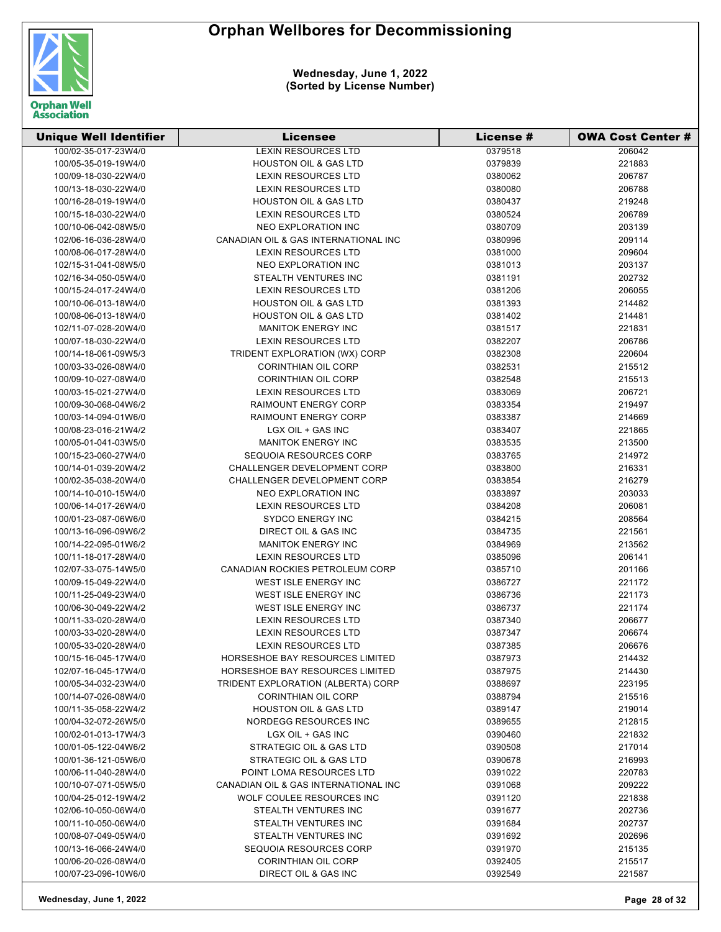

| <b>Unique Well Identifier</b> | Licensee                               | License # | <b>OWA Cost Center #</b> |
|-------------------------------|----------------------------------------|-----------|--------------------------|
| 100/02-35-017-23W4/0          | <b>LEXIN RESOURCES LTD</b>             | 0379518   | 206042                   |
| 100/05-35-019-19W4/0          | <b>HOUSTON OIL &amp; GAS LTD</b>       | 0379839   | 221883                   |
| 100/09-18-030-22W4/0          | LEXIN RESOURCES LTD                    | 0380062   | 206787                   |
| 100/13-18-030-22W4/0          | <b>LEXIN RESOURCES LTD</b>             | 0380080   | 206788                   |
| 100/16-28-019-19W4/0          | <b>HOUSTON OIL &amp; GAS LTD</b>       | 0380437   | 219248                   |
| 100/15-18-030-22W4/0          | <b>LEXIN RESOURCES LTD</b>             | 0380524   | 206789                   |
| 100/10-06-042-08W5/0          | NEO EXPLORATION INC                    | 0380709   | 203139                   |
| 102/06-16-036-28W4/0          | CANADIAN OIL & GAS INTERNATIONAL INC   | 0380996   | 209114                   |
| 100/08-06-017-28W4/0          | <b>LEXIN RESOURCES LTD</b>             | 0381000   | 209604                   |
| 102/15-31-041-08W5/0          | NEO EXPLORATION INC                    | 0381013   | 203137                   |
| 102/16-34-050-05W4/0          | STEALTH VENTURES INC                   | 0381191   | 202732                   |
| 100/15-24-017-24W4/0          | <b>LEXIN RESOURCES LTD</b>             | 0381206   | 206055                   |
| 100/10-06-013-18W4/0          | <b>HOUSTON OIL &amp; GAS LTD</b>       | 0381393   | 214482                   |
| 100/08-06-013-18W4/0          | <b>HOUSTON OIL &amp; GAS LTD</b>       | 0381402   | 214481                   |
| 102/11-07-028-20W4/0          | <b>MANITOK ENERGY INC</b>              | 0381517   | 221831                   |
| 100/07-18-030-22W4/0          | <b>LEXIN RESOURCES LTD</b>             | 0382207   | 206786                   |
| 100/14-18-061-09W5/3          | TRIDENT EXPLORATION (WX) CORP          | 0382308   | 220604                   |
| 100/03-33-026-08W4/0          | <b>CORINTHIAN OIL CORP</b>             | 0382531   | 215512                   |
| 100/09-10-027-08W4/0          | <b>CORINTHIAN OIL CORP</b>             | 0382548   | 215513                   |
| 100/03-15-021-27W4/0          | <b>LEXIN RESOURCES LTD</b>             | 0383069   | 206721                   |
| 100/09-30-068-04W6/2          | <b>RAIMOUNT ENERGY CORP</b>            | 0383354   | 219497                   |
| 100/03-14-094-01W6/0          | <b>RAIMOUNT ENERGY CORP</b>            | 0383387   | 214669                   |
| 100/08-23-016-21W4/2          | LGX OIL + GAS INC                      | 0383407   | 221865                   |
| 100/05-01-041-03W5/0          | <b>MANITOK ENERGY INC</b>              | 0383535   | 213500                   |
| 100/15-23-060-27W4/0          | <b>SEQUOIA RESOURCES CORP</b>          | 0383765   | 214972                   |
| 100/14-01-039-20W4/2          | CHALLENGER DEVELOPMENT CORP            | 0383800   | 216331                   |
| 100/02-35-038-20W4/0          | <b>CHALLENGER DEVELOPMENT CORP</b>     | 0383854   | 216279                   |
| 100/14-10-010-15W4/0          | NEO EXPLORATION INC                    | 0383897   | 203033                   |
| 100/06-14-017-26W4/0          | <b>LEXIN RESOURCES LTD</b>             | 0384208   | 206081                   |
| 100/01-23-087-06W6/0          | <b>SYDCO ENERGY INC</b>                | 0384215   | 208564                   |
| 100/13-16-096-09W6/2          | DIRECT OIL & GAS INC                   | 0384735   | 221561                   |
| 100/14-22-095-01W6/2          | <b>MANITOK ENERGY INC</b>              | 0384969   | 213562                   |
| 100/11-18-017-28W4/0          | <b>LEXIN RESOURCES LTD</b>             | 0385096   | 206141                   |
| 102/07-33-075-14W5/0          | CANADIAN ROCKIES PETROLEUM CORP        | 0385710   | 201166                   |
| 100/09-15-049-22W4/0          | <b>WEST ISLE ENERGY INC</b>            | 0386727   | 221172                   |
| 100/11-25-049-23W4/0          | WEST ISLE ENERGY INC                   | 0386736   | 221173                   |
| 100/06-30-049-22W4/2          | WEST ISLE ENERGY INC                   | 0386737   | 221174                   |
| 100/11-33-020-28W4/0          | <b>LEXIN RESOURCES LTD</b>             | 0387340   | 206677                   |
| 100/03-33-020-28W4/0          | <b>LEXIN RESOURCES LTD</b>             | 0387347   | 206674                   |
| 100/05-33-020-28W4/0          | <b>LEXIN RESOURCES LTD</b>             | 0387385   | 206676                   |
| 100/15-16-045-17W4/0          | <b>HORSESHOE BAY RESOURCES LIMITED</b> | 0387973   | 214432                   |
| 102/07-16-045-17W4/0          | HORSESHOE BAY RESOURCES LIMITED        | 0387975   | 214430                   |
| 100/05-34-032-23W4/0          | TRIDENT EXPLORATION (ALBERTA) CORP     | 0388697   | 223195                   |
| 100/14-07-026-08W4/0          | <b>CORINTHIAN OIL CORP</b>             | 0388794   | 215516                   |
| 100/11-35-058-22W4/2          | <b>HOUSTON OIL &amp; GAS LTD</b>       | 0389147   | 219014                   |
| 100/04-32-072-26W5/0          | NORDEGG RESOURCES INC                  | 0389655   | 212815                   |
| 100/02-01-013-17W4/3          | LGX OIL + GAS INC                      | 0390460   | 221832                   |
| 100/01-05-122-04W6/2          | STRATEGIC OIL & GAS LTD                |           | 217014                   |
|                               | STRATEGIC OIL & GAS LTD                | 0390508   |                          |
| 100/01-36-121-05W6/0          |                                        | 0390678   | 216993                   |
| 100/06-11-040-28W4/0          | POINT LOMA RESOURCES LTD               | 0391022   | 220783<br>209222         |
| 100/10-07-071-05W5/0          | CANADIAN OIL & GAS INTERNATIONAL INC   | 0391068   |                          |
| 100/04-25-012-19W4/2          | WOLF COULEE RESOURCES INC              | 0391120   | 221838                   |
| 102/06-10-050-06W4/0          | STEALTH VENTURES INC                   | 0391677   | 202736                   |
| 100/11-10-050-06W4/0          | STEALTH VENTURES INC                   | 0391684   | 202737                   |
| 100/08-07-049-05W4/0          | STEALTH VENTURES INC                   | 0391692   | 202696                   |
| 100/13-16-066-24W4/0          | SEQUOIA RESOURCES CORP                 | 0391970   | 215135                   |
| 100/06-20-026-08W4/0          | <b>CORINTHIAN OIL CORP</b>             | 0392405   | 215517                   |
| 100/07-23-096-10W6/0          | DIRECT OIL & GAS INC                   | 0392549   | 221587                   |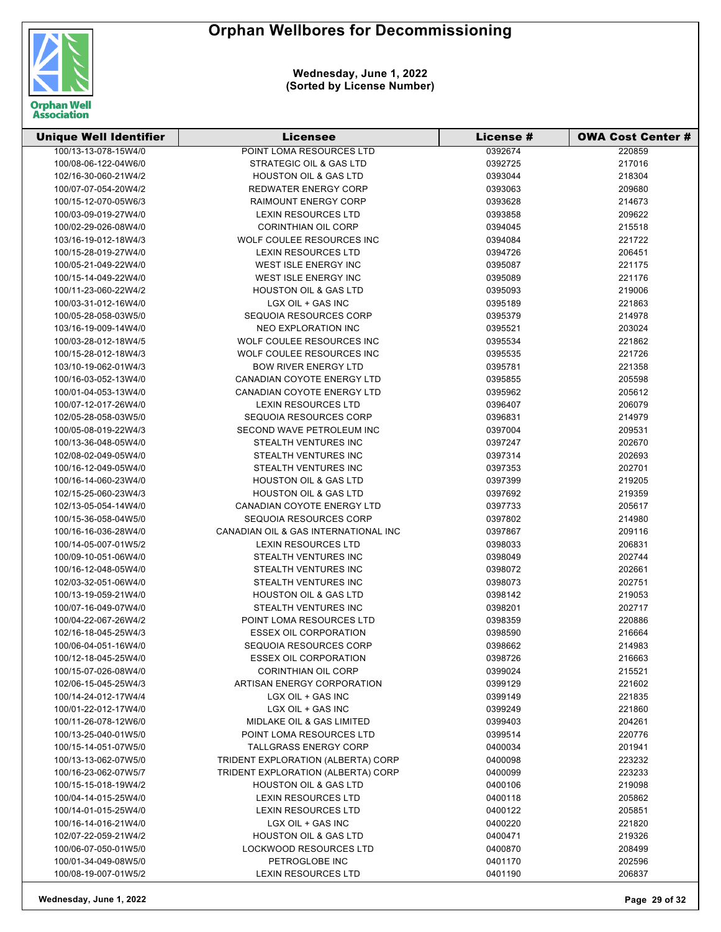

| <b>Unique Well Identifier</b> | <b>Licensee</b>                      | <b>License #</b> | <b>OWA Cost Center #</b> |
|-------------------------------|--------------------------------------|------------------|--------------------------|
| 100/13-13-078-15W4/0          | POINT LOMA RESOURCES LTD             | 0392674          | 220859                   |
| 100/08-06-122-04W6/0          | STRATEGIC OIL & GAS LTD              | 0392725          | 217016                   |
| 102/16-30-060-21W4/2          | <b>HOUSTON OIL &amp; GAS LTD</b>     | 0393044          | 218304                   |
| 100/07-07-054-20W4/2          | <b>REDWATER ENERGY CORP</b>          | 0393063          | 209680                   |
| 100/15-12-070-05W6/3          | <b>RAIMOUNT ENERGY CORP</b>          | 0393628          | 214673                   |
| 100/03-09-019-27W4/0          | <b>LEXIN RESOURCES LTD</b>           | 0393858          | 209622                   |
| 100/02-29-026-08W4/0          | <b>CORINTHIAN OIL CORP</b>           | 0394045          | 215518                   |
| 103/16-19-012-18W4/3          | WOLF COULEE RESOURCES INC            | 0394084          | 221722                   |
| 100/15-28-019-27W4/0          | <b>LEXIN RESOURCES LTD</b>           | 0394726          | 206451                   |
| 100/05-21-049-22W4/0          | WEST ISLE ENERGY INC                 | 0395087          | 221175                   |
| 100/15-14-049-22W4/0          | WEST ISLE ENERGY INC                 | 0395089          | 221176                   |
| 100/11-23-060-22W4/2          | <b>HOUSTON OIL &amp; GAS LTD</b>     | 0395093          | 219006                   |
| 100/03-31-012-16W4/0          | LGX OIL + GAS INC                    | 0395189          | 221863                   |
| 100/05-28-058-03W5/0          | SEQUOIA RESOURCES CORP               | 0395379          | 214978                   |
| 103/16-19-009-14W4/0          | NEO EXPLORATION INC                  | 0395521          | 203024                   |
| 100/03-28-012-18W4/5          | WOLF COULEE RESOURCES INC            | 0395534          | 221862                   |
| 100/15-28-012-18W4/3          | WOLF COULEE RESOURCES INC            | 0395535          | 221726                   |
| 103/10-19-062-01W4/3          | <b>BOW RIVER ENERGY LTD</b>          | 0395781          | 221358                   |
| 100/16-03-052-13W4/0          | CANADIAN COYOTE ENERGY LTD           | 0395855          | 205598                   |
| 100/01-04-053-13W4/0          | CANADIAN COYOTE ENERGY LTD           | 0395962          | 205612                   |
| 100/07-12-017-26W4/0          | <b>LEXIN RESOURCES LTD</b>           | 0396407          | 206079                   |
| 102/05-28-058-03W5/0          | SEQUOIA RESOURCES CORP               | 0396831          | 214979                   |
| 100/05-08-019-22W4/3          | SECOND WAVE PETROLEUM INC            | 0397004          | 209531                   |
| 100/13-36-048-05W4/0          | STEALTH VENTURES INC                 | 0397247          | 202670                   |
| 102/08-02-049-05W4/0          | STEALTH VENTURES INC                 | 0397314          | 202693                   |
| 100/16-12-049-05W4/0          | STEALTH VENTURES INC                 | 0397353          | 202701                   |
| 100/16-14-060-23W4/0          | <b>HOUSTON OIL &amp; GAS LTD</b>     | 0397399          | 219205                   |
| 102/15-25-060-23W4/3          | <b>HOUSTON OIL &amp; GAS LTD</b>     | 0397692          | 219359                   |
| 102/13-05-054-14W4/0          | <b>CANADIAN COYOTE ENERGY LTD</b>    | 0397733          | 205617                   |
| 100/15-36-058-04W5/0          | SEQUOIA RESOURCES CORP               | 0397802          | 214980                   |
| 100/16-16-036-28W4/0          | CANADIAN OIL & GAS INTERNATIONAL INC | 0397867          | 209116                   |
| 100/14-05-007-01W5/2          | <b>LEXIN RESOURCES LTD</b>           | 0398033          | 206831                   |
| 100/09-10-051-06W4/0          | STEALTH VENTURES INC                 | 0398049          | 202744                   |
| 100/16-12-048-05W4/0          | STEALTH VENTURES INC                 | 0398072          | 202661                   |
| 102/03-32-051-06W4/0          | STEALTH VENTURES INC                 | 0398073          | 202751                   |
| 100/13-19-059-21W4/0          | <b>HOUSTON OIL &amp; GAS LTD</b>     | 0398142          | 219053                   |
| 100/07-16-049-07W4/0          | STEALTH VENTURES INC                 | 0398201          | 202717                   |
| 100/04-22-067-26W4/2          | POINT LOMA RESOURCES LTD             | 0398359          | 220886                   |
| 102/16-18-045-25W4/3          | <b>ESSEX OIL CORPORATION</b>         | 0398590          | 216664                   |
| 100/06-04-051-16W4/0          | SEQUOIA RESOURCES CORP               | 0398662          | 214983                   |
| 100/12-18-045-25W4/0          | <b>ESSEX OIL CORPORATION</b>         | 0398726          | 216663                   |
| 100/15-07-026-08W4/0          | <b>CORINTHIAN OIL CORP</b>           | 0399024          | 215521                   |
| 102/06-15-045-25W4/3          | ARTISAN ENERGY CORPORATION           | 0399129          | 221602                   |
| 100/14-24-012-17W4/4          | LGX OIL + GAS INC                    | 0399149          | 221835                   |
| 100/01-22-012-17W4/0          | LGX OIL + GAS INC                    | 0399249          | 221860                   |
| 100/11-26-078-12W6/0          | MIDLAKE OIL & GAS LIMITED            | 0399403          | 204261                   |
| 100/13-25-040-01W5/0          | <b>POINT LOMA RESOURCES LTD</b>      | 0399514          | 220776                   |
| 100/15-14-051-07W5/0          | <b>TALLGRASS ENERGY CORP</b>         | 0400034          | 201941                   |
| 100/13-13-062-07W5/0          | TRIDENT EXPLORATION (ALBERTA) CORP   | 0400098          | 223232                   |
| 100/16-23-062-07W5/7          | TRIDENT EXPLORATION (ALBERTA) CORP   | 0400099          | 223233                   |
| 100/15-15-018-19W4/2          | <b>HOUSTON OIL &amp; GAS LTD</b>     | 0400106          | 219098                   |
| 100/04-14-015-25W4/0          | <b>LEXIN RESOURCES LTD</b>           | 0400118          | 205862                   |
| 100/14-01-015-25W4/0          | <b>LEXIN RESOURCES LTD</b>           | 0400122          | 205851                   |
| 100/16-14-016-21W4/0          | LGX OIL + GAS INC                    | 0400220          | 221820                   |
| 102/07-22-059-21W4/2          | <b>HOUSTON OIL &amp; GAS LTD</b>     | 0400471          | 219326                   |
| 100/06-07-050-01W5/0          | <b>LOCKWOOD RESOURCES LTD</b>        | 0400870          | 208499                   |
| 100/01-34-049-08W5/0          | PETROGLOBE INC                       | 0401170          | 202596                   |
| 100/08-19-007-01W5/2          | <b>LEXIN RESOURCES LTD</b>           | 0401190          | 206837                   |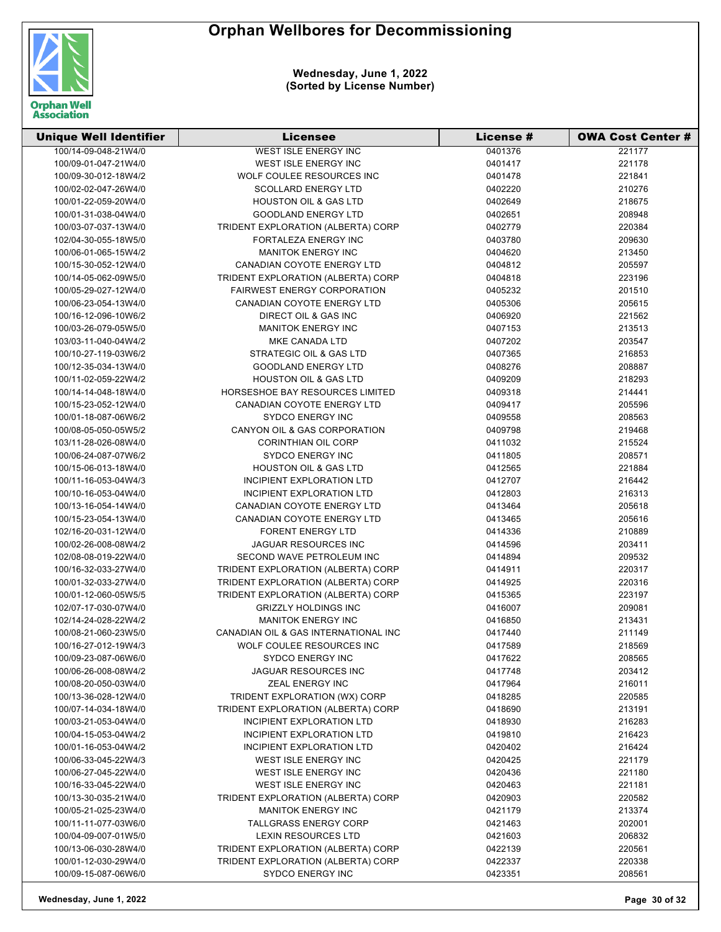

| <b>Unique Well Identifier</b> | <b>Licensee</b>                      | License # | <b>OWA Cost Center #</b> |
|-------------------------------|--------------------------------------|-----------|--------------------------|
| 100/14-09-048-21W4/0          | <b>WEST ISLE ENERGY INC</b>          | 0401376   | 221177                   |
| 100/09-01-047-21W4/0          | WEST ISLE ENERGY INC                 | 0401417   | 221178                   |
| 100/09-30-012-18W4/2          | WOLF COULEE RESOURCES INC            | 0401478   | 221841                   |
| 100/02-02-047-26W4/0          | <b>SCOLLARD ENERGY LTD</b>           | 0402220   | 210276                   |
| 100/01-22-059-20W4/0          | <b>HOUSTON OIL &amp; GAS LTD</b>     | 0402649   | 218675                   |
| 100/01-31-038-04W4/0          | <b>GOODLAND ENERGY LTD</b>           | 0402651   | 208948                   |
| 100/03-07-037-13W4/0          | TRIDENT EXPLORATION (ALBERTA) CORP   | 0402779   | 220384                   |
| 102/04-30-055-18W5/0          | FORTALEZA ENERGY INC                 | 0403780   | 209630                   |
| 100/06-01-065-15W4/2          | <b>MANITOK ENERGY INC</b>            | 0404620   | 213450                   |
| 100/15-30-052-12W4/0          | CANADIAN COYOTE ENERGY LTD           | 0404812   | 205597                   |
| 100/14-05-062-09W5/0          | TRIDENT EXPLORATION (ALBERTA) CORP   | 0404818   | 223196                   |
| 100/05-29-027-12W4/0          | <b>FAIRWEST ENERGY CORPORATION</b>   | 0405232   | 201510                   |
| 100/06-23-054-13W4/0          | CANADIAN COYOTE ENERGY LTD           | 0405306   | 205615                   |
| 100/16-12-096-10W6/2          | DIRECT OIL & GAS INC                 | 0406920   | 221562                   |
| 100/03-26-079-05W5/0          | <b>MANITOK ENERGY INC</b>            | 0407153   | 213513                   |
| 103/03-11-040-04W4/2          | MKE CANADA LTD                       | 0407202   | 203547                   |
| 100/10-27-119-03W6/2          | STRATEGIC OIL & GAS LTD              | 0407365   | 216853                   |
| 100/12-35-034-13W4/0          | <b>GOODLAND ENERGY LTD</b>           | 0408276   | 208887                   |
| 100/11-02-059-22W4/2          | <b>HOUSTON OIL &amp; GAS LTD</b>     | 0409209   | 218293                   |
| 100/14-14-048-18W4/0          | HORSESHOE BAY RESOURCES LIMITED      | 0409318   | 214441                   |
| 100/15-23-052-12W4/0          | CANADIAN COYOTE ENERGY LTD           | 0409417   | 205596                   |
| 100/01-18-087-06W6/2          | <b>SYDCO ENERGY INC</b>              | 0409558   | 208563                   |
| 100/08-05-050-05W5/2          | CANYON OIL & GAS CORPORATION         | 0409798   | 219468                   |
| 103/11-28-026-08W4/0          | CORINTHIAN OIL CORP                  | 0411032   | 215524                   |
| 100/06-24-087-07W6/2          | SYDCO ENERGY INC                     | 0411805   | 208571                   |
| 100/15-06-013-18W4/0          | <b>HOUSTON OIL &amp; GAS LTD</b>     | 0412565   | 221884                   |
| 100/11-16-053-04W4/3          | INCIPIENT EXPLORATION LTD            | 0412707   | 216442                   |
| 100/10-16-053-04W4/0          | INCIPIENT EXPLORATION LTD            | 0412803   | 216313                   |
| 100/13-16-054-14W4/0          | CANADIAN COYOTE ENERGY LTD           | 0413464   | 205618                   |
| 100/15-23-054-13W4/0          | CANADIAN COYOTE ENERGY LTD           | 0413465   | 205616                   |
| 102/16-20-031-12W4/0          | <b>FORENT ENERGY LTD</b>             | 0414336   | 210889                   |
| 100/02-26-008-08W4/2          | JAGUAR RESOURCES INC                 | 0414596   | 203411                   |
| 102/08-08-019-22W4/0          | SECOND WAVE PETROLEUM INC            | 0414894   | 209532                   |
| 100/16-32-033-27W4/0          | TRIDENT EXPLORATION (ALBERTA) CORP   | 0414911   | 220317                   |
| 100/01-32-033-27W4/0          | TRIDENT EXPLORATION (ALBERTA) CORP   | 0414925   | 220316                   |
| 100/01-12-060-05W5/5          | TRIDENT EXPLORATION (ALBERTA) CORP   | 0415365   | 223197                   |
| 102/07-17-030-07W4/0          | <b>GRIZZLY HOLDINGS INC</b>          | 0416007   | 209081                   |
| 102/14-24-028-22W4/2          | <b>MANITOK ENERGY INC</b>            | 0416850   | 213431                   |
| 100/08-21-060-23W5/0          | CANADIAN OIL & GAS INTERNATIONAL INC | 0417440   | 211149                   |
| 100/16-27-012-19W4/3          | WOLF COULEE RESOURCES INC            | 0417589   | 218569                   |
| 100/09-23-087-06W6/0          | <b>SYDCO ENERGY INC</b>              | 0417622   | 208565                   |
| 100/06-26-008-08W4/2          | JAGUAR RESOURCES INC                 | 0417748   | 203412                   |
| 100/08-20-050-03W4/0          | ZEAL ENERGY INC                      | 0417964   | 216011                   |
| 100/13-36-028-12W4/0          | TRIDENT EXPLORATION (WX) CORP        | 0418285   | 220585                   |
| 100/07-14-034-18W4/0          | TRIDENT EXPLORATION (ALBERTA) CORP   | 0418690   | 213191                   |
| 100/03-21-053-04W4/0          | <b>INCIPIENT EXPLORATION LTD</b>     | 0418930   | 216283                   |
| 100/04-15-053-04W4/2          | INCIPIENT EXPLORATION LTD            | 0419810   | 216423                   |
| 100/01-16-053-04W4/2          | INCIPIENT EXPLORATION LTD            | 0420402   | 216424                   |
| 100/06-33-045-22W4/3          | WEST ISLE ENERGY INC                 | 0420425   | 221179                   |
| 100/06-27-045-22W4/0          | WEST ISLE ENERGY INC                 | 0420436   | 221180                   |
| 100/16-33-045-22W4/0          | WEST ISLE ENERGY INC                 | 0420463   | 221181                   |
| 100/13-30-035-21W4/0          | TRIDENT EXPLORATION (ALBERTA) CORP   | 0420903   | 220582                   |
| 100/05-21-025-23W4/0          | <b>MANITOK ENERGY INC</b>            | 0421179   | 213374                   |
| 100/11-11-077-03W6/0          | TALLGRASS ENERGY CORP                | 0421463   | 202001                   |
| 100/04-09-007-01W5/0          | <b>LEXIN RESOURCES LTD</b>           | 0421603   | 206832                   |
| 100/13-06-030-28W4/0          | TRIDENT EXPLORATION (ALBERTA) CORP   | 0422139   | 220561                   |
| 100/01-12-030-29W4/0          | TRIDENT EXPLORATION (ALBERTA) CORP   | 0422337   | 220338                   |
| 100/09-15-087-06W6/0          | SYDCO ENERGY INC                     | 0423351   | 208561                   |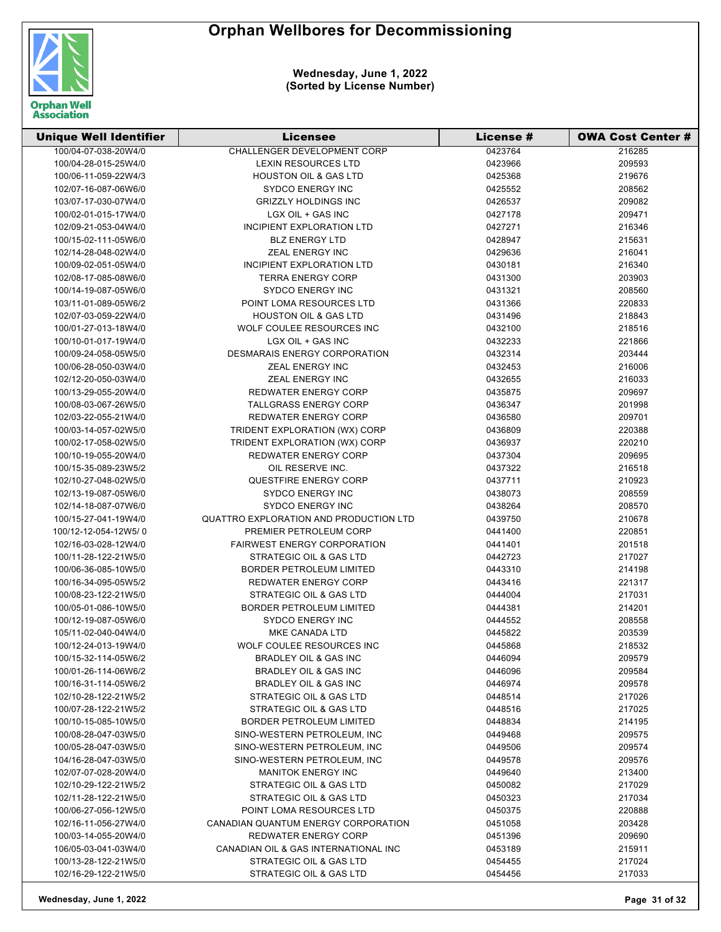

| <b>Unique Well Identifier</b> | Licensee                                      | License # | <b>OWA Cost Center #</b> |
|-------------------------------|-----------------------------------------------|-----------|--------------------------|
| 100/04-07-038-20W4/0          | <b>CHALLENGER DEVELOPMENT CORP</b>            | 0423764   | 216285                   |
| 100/04-28-015-25W4/0          | <b>LEXIN RESOURCES LTD</b>                    | 0423966   | 209593                   |
| 100/06-11-059-22W4/3          | <b>HOUSTON OIL &amp; GAS LTD</b>              | 0425368   | 219676                   |
| 102/07-16-087-06W6/0          | SYDCO ENERGY INC                              | 0425552   | 208562                   |
| 103/07-17-030-07W4/0          | <b>GRIZZLY HOLDINGS INC</b>                   | 0426537   | 209082                   |
| 100/02-01-015-17W4/0          | LGX OIL + GAS INC                             | 0427178   | 209471                   |
| 102/09-21-053-04W4/0          | INCIPIENT EXPLORATION LTD                     | 0427271   | 216346                   |
| 100/15-02-111-05W6/0          | <b>BLZ ENERGY LTD</b>                         | 0428947   | 215631                   |
| 102/14-28-048-02W4/0          | ZEAL ENERGY INC                               | 0429636   | 216041                   |
| 100/09-02-051-05W4/0          | INCIPIENT EXPLORATION LTD                     | 0430181   | 216340                   |
| 102/08-17-085-08W6/0          | <b>TERRA ENERGY CORP</b>                      | 0431300   | 203903                   |
| 100/14-19-087-05W6/0          | <b>SYDCO ENERGY INC</b>                       | 0431321   | 208560                   |
| 103/11-01-089-05W6/2          | POINT LOMA RESOURCES LTD                      | 0431366   | 220833                   |
| 102/07-03-059-22W4/0          | <b>HOUSTON OIL &amp; GAS LTD</b>              | 0431496   | 218843                   |
| 100/01-27-013-18W4/0          | WOLF COULEE RESOURCES INC                     | 0432100   | 218516                   |
| 100/10-01-017-19W4/0          | LGX OIL + GAS INC                             | 0432233   | 221866                   |
| 100/09-24-058-05W5/0          | <b>DESMARAIS ENERGY CORPORATION</b>           | 0432314   | 203444                   |
| 100/06-28-050-03W4/0          | ZEAL ENERGY INC                               | 0432453   | 216006                   |
| 102/12-20-050-03W4/0          | <b>ZEAL ENERGY INC</b>                        | 0432655   | 216033                   |
| 100/13-29-055-20W4/0          | <b>REDWATER ENERGY CORP</b>                   | 0435875   | 209697                   |
| 100/08-03-067-26W5/0          | <b>TALLGRASS ENERGY CORP</b>                  | 0436347   | 201998                   |
| 102/03-22-055-21W4/0          | <b>REDWATER ENERGY CORP</b>                   | 0436580   | 209701                   |
| 100/03-14-057-02W5/0          | TRIDENT EXPLORATION (WX) CORP                 | 0436809   | 220388                   |
| 100/02-17-058-02W5/0          | TRIDENT EXPLORATION (WX) CORP                 | 0436937   | 220210                   |
| 100/10-19-055-20W4/0          | <b>REDWATER ENERGY CORP</b>                   | 0437304   | 209695                   |
| 100/15-35-089-23W5/2          | OIL RESERVE INC.                              | 0437322   | 216518                   |
| 102/10-27-048-02W5/0          | QUESTFIRE ENERGY CORP                         | 0437711   | 210923                   |
| 102/13-19-087-05W6/0          | <b>SYDCO ENERGY INC</b>                       | 0438073   | 208559                   |
| 102/14-18-087-07W6/0          | <b>SYDCO ENERGY INC</b>                       | 0438264   | 208570                   |
| 100/15-27-041-19W4/0          | <b>QUATTRO EXPLORATION AND PRODUCTION LTD</b> | 0439750   | 210678                   |
| 100/12-12-054-12W5/0          | PREMIER PETROLEUM CORP                        | 0441400   | 220851                   |
| 102/16-03-028-12W4/0          | <b>FAIRWEST ENERGY CORPORATION</b>            | 0441401   | 201518                   |
| 100/11-28-122-21W5/0          | STRATEGIC OIL & GAS LTD                       | 0442723   | 217027                   |
| 100/06-36-085-10W5/0          | BORDER PETROLEUM LIMITED                      | 0443310   | 214198                   |
| 100/16-34-095-05W5/2          | <b>REDWATER ENERGY CORP</b>                   | 0443416   | 221317                   |
| 100/08-23-122-21W5/0          | STRATEGIC OIL & GAS LTD                       | 0444004   | 217031                   |
| 100/05-01-086-10W5/0          | <b>BORDER PETROLEUM LIMITED</b>               | 0444381   | 214201                   |
| 100/12-19-087-05W6/0          | <b>SYDCO ENERGY INC</b>                       | 0444552   | 208558                   |
| 105/11-02-040-04W4/0          | MKE CANADA LTD                                | 0445822   | 203539                   |
| 100/12-24-013-19W4/0          | WOLF COULEE RESOURCES INC                     | 0445868   | 218532                   |
| 100/15-32-114-05W6/2          | <b>BRADLEY OIL &amp; GAS INC</b>              | 0446094   | 209579                   |
| 100/01-26-114-06W6/2          | BRADLEY OIL & GAS INC                         | 0446096   | 209584                   |
| 100/16-31-114-05W6/2          | <b>BRADLEY OIL &amp; GAS INC</b>              | 0446974   | 209578                   |
| 102/10-28-122-21W5/2          | STRATEGIC OIL & GAS LTD                       | 0448514   | 217026                   |
| 100/07-28-122-21W5/2          | STRATEGIC OIL & GAS LTD                       | 0448516   | 217025                   |
| 100/10-15-085-10W5/0          | <b>BORDER PETROLEUM LIMITED</b>               | 0448834   | 214195                   |
| 100/08-28-047-03W5/0          | SINO-WESTERN PETROLEUM, INC                   | 0449468   | 209575                   |
| 100/05-28-047-03W5/0          | SINO-WESTERN PETROLEUM, INC                   | 0449506   | 209574                   |
| 104/16-28-047-03W5/0          | SINO-WESTERN PETROLEUM, INC                   | 0449578   | 209576                   |
| 102/07-07-028-20W4/0          | <b>MANITOK ENERGY INC</b>                     | 0449640   | 213400                   |
| 102/10-29-122-21W5/2          | STRATEGIC OIL & GAS LTD                       | 0450082   | 217029                   |
| 102/11-28-122-21W5/0          | STRATEGIC OIL & GAS LTD                       | 0450323   | 217034                   |
| 100/06-27-056-12W5/0          | POINT LOMA RESOURCES LTD                      | 0450375   | 220888                   |
| 102/16-11-056-27W4/0          | CANADIAN QUANTUM ENERGY CORPORATION           | 0451058   | 203428                   |
| 100/03-14-055-20W4/0          | <b>REDWATER ENERGY CORP</b>                   | 0451396   | 209690                   |
| 106/05-03-041-03W4/0          | CANADIAN OIL & GAS INTERNATIONAL INC          | 0453189   | 215911                   |
| 100/13-28-122-21W5/0          | STRATEGIC OIL & GAS LTD                       | 0454455   | 217024                   |
| 102/16-29-122-21W5/0          | STRATEGIC OIL & GAS LTD                       | 0454456   | 217033                   |
|                               |                                               |           |                          |